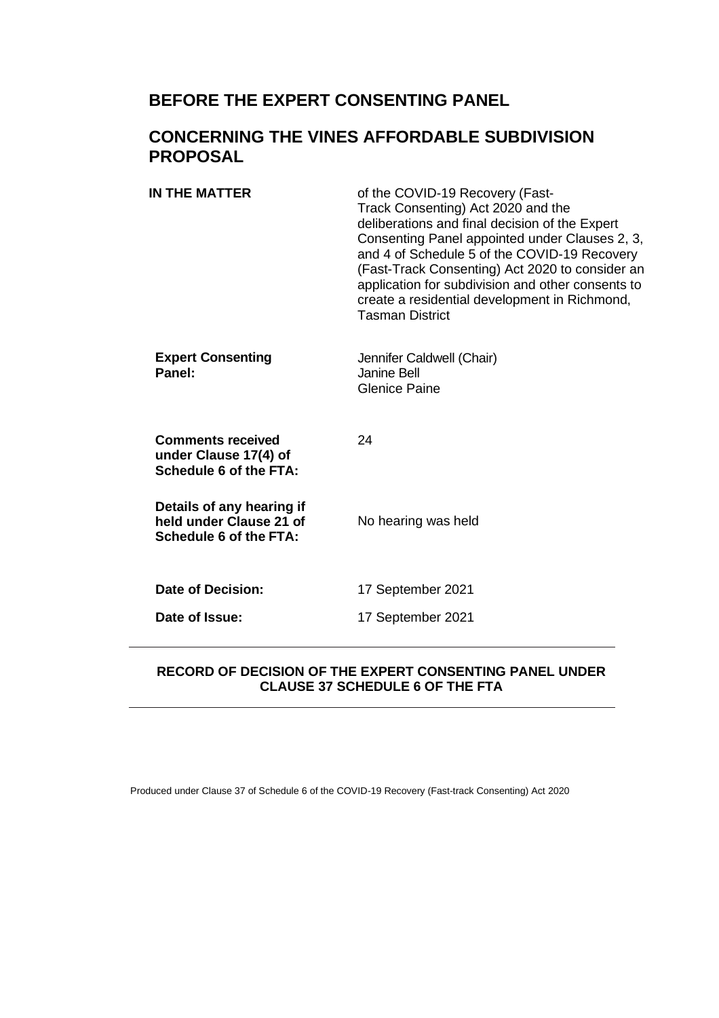# **BEFORE THE EXPERT CONSENTING PANEL**

## **CONCERNING THE VINES AFFORDABLE SUBDIVISION PROPOSAL**

| IN THE MATTER                                                                  | of the COVID-19 Recovery (Fast-<br>Track Consenting) Act 2020 and the<br>deliberations and final decision of the Expert<br>Consenting Panel appointed under Clauses 2, 3,<br>and 4 of Schedule 5 of the COVID-19 Recovery<br>(Fast-Track Consenting) Act 2020 to consider an<br>application for subdivision and other consents to<br>create a residential development in Richmond,<br><b>Tasman District</b> |
|--------------------------------------------------------------------------------|--------------------------------------------------------------------------------------------------------------------------------------------------------------------------------------------------------------------------------------------------------------------------------------------------------------------------------------------------------------------------------------------------------------|
| <b>Expert Consenting</b><br>Panel:                                             | Jennifer Caldwell (Chair)<br>Janine Bell<br><b>Glenice Paine</b>                                                                                                                                                                                                                                                                                                                                             |
| <b>Comments received</b><br>under Clause 17(4) of<br>Schedule 6 of the FTA:    | 24                                                                                                                                                                                                                                                                                                                                                                                                           |
| Details of any hearing if<br>held under Clause 21 of<br>Schedule 6 of the FTA: | No hearing was held                                                                                                                                                                                                                                                                                                                                                                                          |
| <b>Date of Decision:</b>                                                       | 17 September 2021                                                                                                                                                                                                                                                                                                                                                                                            |
| Date of Issue:                                                                 | 17 September 2021                                                                                                                                                                                                                                                                                                                                                                                            |
|                                                                                |                                                                                                                                                                                                                                                                                                                                                                                                              |

### **RECORD OF DECISION OF THE EXPERT CONSENTING PANEL UNDER CLAUSE 37 SCHEDULE 6 OF THE FTA**

Produced under Clause 37 of Schedule 6 of the COVID-19 Recovery (Fast-track Consenting) Act 2020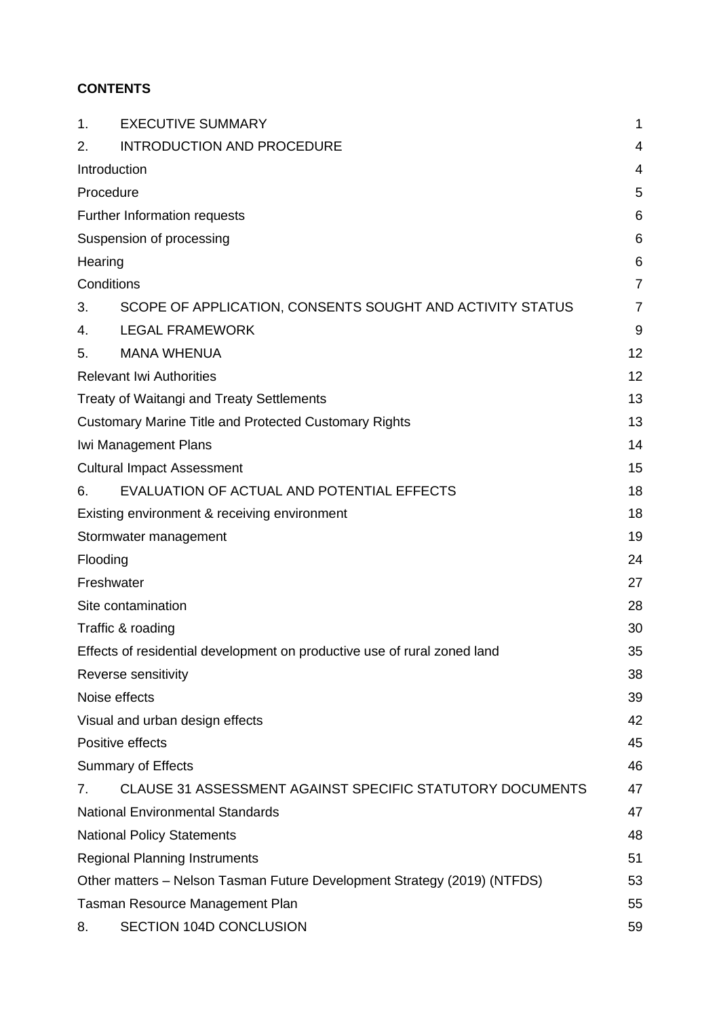## **CONTENTS**

| 1.                                                                       | <b>EXECUTIVE SUMMARY</b>                                                 | 1              |
|--------------------------------------------------------------------------|--------------------------------------------------------------------------|----------------|
| 2.                                                                       | <b>INTRODUCTION AND PROCEDURE</b>                                        | 4              |
|                                                                          | Introduction                                                             | $\overline{4}$ |
|                                                                          | Procedure                                                                | 5              |
|                                                                          | Further Information requests                                             | 6              |
|                                                                          | Suspension of processing                                                 | 6              |
| Hearing                                                                  |                                                                          | 6              |
|                                                                          | Conditions                                                               | $\overline{7}$ |
| 3.                                                                       | SCOPE OF APPLICATION, CONSENTS SOUGHT AND ACTIVITY STATUS                | $\overline{7}$ |
| 4.                                                                       | <b>LEGAL FRAMEWORK</b>                                                   | 9              |
| 5.                                                                       | <b>MANA WHENUA</b>                                                       | 12             |
|                                                                          | <b>Relevant Iwi Authorities</b>                                          | 12             |
|                                                                          | <b>Treaty of Waitangi and Treaty Settlements</b>                         | 13             |
|                                                                          | <b>Customary Marine Title and Protected Customary Rights</b>             | 13             |
|                                                                          | Iwi Management Plans                                                     | 14             |
|                                                                          | <b>Cultural Impact Assessment</b>                                        | 15             |
| 6.                                                                       | EVALUATION OF ACTUAL AND POTENTIAL EFFECTS                               | 18             |
|                                                                          | Existing environment & receiving environment                             | 18             |
|                                                                          | Stormwater management                                                    | 19             |
| Flooding                                                                 |                                                                          | 24             |
|                                                                          | Freshwater                                                               | 27             |
|                                                                          | Site contamination                                                       | 28             |
|                                                                          | Traffic & roading                                                        | 30             |
| Effects of residential development on productive use of rural zoned land |                                                                          | 35             |
|                                                                          | Reverse sensitivity                                                      | 38             |
|                                                                          | Noise effects                                                            | 39             |
|                                                                          | Visual and urban design effects                                          | 42             |
|                                                                          | Positive effects                                                         | 45             |
|                                                                          | <b>Summary of Effects</b>                                                | 46             |
| 7.                                                                       | CLAUSE 31 ASSESSMENT AGAINST SPECIFIC STATUTORY DOCUMENTS                | 47             |
|                                                                          | <b>National Environmental Standards</b>                                  | 47             |
|                                                                          | <b>National Policy Statements</b>                                        | 48             |
|                                                                          | <b>Regional Planning Instruments</b>                                     | 51             |
|                                                                          | Other matters - Nelson Tasman Future Development Strategy (2019) (NTFDS) | 53             |
|                                                                          | Tasman Resource Management Plan                                          | 55             |
| 8.                                                                       | SECTION 104D CONCLUSION                                                  | 59             |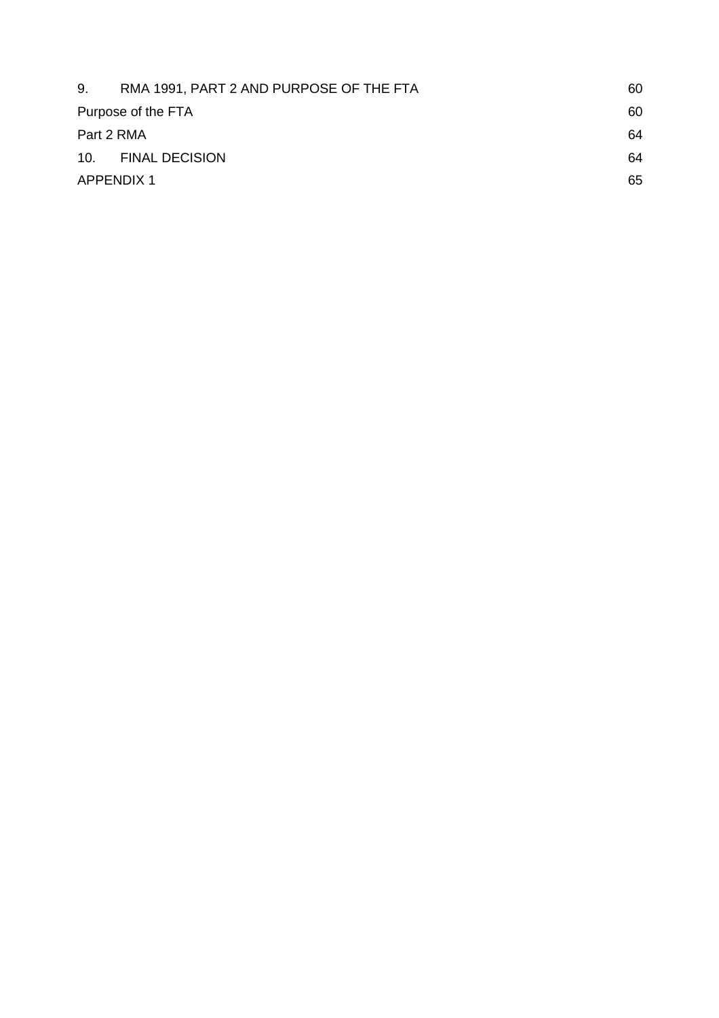| RMA 1991, PART 2 AND PURPOSE OF THE FTA | 60 |
|-----------------------------------------|----|
| Purpose of the FTA                      | 60 |
| Part 2 RMA                              | 64 |
| 10. FINAL DECISION                      | 64 |
| <b>APPENDIX 1</b>                       |    |
|                                         | 65 |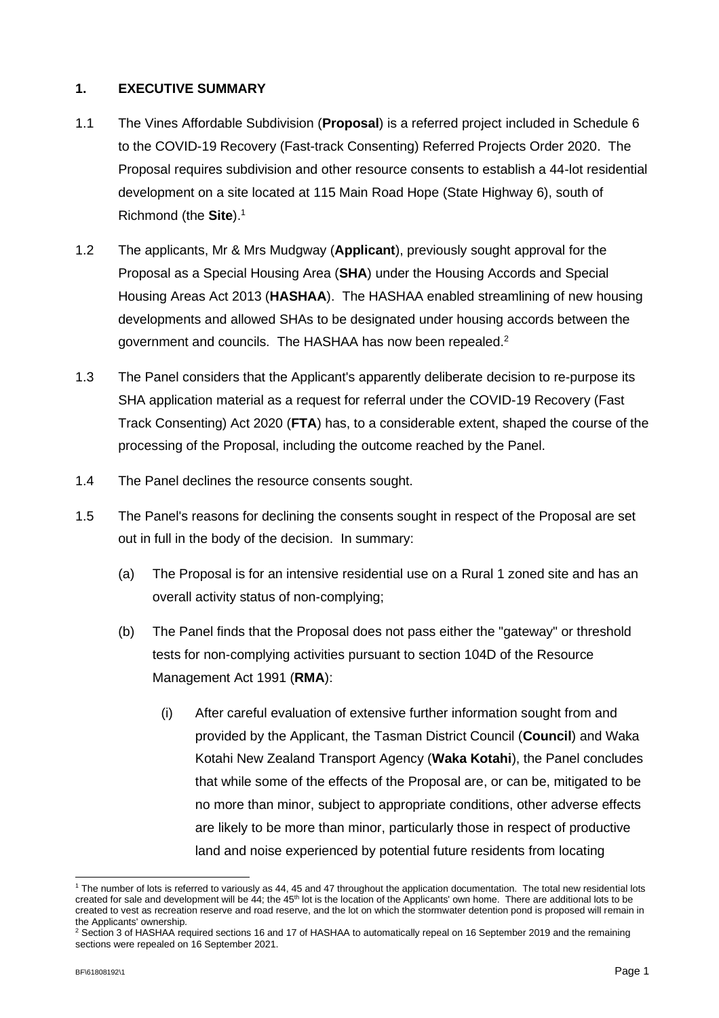### **1. EXECUTIVE SUMMARY**

- 1.1 The Vines Affordable Subdivision (**Proposal**) is a referred project included in Schedule 6 to the COVID-19 Recovery (Fast-track Consenting) Referred Projects Order 2020. The Proposal requires subdivision and other resource consents to establish a 44-lot residential development on a site located at 115 Main Road Hope (State Highway 6), south of Richmond (the **Site**). 1
- 1.2 The applicants, Mr & Mrs Mudgway (**Applicant**), previously sought approval for the Proposal as a Special Housing Area (**SHA**) under the Housing Accords and Special Housing Areas Act 2013 (**HASHAA**). The HASHAA enabled streamlining of new housing developments and allowed SHAs to be designated under housing accords between the government and councils. The HASHAA has now been repealed.<sup>2</sup>
- 1.3 The Panel considers that the Applicant's apparently deliberate decision to re-purpose its SHA application material as a request for referral under the COVID-19 Recovery (Fast Track Consenting) Act 2020 (**FTA**) has, to a considerable extent, shaped the course of the processing of the Proposal, including the outcome reached by the Panel.
- 1.4 The Panel declines the resource consents sought.
- 1.5 The Panel's reasons for declining the consents sought in respect of the Proposal are set out in full in the body of the decision. In summary:
	- (a) The Proposal is for an intensive residential use on a Rural 1 zoned site and has an overall activity status of non-complying;
	- (b) The Panel finds that the Proposal does not pass either the "gateway" or threshold tests for non-complying activities pursuant to section 104D of the Resource Management Act 1991 (**RMA**):
		- (i) After careful evaluation of extensive further information sought from and provided by the Applicant, the Tasman District Council (**Council**) and Waka Kotahi New Zealand Transport Agency (**Waka Kotahi**), the Panel concludes that while some of the effects of the Proposal are, or can be, mitigated to be no more than minor, subject to appropriate conditions, other adverse effects are likely to be more than minor, particularly those in respect of productive land and noise experienced by potential future residents from locating

<sup>1</sup> The number of lots is referred to variously as 44, 45 and 47 throughout the application documentation. The total new residential lots created for sale and development will be 44; the 45<sup>th</sup> lot is the location of the Applicants' own home. There are additional lots to be created to vest as recreation reserve and road reserve, and the lot on which the stormwater detention pond is proposed will remain in the Applicants' ownership.

<sup>&</sup>lt;sup>2</sup> Section 3 of HASHAA required sections 16 and 17 of HASHAA to automatically repeal on 16 September 2019 and the remaining sections were repealed on 16 September 2021.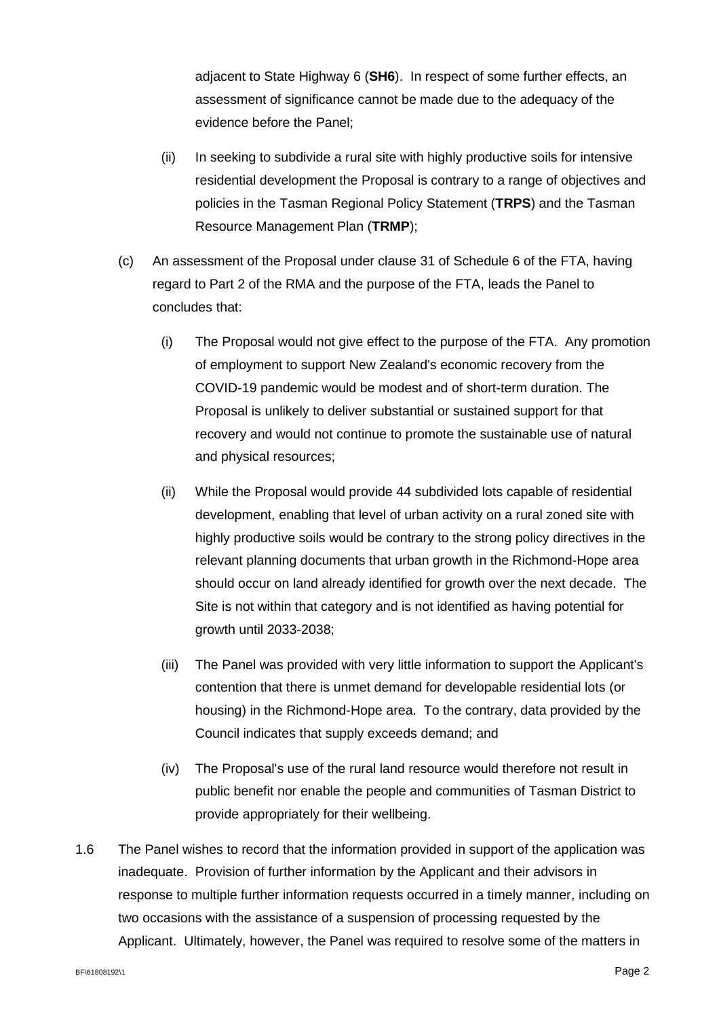adjacent to State Highway 6 (**SH6**). In respect of some further effects, an assessment of significance cannot be made due to the adequacy of the evidence before the Panel;

- (ii) In seeking to subdivide a rural site with highly productive soils for intensive residential development the Proposal is contrary to a range of objectives and policies in the Tasman Regional Policy Statement (**TRPS**) and the Tasman Resource Management Plan (**TRMP**);
- (c) An assessment of the Proposal under clause 31 of Schedule 6 of the FTA, having regard to Part 2 of the RMA and the purpose of the FTA, leads the Panel to concludes that:
	- (i) The Proposal would not give effect to the purpose of the FTA. Any promotion of employment to support New Zealand's economic recovery from the COVID-19 pandemic would be modest and of short-term duration. The Proposal is unlikely to deliver substantial or sustained support for that recovery and would not continue to promote the sustainable use of natural and physical resources;
	- (ii) While the Proposal would provide 44 subdivided lots capable of residential development, enabling that level of urban activity on a rural zoned site with highly productive soils would be contrary to the strong policy directives in the relevant planning documents that urban growth in the Richmond-Hope area should occur on land already identified for growth over the next decade. The Site is not within that category and is not identified as having potential for growth until 2033-2038;
	- (iii) The Panel was provided with very little information to support the Applicant's contention that there is unmet demand for developable residential lots (or housing) in the Richmond-Hope area. To the contrary, data provided by the Council indicates that supply exceeds demand; and
	- (iv) The Proposal's use of the rural land resource would therefore not result in public benefit nor enable the people and communities of Tasman District to provide appropriately for their wellbeing.
- 1.6 The Panel wishes to record that the information provided in support of the application was inadequate. Provision of further information by the Applicant and their advisors in response to multiple further information requests occurred in a timely manner, including on two occasions with the assistance of a suspension of processing requested by the Applicant. Ultimately, however, the Panel was required to resolve some of the matters in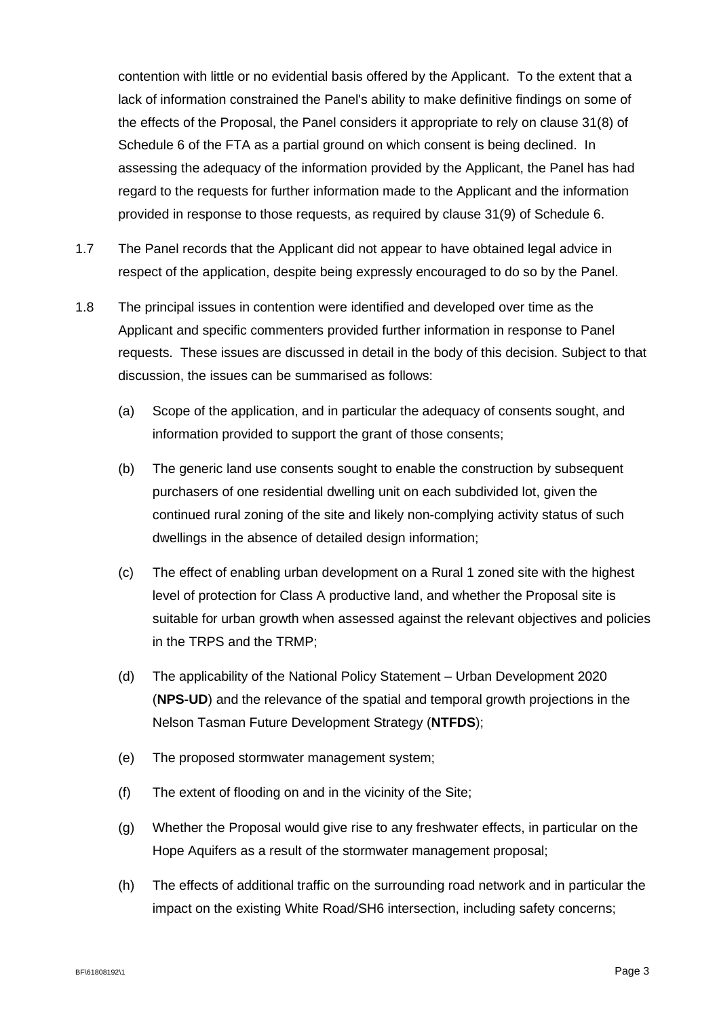contention with little or no evidential basis offered by the Applicant. To the extent that a lack of information constrained the Panel's ability to make definitive findings on some of the effects of the Proposal, the Panel considers it appropriate to rely on clause 31(8) of Schedule 6 of the FTA as a partial ground on which consent is being declined. In assessing the adequacy of the information provided by the Applicant, the Panel has had regard to the requests for further information made to the Applicant and the information provided in response to those requests, as required by clause 31(9) of Schedule 6.

- 1.7 The Panel records that the Applicant did not appear to have obtained legal advice in respect of the application, despite being expressly encouraged to do so by the Panel.
- 1.8 The principal issues in contention were identified and developed over time as the Applicant and specific commenters provided further information in response to Panel requests. These issues are discussed in detail in the body of this decision. Subject to that discussion, the issues can be summarised as follows:
	- (a) Scope of the application, and in particular the adequacy of consents sought, and information provided to support the grant of those consents;
	- (b) The generic land use consents sought to enable the construction by subsequent purchasers of one residential dwelling unit on each subdivided lot, given the continued rural zoning of the site and likely non-complying activity status of such dwellings in the absence of detailed design information;
	- (c) The effect of enabling urban development on a Rural 1 zoned site with the highest level of protection for Class A productive land, and whether the Proposal site is suitable for urban growth when assessed against the relevant objectives and policies in the TRPS and the TRMP;
	- (d) The applicability of the National Policy Statement Urban Development 2020 (**NPS-UD**) and the relevance of the spatial and temporal growth projections in the Nelson Tasman Future Development Strategy (**NTFDS**);
	- (e) The proposed stormwater management system;
	- (f) The extent of flooding on and in the vicinity of the Site;
	- (g) Whether the Proposal would give rise to any freshwater effects, in particular on the Hope Aquifers as a result of the stormwater management proposal;
	- (h) The effects of additional traffic on the surrounding road network and in particular the impact on the existing White Road/SH6 intersection, including safety concerns;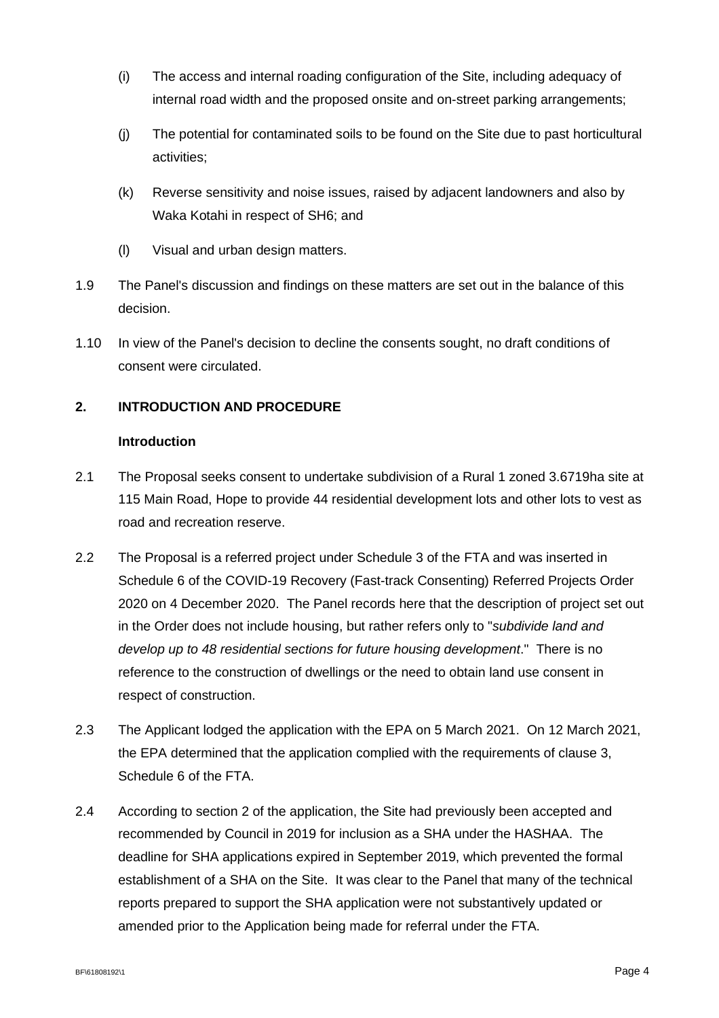- (i) The access and internal roading configuration of the Site, including adequacy of internal road width and the proposed onsite and on-street parking arrangements;
- (j) The potential for contaminated soils to be found on the Site due to past horticultural activities;
- (k) Reverse sensitivity and noise issues, raised by adjacent landowners and also by Waka Kotahi in respect of SH6; and
- (l) Visual and urban design matters.
- 1.9 The Panel's discussion and findings on these matters are set out in the balance of this decision.
- 1.10 In view of the Panel's decision to decline the consents sought, no draft conditions of consent were circulated.

### **2. INTRODUCTION AND PROCEDURE**

### **Introduction**

- 2.1 The Proposal seeks consent to undertake subdivision of a Rural 1 zoned 3.6719ha site at 115 Main Road, Hope to provide 44 residential development lots and other lots to vest as road and recreation reserve.
- 2.2 The Proposal is a referred project under Schedule 3 of the FTA and was inserted in Schedule 6 of the COVID-19 Recovery (Fast-track Consenting) Referred Projects Order 2020 on 4 December 2020. The Panel records here that the description of project set out in the Order does not include housing, but rather refers only to "*subdivide land and develop up to 48 residential sections for future housing development*." There is no reference to the construction of dwellings or the need to obtain land use consent in respect of construction.
- 2.3 The Applicant lodged the application with the EPA on 5 March 2021. On 12 March 2021, the EPA determined that the application complied with the requirements of clause 3, Schedule 6 of the FTA.
- 2.4 According to section 2 of the application, the Site had previously been accepted and recommended by Council in 2019 for inclusion as a SHA under the HASHAA. The deadline for SHA applications expired in September 2019, which prevented the formal establishment of a SHA on the Site. It was clear to the Panel that many of the technical reports prepared to support the SHA application were not substantively updated or amended prior to the Application being made for referral under the FTA.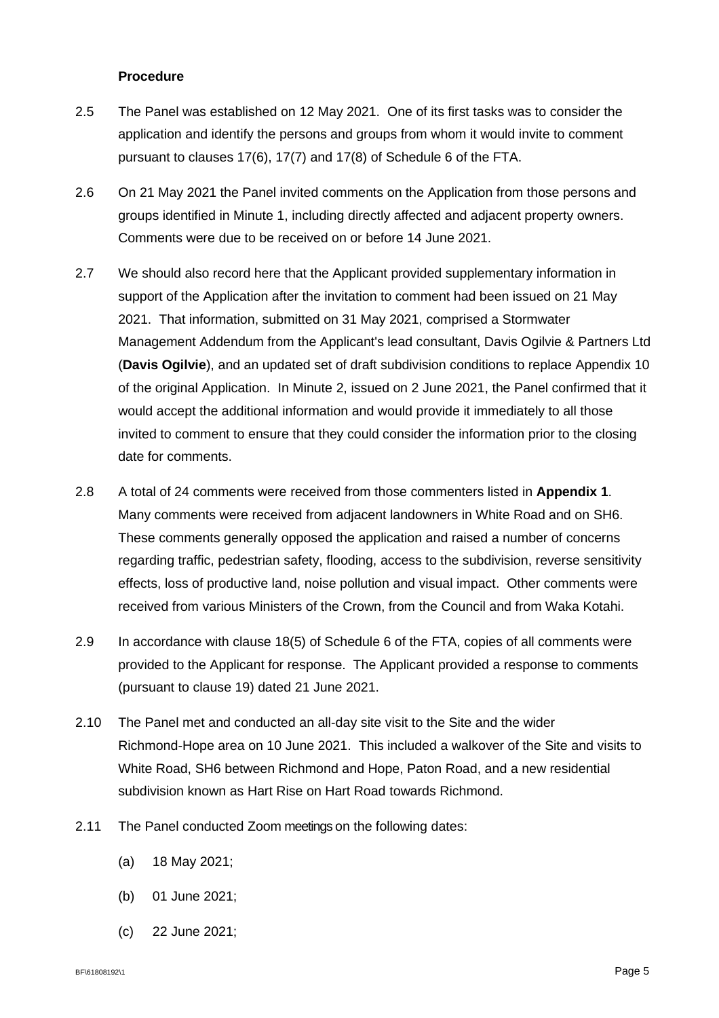### **Procedure**

- 2.5 The Panel was established on 12 May 2021. One of its first tasks was to consider the application and identify the persons and groups from whom it would invite to comment pursuant to clauses 17(6), 17(7) and 17(8) of Schedule 6 of the FTA.
- 2.6 On 21 May 2021 the Panel invited comments on the Application from those persons and groups identified in Minute 1, including directly affected and adjacent property owners. Comments were due to be received on or before 14 June 2021.
- 2.7 We should also record here that the Applicant provided supplementary information in support of the Application after the invitation to comment had been issued on 21 May 2021. That information, submitted on 31 May 2021, comprised a Stormwater Management Addendum from the Applicant's lead consultant, Davis Ogilvie & Partners Ltd (**Davis Ogilvie**), and an updated set of draft subdivision conditions to replace Appendix 10 of the original Application. In Minute 2, issued on 2 June 2021, the Panel confirmed that it would accept the additional information and would provide it immediately to all those invited to comment to ensure that they could consider the information prior to the closing date for comments.
- 2.8 A total of 24 comments were received from those commenters listed in **Appendix 1**. Many comments were received from adjacent landowners in White Road and on SH6. These comments generally opposed the application and raised a number of concerns regarding traffic, pedestrian safety, flooding, access to the subdivision, reverse sensitivity effects, loss of productive land, noise pollution and visual impact. Other comments were received from various Ministers of the Crown, from the Council and from Waka Kotahi.
- 2.9 In accordance with clause 18(5) of Schedule 6 of the FTA, copies of all comments were provided to the Applicant for response. The Applicant provided a response to comments (pursuant to clause 19) dated 21 June 2021.
- 2.10 The Panel met and conducted an all-day site visit to the Site and the wider Richmond-Hope area on 10 June 2021. This included a walkover of the Site and visits to White Road, SH6 between Richmond and Hope, Paton Road, and a new residential subdivision known as Hart Rise on Hart Road towards Richmond.
- 2.11 The Panel conducted Zoom meetings on the following dates:
	- (a) 18 May 2021;
	- (b) 01 June 2021;
	- (c) 22 June 2021;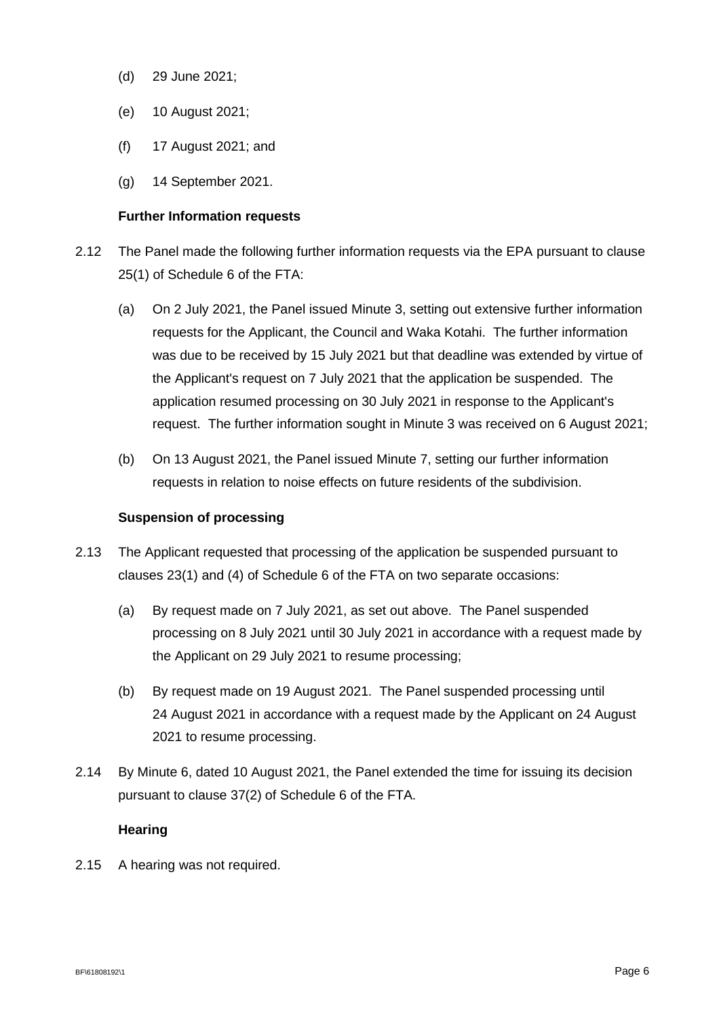- (d) 29 June 2021;
- (e) 10 August 2021;
- (f) 17 August 2021; and
- (g) 14 September 2021.

#### **Further Information requests**

- 2.12 The Panel made the following further information requests via the EPA pursuant to clause 25(1) of Schedule 6 of the FTA:
	- (a) On 2 July 2021, the Panel issued Minute 3, setting out extensive further information requests for the Applicant, the Council and Waka Kotahi. The further information was due to be received by 15 July 2021 but that deadline was extended by virtue of the Applicant's request on 7 July 2021 that the application be suspended. The application resumed processing on 30 July 2021 in response to the Applicant's request. The further information sought in Minute 3 was received on 6 August 2021;
	- (b) On 13 August 2021, the Panel issued Minute 7, setting our further information requests in relation to noise effects on future residents of the subdivision.

### **Suspension of processing**

- 2.13 The Applicant requested that processing of the application be suspended pursuant to clauses 23(1) and (4) of Schedule 6 of the FTA on two separate occasions:
	- (a) By request made on 7 July 2021, as set out above. The Panel suspended processing on 8 July 2021 until 30 July 2021 in accordance with a request made by the Applicant on 29 July 2021 to resume processing;
	- (b) By request made on 19 August 2021. The Panel suspended processing until 24 August 2021 in accordance with a request made by the Applicant on 24 August 2021 to resume processing.
- 2.14 By Minute 6, dated 10 August 2021, the Panel extended the time for issuing its decision pursuant to clause 37(2) of Schedule 6 of the FTA.

### **Hearing**

2.15 A hearing was not required.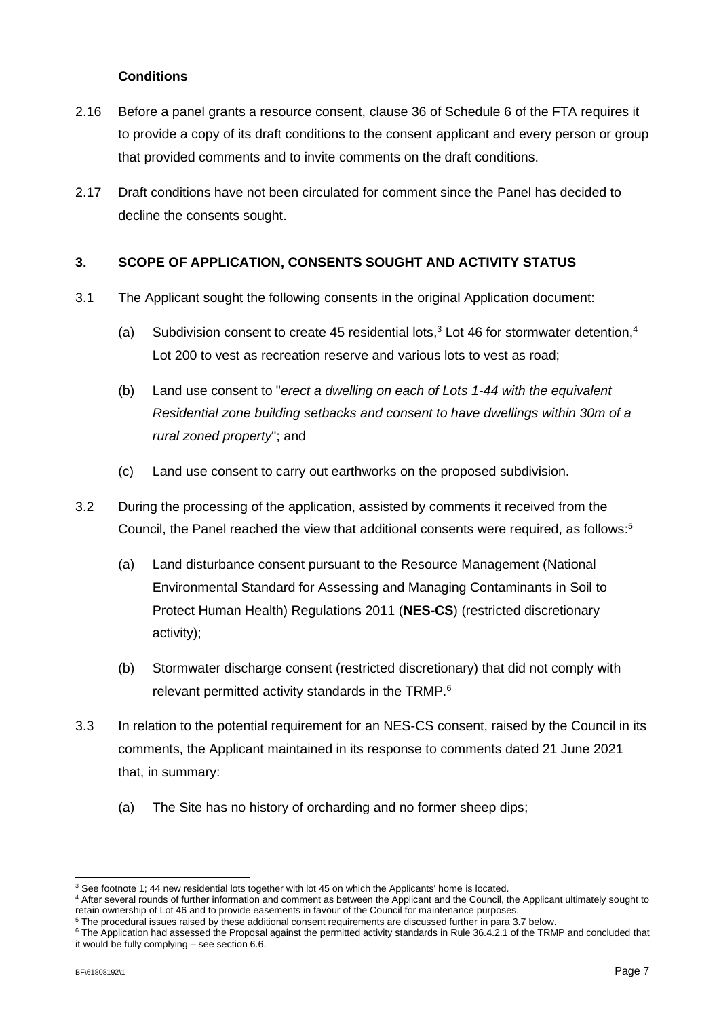### **Conditions**

- 2.16 Before a panel grants a resource consent, clause 36 of Schedule 6 of the FTA requires it to provide a copy of its draft conditions to the consent applicant and every person or group that provided comments and to invite comments on the draft conditions.
- 2.17 Draft conditions have not been circulated for comment since the Panel has decided to decline the consents sought.

### **3. SCOPE OF APPLICATION, CONSENTS SOUGHT AND ACTIVITY STATUS**

- 3.1 The Applicant sought the following consents in the original Application document:
	- (a) Subdivision consent to create 45 residential lots,<sup>3</sup> Lot 46 for stormwater detention,<sup>4</sup> Lot 200 to vest as recreation reserve and various lots to vest as road;
	- (b) Land use consent to "*erect a dwelling on each of Lots 1-44 with the equivalent Residential zone building setbacks and consent to have dwellings within 30m of a rural zoned property*"; and
	- (c) Land use consent to carry out earthworks on the proposed subdivision.
- 3.2 During the processing of the application, assisted by comments it received from the Council, the Panel reached the view that additional consents were required, as follows: 5
	- (a) Land disturbance consent pursuant to the Resource Management (National Environmental Standard for Assessing and Managing Contaminants in Soil to Protect Human Health) Regulations 2011 (**NES-CS**) (restricted discretionary activity);
	- (b) Stormwater discharge consent (restricted discretionary) that did not comply with relevant permitted activity standards in the TRMP.<sup>6</sup>
- 3.3 In relation to the potential requirement for an NES-CS consent, raised by the Council in its comments, the Applicant maintained in its response to comments dated 21 June 2021 that, in summary:
	- (a) The Site has no history of orcharding and no former sheep dips;

<sup>&</sup>lt;sup>3</sup> See footnote 1; 44 new residential lots together with lot 45 on which the Applicants' home is located.

<sup>4</sup> After several rounds of further information and comment as between the Applicant and the Council, the Applicant ultimately sought to retain ownership of Lot 46 and to provide easements in favour of the Council for maintenance purposes.

<sup>5</sup> The procedural issues raised by these additional consent requirements are discussed further in para 3.7 below.

<sup>&</sup>lt;sup>6</sup> The Application had assessed the Proposal against the permitted activity standards in Rule 36.4.2.1 of the TRMP and concluded that it would be fully complying – see section 6.6.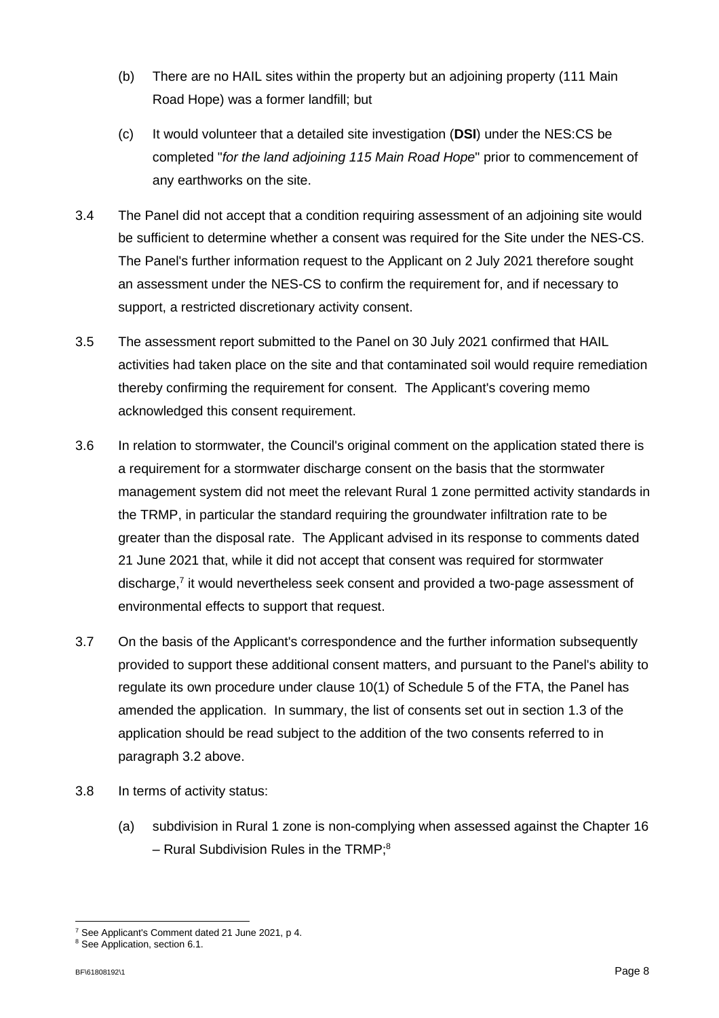- (b) There are no HAIL sites within the property but an adjoining property (111 Main Road Hope) was a former landfill; but
- (c) It would volunteer that a detailed site investigation (**DSI**) under the NES:CS be completed "*for the land adjoining 115 Main Road Hope*" prior to commencement of any earthworks on the site.
- 3.4 The Panel did not accept that a condition requiring assessment of an adjoining site would be sufficient to determine whether a consent was required for the Site under the NES-CS. The Panel's further information request to the Applicant on 2 July 2021 therefore sought an assessment under the NES-CS to confirm the requirement for, and if necessary to support, a restricted discretionary activity consent.
- 3.5 The assessment report submitted to the Panel on 30 July 2021 confirmed that HAIL activities had taken place on the site and that contaminated soil would require remediation thereby confirming the requirement for consent. The Applicant's covering memo acknowledged this consent requirement.
- 3.6 In relation to stormwater, the Council's original comment on the application stated there is a requirement for a stormwater discharge consent on the basis that the stormwater management system did not meet the relevant Rural 1 zone permitted activity standards in the TRMP, in particular the standard requiring the groundwater infiltration rate to be greater than the disposal rate. The Applicant advised in its response to comments dated 21 June 2021 that, while it did not accept that consent was required for stormwater discharge,<sup>7</sup> it would nevertheless seek consent and provided a two-page assessment of environmental effects to support that request.
- 3.7 On the basis of the Applicant's correspondence and the further information subsequently provided to support these additional consent matters, and pursuant to the Panel's ability to regulate its own procedure under clause 10(1) of Schedule 5 of the FTA, the Panel has amended the application. In summary, the list of consents set out in section 1.3 of the application should be read subject to the addition of the two consents referred to in paragraph 3.2 above.
- 3.8 In terms of activity status:
	- (a) subdivision in Rural 1 zone is non-complying when assessed against the Chapter 16 - Rural Subdivision Rules in the TRMP;<sup>8</sup>

<sup>7</sup> See Applicant's Comment dated 21 June 2021, p 4.

<sup>&</sup>lt;sup>8</sup> See Application, section 6.1.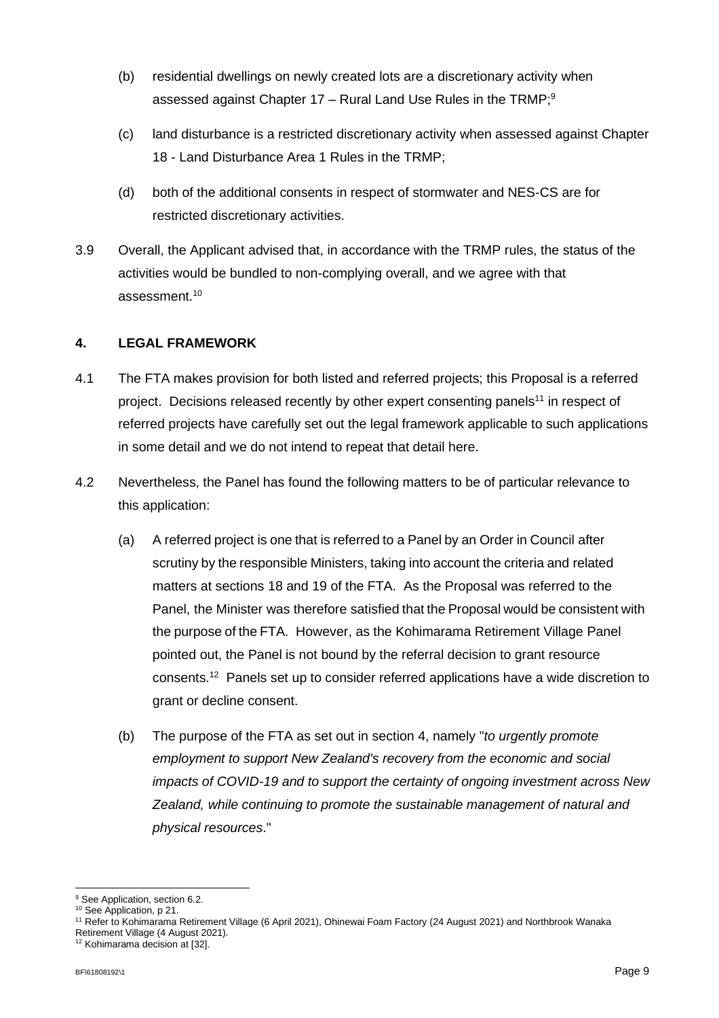- (b) residential dwellings on newly created lots are a discretionary activity when assessed against Chapter 17 – Rural Land Use Rules in the TRMP; $^{\rm 9}$
- (c) land disturbance is a restricted discretionary activity when assessed against Chapter 18 - Land Disturbance Area 1 Rules in the TRMP;
- (d) both of the additional consents in respect of stormwater and NES-CS are for restricted discretionary activities.
- 3.9 Overall, the Applicant advised that, in accordance with the TRMP rules, the status of the activities would be bundled to non-complying overall, and we agree with that assessment.<sup>10</sup>

### **4. LEGAL FRAMEWORK**

- 4.1 The FTA makes provision for both listed and referred projects; this Proposal is a referred project. Decisions released recently by other expert consenting panels<sup>11</sup> in respect of referred projects have carefully set out the legal framework applicable to such applications in some detail and we do not intend to repeat that detail here.
- 4.2 Nevertheless, the Panel has found the following matters to be of particular relevance to this application:
	- (a) A referred project is one that is referred to a Panel by an Order in Council after scrutiny by the responsible Ministers, taking into account the criteria and related matters at sections 18 and 19 of the FTA. As the Proposal was referred to the Panel, the Minister was therefore satisfied that the Proposal would be consistent with the purpose of the FTA. However, as the Kohimarama Retirement Village Panel pointed out, the Panel is not bound by the referral decision to grant resource consents.<sup>12</sup> Panels set up to consider referred applications have a wide discretion to grant or decline consent.
	- (b) The purpose of the FTA as set out in section 4, namely "*to urgently promote employment to support New Zealand's recovery from the economic and social impacts of COVID-19 and to support the certainty of ongoing investment across New Zealand, while continuing to promote the sustainable management of natural and physical resources*."

<sup>&</sup>lt;sup>9</sup> See Application, section 6.2.

<sup>&</sup>lt;sup>10</sup> See Application, p 21.

<sup>11</sup> Refer to Kohimarama Retirement Village (6 April 2021), Ohinewai Foam Factory (24 August 2021) and Northbrook Wanaka Retirement Village (4 August 2021).

<sup>12</sup> Kohimarama decision at [32].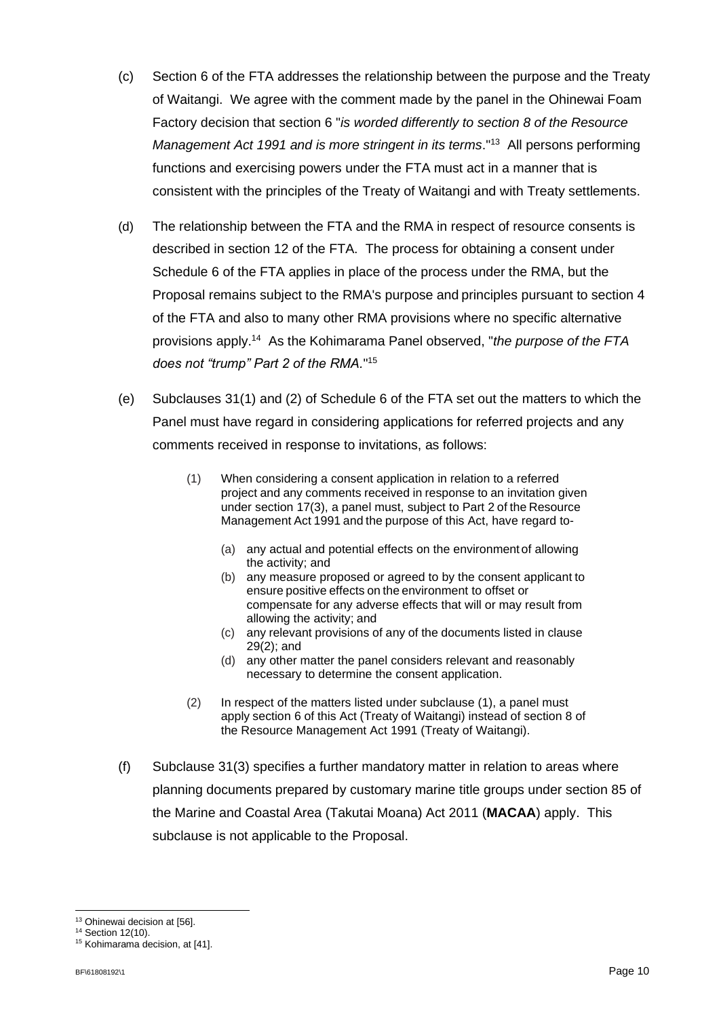- (c) Section 6 of the FTA addresses the relationship between the purpose and the Treaty of Waitangi. We agree with the comment made by the panel in the Ohinewai Foam Factory decision that section 6 "*is worded differently to section 8 of the Resource Management Act 1991 and is more stringent in its terms*."<sup>13</sup> All persons performing functions and exercising powers under the FTA must act in a manner that is consistent with the principles of the Treaty of Waitangi and with Treaty settlements.
- (d) The relationship between the FTA and the RMA in respect of resource consents is described in section 12 of the FTA. The process for obtaining a consent under Schedule 6 of the FTA applies in place of the process under the RMA, but the Proposal remains subject to the RMA's purpose and principles pursuant to section 4 of the FTA and also to many other RMA provisions where no specific alternative provisions apply. 14 As the Kohimarama Panel observed, "*the purpose of the FTA does not "trump" Part 2 of the RMA.*" 15
- (e) Subclauses 31(1) and (2) of Schedule 6 of the FTA set out the matters to which the Panel must have regard in considering applications for referred projects and any comments received in response to invitations, as follows:
	- (1) When considering a consent application in relation to a referred project and any comments received in response to an invitation given under section 17(3), a panel must, subject to Part 2 of the Resource Management Act 1991 and the purpose of this Act, have regard to-
		- (a) any actual and potential effects on the environment of allowing the activity; and
		- (b) any measure proposed or agreed to by the consent applicant to ensure positive effects on the environment to offset or compensate for any adverse effects that will or may result from allowing the activity; and
		- (c) any relevant provisions of any of the documents listed in clause 29(2); and
		- (d) any other matter the panel considers relevant and reasonably necessary to determine the consent application.
	- (2) In respect of the matters listed under subclause (1), a panel must apply section 6 of this Act (Treaty of Waitangi) instead of section 8 of the Resource Management Act 1991 (Treaty of Waitangi).
- (f) Subclause 31(3) specifies a further mandatory matter in relation to areas where planning documents prepared by customary marine title groups under section 85 of the Marine and Coastal Area (Takutai Moana) Act 2011 (**MACAA**) apply. This subclause is not applicable to the Proposal.

<sup>&</sup>lt;sup>13</sup> Ohinewai decision at [56].

<sup>&</sup>lt;sup>14</sup> Section 12(10). <sup>15</sup> Kohimarama decision, at [41].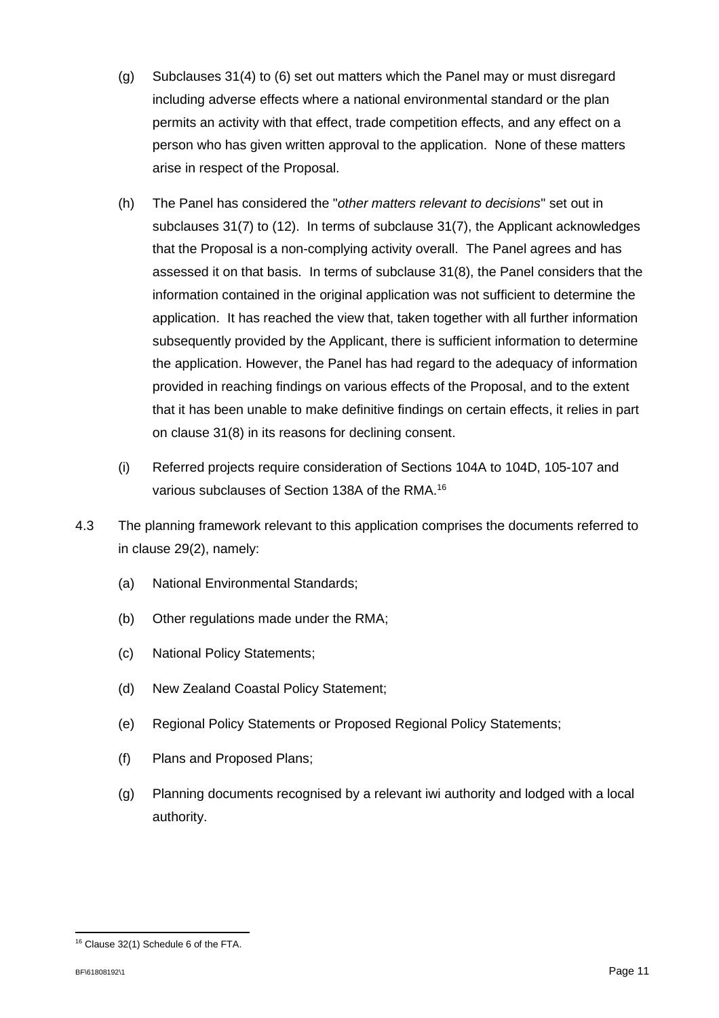- (g) Subclauses 31(4) to (6) set out matters which the Panel may or must disregard including adverse effects where a national environmental standard or the plan permits an activity with that effect, trade competition effects, and any effect on a person who has given written approval to the application. None of these matters arise in respect of the Proposal.
- (h) The Panel has considered the "*other matters relevant to decisions*" set out in subclauses 31(7) to (12). In terms of subclause 31(7), the Applicant acknowledges that the Proposal is a non-complying activity overall. The Panel agrees and has assessed it on that basis. In terms of subclause 31(8), the Panel considers that the information contained in the original application was not sufficient to determine the application. It has reached the view that, taken together with all further information subsequently provided by the Applicant, there is sufficient information to determine the application. However, the Panel has had regard to the adequacy of information provided in reaching findings on various effects of the Proposal, and to the extent that it has been unable to make definitive findings on certain effects, it relies in part on clause 31(8) in its reasons for declining consent.
- (i) Referred projects require consideration of Sections 104A to 104D, 105-107 and various subclauses of Section 138A of the RMA.<sup>16</sup>
- 4.3 The planning framework relevant to this application comprises the documents referred to in clause 29(2), namely:
	- (a) National Environmental Standards;
	- (b) Other regulations made under the RMA;
	- (c) National Policy Statements;
	- (d) New Zealand Coastal Policy Statement;
	- (e) Regional Policy Statements or Proposed Regional Policy Statements;
	- (f) Plans and Proposed Plans;
	- (g) Planning documents recognised by a relevant iwi authority and lodged with a local authority.

<sup>16</sup> Clause 32(1) Schedule 6 of the FTA.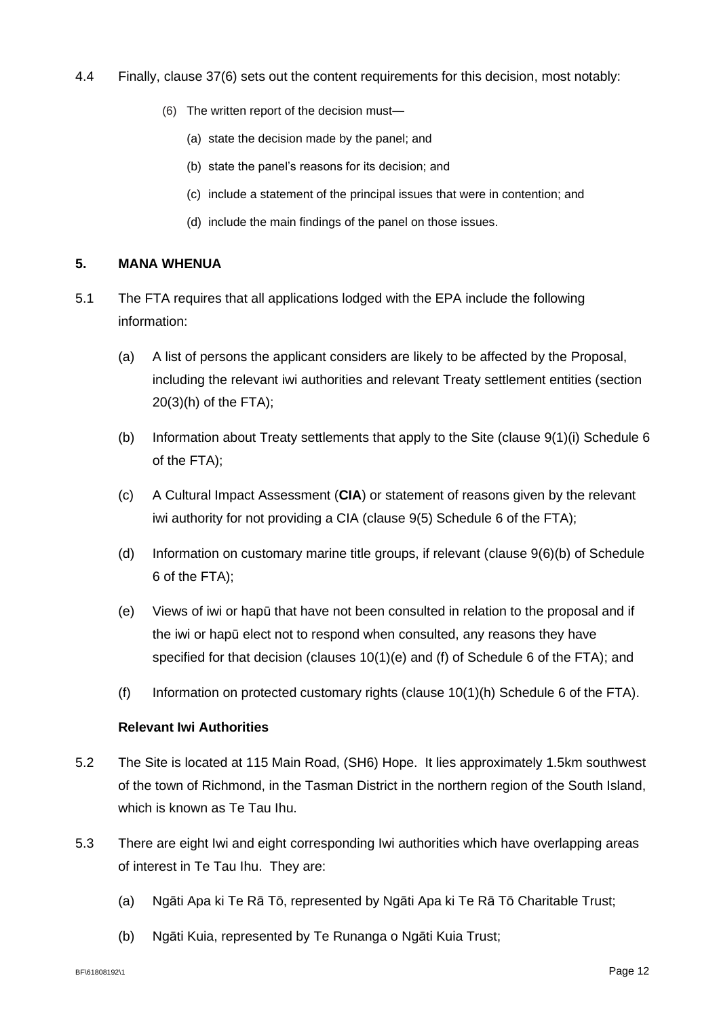- 4.4 Finally, clause 37(6) sets out the content requirements for this decision, most notably:
	- (6) The written report of the decision must—
		- (a) state the decision made by the panel; and
		- (b) state the panel's reasons for its decision; and
		- (c) include a statement of the principal issues that were in contention; and
		- (d) include the main findings of the panel on those issues.

### **5. MANA WHENUA**

- 5.1 The FTA requires that all applications lodged with the EPA include the following information:
	- (a) A list of persons the applicant considers are likely to be affected by the Proposal, including the relevant iwi authorities and relevant Treaty settlement entities (section 20(3)(h) of the FTA);
	- (b) Information about Treaty settlements that apply to the Site (clause 9(1)(i) Schedule 6 of the FTA);
	- (c) A Cultural Impact Assessment (**CIA**) or statement of reasons given by the relevant iwi authority for not providing a CIA (clause 9(5) Schedule 6 of the FTA);
	- (d) Information on customary marine title groups, if relevant (clause 9(6)(b) of Schedule 6 of the FTA);
	- (e) Views of iwi or hapū that have not been consulted in relation to the proposal and if the iwi or hapū elect not to respond when consulted, any reasons they have specified for that decision (clauses 10(1)(e) and (f) of Schedule 6 of the FTA); and
	- (f) Information on protected customary rights (clause  $10(1)(h)$  Schedule 6 of the FTA).

### **Relevant Iwi Authorities**

- 5.2 The Site is located at 115 Main Road, (SH6) Hope. It lies approximately 1.5km southwest of the town of Richmond, in the Tasman District in the northern region of the South Island, which is known as Te Tau Ihu.
- 5.3 There are eight Iwi and eight corresponding Iwi authorities which have overlapping areas of interest in Te Tau Ihu. They are:
	- (a) Ngāti Apa ki Te Rā Tō, represented by Ngāti Apa ki Te Rā Tō Charitable Trust;
	- (b) Ngāti Kuia, represented by Te Runanga o Ngāti Kuia Trust;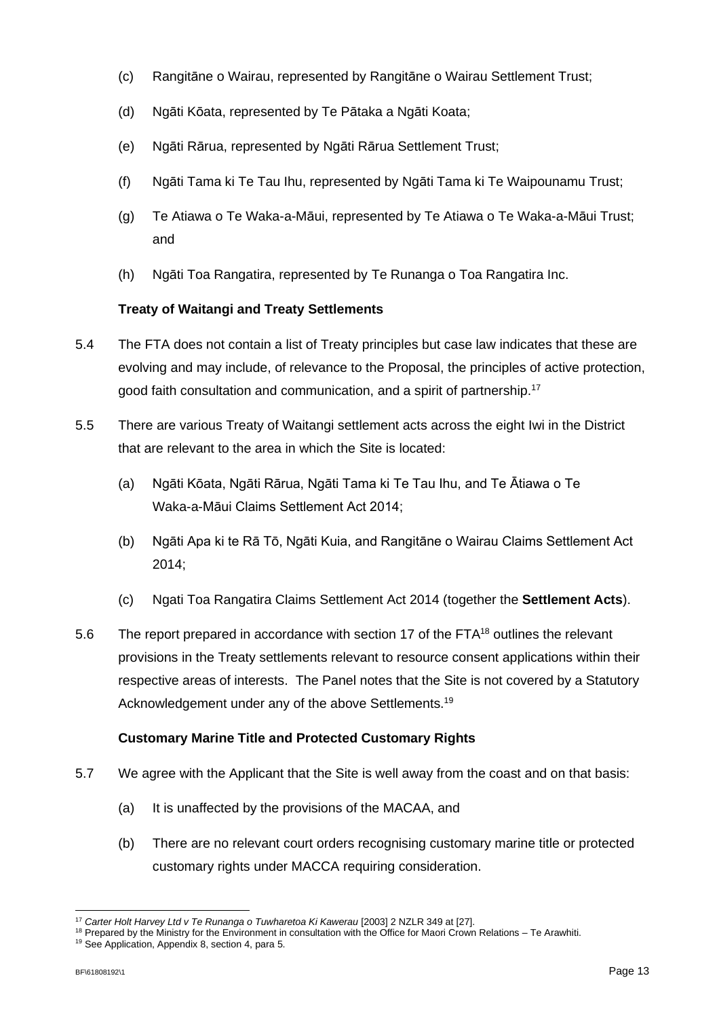- (c) Rangitāne o Wairau, represented by Rangitāne o Wairau Settlement Trust;
- (d) Ngāti Kōata, represented by Te Pātaka a Ngāti Koata;
- (e) Ngāti Rārua, represented by Ngāti Rārua Settlement Trust;
- (f) Ngāti Tama ki Te Tau Ihu, represented by Ngāti Tama ki Te Waipounamu Trust;
- (g) Te Atiawa o Te Waka-a-Māui, represented by Te Atiawa o Te Waka-a-Māui Trust; and
- (h) Ngāti Toa Rangatira, represented by Te Runanga o Toa Rangatira Inc.

## **Treaty of Waitangi and Treaty Settlements**

- 5.4 The FTA does not contain a list of Treaty principles but case law indicates that these are evolving and may include, of relevance to the Proposal, the principles of active protection, good faith consultation and communication, and a spirit of partnership.<sup>17</sup>
- 5.5 There are various Treaty of Waitangi settlement acts across the eight Iwi in the District that are relevant to the area in which the Site is located:
	- (a) Ngāti Kōata, Ngāti Rārua, Ngāti Tama ki Te Tau Ihu, and Te Ātiawa o Te Waka-a-Māui Claims Settlement Act 2014;
	- (b) Ngāti Apa ki te Rā Tō, Ngāti Kuia, and Rangitāne o Wairau Claims Settlement Act 2014;
	- (c) Ngati Toa Rangatira Claims Settlement Act 2014 (together the **Settlement Acts**).
- 5.6 The report prepared in accordance with section 17 of the FTA<sup>18</sup> outlines the relevant provisions in the Treaty settlements relevant to resource consent applications within their respective areas of interests. The Panel notes that the Site is not covered by a Statutory Acknowledgement under any of the above Settlements.<sup>19</sup>

## **Customary Marine Title and Protected Customary Rights**

- 5.7 We agree with the Applicant that the Site is well away from the coast and on that basis:
	- (a) It is unaffected by the provisions of the MACAA, and
	- (b) There are no relevant court orders recognising customary marine title or protected customary rights under MACCA requiring consideration.

<sup>&</sup>lt;sup>17</sup> Carter Holt Harvey Ltd v Te Runanga o Tuwharetoa Ki Kawerau [2003] 2 NZLR 349 at [27].

<sup>&</sup>lt;sup>18</sup> Prepared by the Ministry for the Environment in consultation with the Office for Maori Crown Relations – Te Arawhiti.

<sup>19</sup> See Application, Appendix 8, section 4, para 5.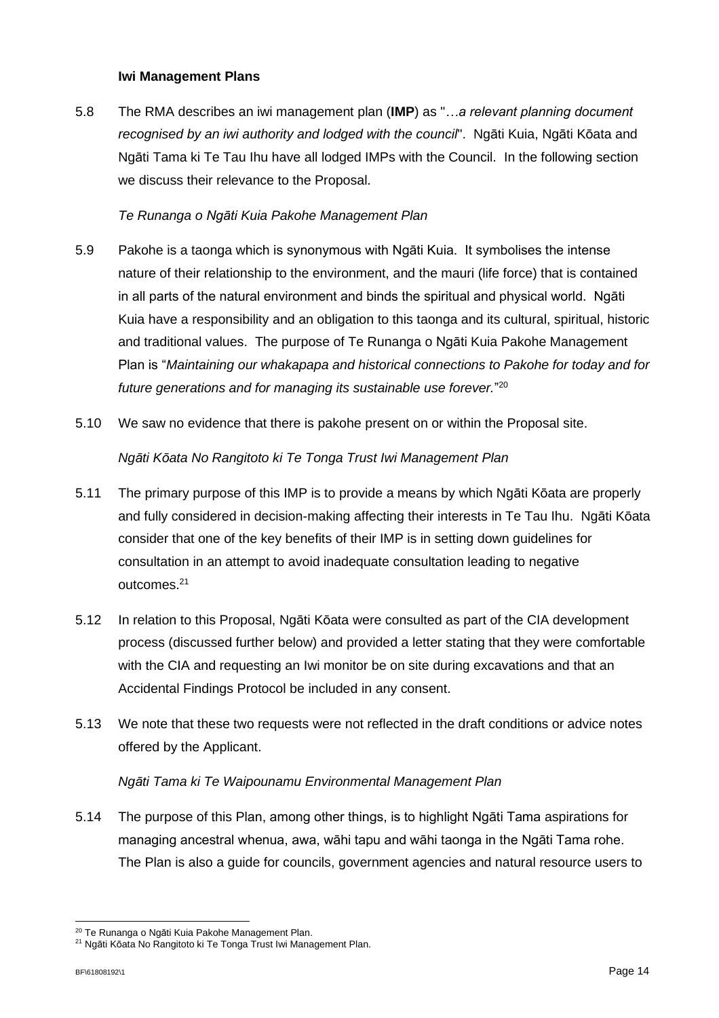### **Iwi Management Plans**

5.8 The RMA describes an iwi management plan (**IMP**) as "*…a relevant planning document recognised by an iwi authority and lodged with the council*". Ngāti Kuia, Ngāti Kōata and Ngāti Tama ki Te Tau Ihu have all lodged IMPs with the Council. In the following section we discuss their relevance to the Proposal.

### *Te Runanga o Ngāti Kuia Pakohe Management Plan*

- 5.9 Pakohe is a taonga which is synonymous with Ngāti Kuia. It symbolises the intense nature of their relationship to the environment, and the mauri (life force) that is contained in all parts of the natural environment and binds the spiritual and physical world. Ngāti Kuia have a responsibility and an obligation to this taonga and its cultural, spiritual, historic and traditional values. The purpose of Te Runanga o Ngāti Kuia Pakohe Management Plan is "*Maintaining our whakapapa and historical connections to Pakohe for today and for future generations and for managing its sustainable use forever.*" 20
- 5.10 We saw no evidence that there is pakohe present on or within the Proposal site. *Ngāti Kōata No Rangitoto ki Te Tonga Trust Iwi Management Plan*
- 5.11 The primary purpose of this IMP is to provide a means by which Ngāti Kōata are properly and fully considered in decision-making affecting their interests in Te Tau Ihu. Ngāti Kōata consider that one of the key benefits of their IMP is in setting down guidelines for consultation in an attempt to avoid inadequate consultation leading to negative outcomes.<sup>21</sup>
- 5.12 In relation to this Proposal, Ngāti Kōata were consulted as part of the CIA development process (discussed further below) and provided a letter stating that they were comfortable with the CIA and requesting an Iwi monitor be on site during excavations and that an Accidental Findings Protocol be included in any consent.
- 5.13 We note that these two requests were not reflected in the draft conditions or advice notes offered by the Applicant.

### *Ngāti Tama ki Te Waipounamu Environmental Management Plan*

5.14 The purpose of this Plan, among other things, is to highlight Ngāti Tama aspirations for managing ancestral whenua, awa, wāhi tapu and wāhi taonga in the Ngāti Tama rohe. The Plan is also a guide for councils, government agencies and natural resource users to

<sup>&</sup>lt;sup>20</sup> Te Runanga o Ngāti Kuia Pakohe Management Plan.

<sup>21</sup> Ngāti Kōata No Rangitoto ki Te Tonga Trust Iwi Management Plan.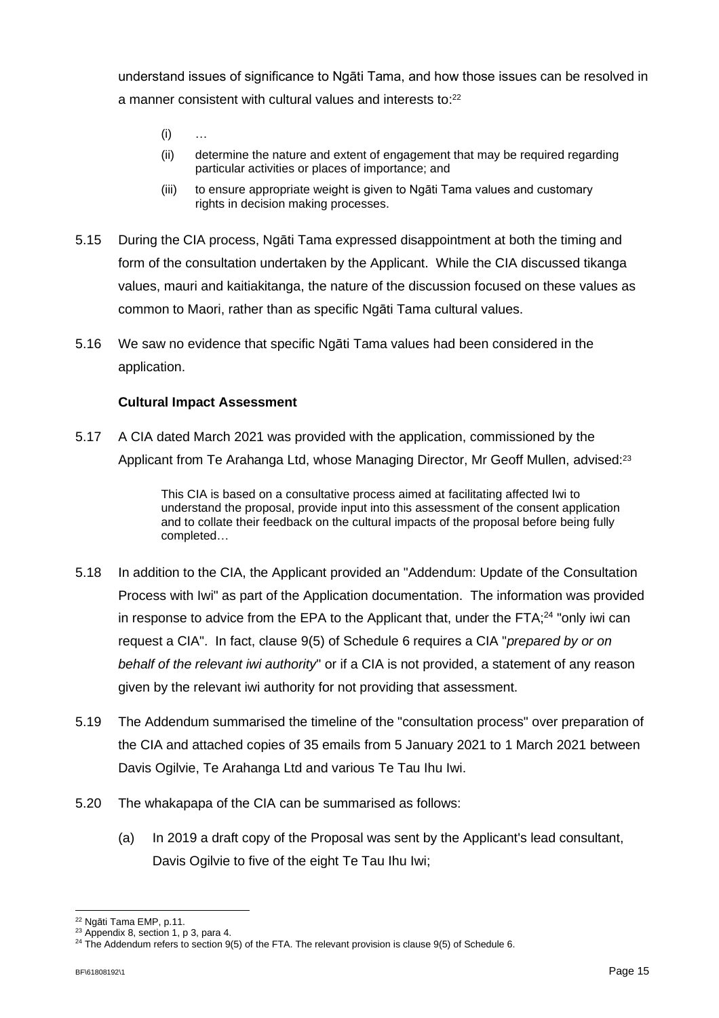understand issues of significance to Ngāti Tama, and how those issues can be resolved in a manner consistent with cultural values and interests to: 22

- $(i)$
- (ii) determine the nature and extent of engagement that may be required regarding particular activities or places of importance; and
- (iii) to ensure appropriate weight is given to Ngāti Tama values and customary rights in decision making processes.
- 5.15 During the CIA process, Ngāti Tama expressed disappointment at both the timing and form of the consultation undertaken by the Applicant. While the CIA discussed tikanga values, mauri and kaitiakitanga, the nature of the discussion focused on these values as common to Maori, rather than as specific Ngāti Tama cultural values.
- 5.16 We saw no evidence that specific Ngāti Tama values had been considered in the application.

### **Cultural Impact Assessment**

5.17 A CIA dated March 2021 was provided with the application, commissioned by the Applicant from Te Arahanga Ltd, whose Managing Director, Mr Geoff Mullen, advised:<sup>23</sup>

> This CIA is based on a consultative process aimed at facilitating affected Iwi to understand the proposal, provide input into this assessment of the consent application and to collate their feedback on the cultural impacts of the proposal before being fully completed…

- 5.18 In addition to the CIA, the Applicant provided an "Addendum: Update of the Consultation Process with Iwi" as part of the Application documentation. The information was provided in response to advice from the EPA to the Applicant that, under the FTA;<sup>24</sup> "only iwi can request a CIA". In fact, clause 9(5) of Schedule 6 requires a CIA "*prepared by or on behalf of the relevant iwi authority*" or if a CIA is not provided, a statement of any reason given by the relevant iwi authority for not providing that assessment.
- 5.19 The Addendum summarised the timeline of the "consultation process" over preparation of the CIA and attached copies of 35 emails from 5 January 2021 to 1 March 2021 between Davis Ogilvie, Te Arahanga Ltd and various Te Tau Ihu Iwi.
- 5.20 The whakapapa of the CIA can be summarised as follows:
	- (a) In 2019 a draft copy of the Proposal was sent by the Applicant's lead consultant, Davis Ogilvie to five of the eight Te Tau Ihu Iwi;

<sup>22</sup> Ngāti Tama EMP, p.11.

<sup>&</sup>lt;sup>23</sup> Appendix 8, section 1, p 3, para 4.

 $24$  The Addendum refers to section 9(5) of the FTA. The relevant provision is clause 9(5) of Schedule 6.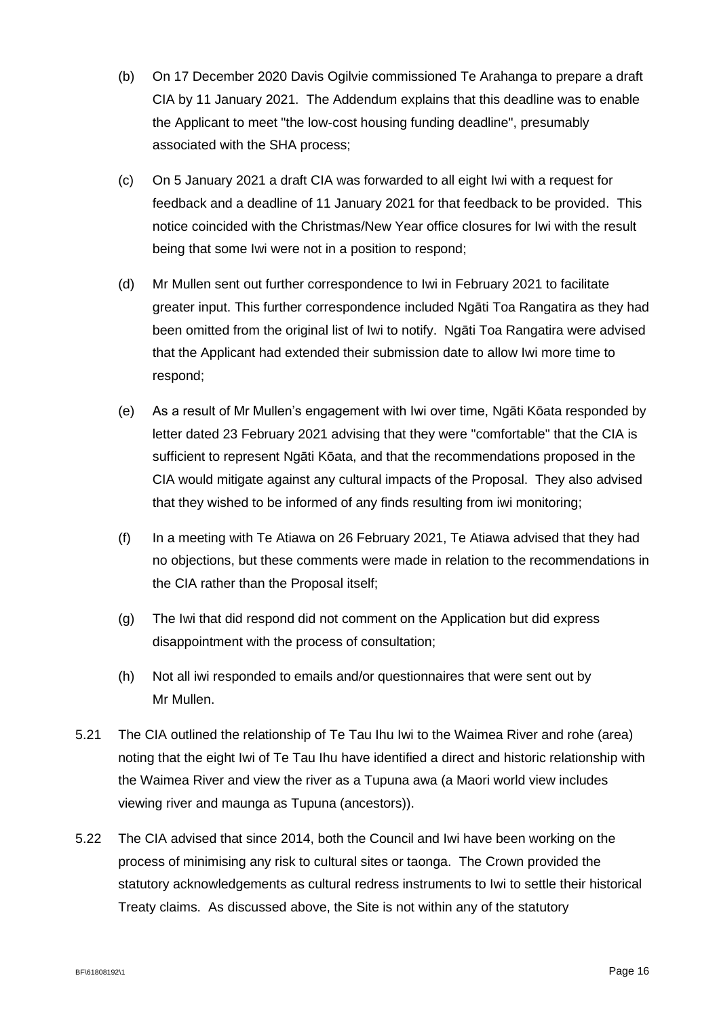- (b) On 17 December 2020 Davis Ogilvie commissioned Te Arahanga to prepare a draft CIA by 11 January 2021. The Addendum explains that this deadline was to enable the Applicant to meet "the low-cost housing funding deadline", presumably associated with the SHA process;
- (c) On 5 January 2021 a draft CIA was forwarded to all eight Iwi with a request for feedback and a deadline of 11 January 2021 for that feedback to be provided. This notice coincided with the Christmas/New Year office closures for Iwi with the result being that some Iwi were not in a position to respond;
- (d) Mr Mullen sent out further correspondence to Iwi in February 2021 to facilitate greater input. This further correspondence included Ngāti Toa Rangatira as they had been omitted from the original list of Iwi to notify. Ngāti Toa Rangatira were advised that the Applicant had extended their submission date to allow Iwi more time to respond;
- (e) As a result of Mr Mullen's engagement with Iwi over time, Ngāti Kōata responded by letter dated 23 February 2021 advising that they were "comfortable" that the CIA is sufficient to represent Ngāti Kōata, and that the recommendations proposed in the CIA would mitigate against any cultural impacts of the Proposal. They also advised that they wished to be informed of any finds resulting from iwi monitoring;
- (f) In a meeting with Te Atiawa on 26 February 2021, Te Atiawa advised that they had no objections, but these comments were made in relation to the recommendations in the CIA rather than the Proposal itself;
- (g) The Iwi that did respond did not comment on the Application but did express disappointment with the process of consultation;
- (h) Not all iwi responded to emails and/or questionnaires that were sent out by Mr Mullen.
- 5.21 The CIA outlined the relationship of Te Tau Ihu Iwi to the Waimea River and rohe (area) noting that the eight Iwi of Te Tau Ihu have identified a direct and historic relationship with the Waimea River and view the river as a Tupuna awa (a Maori world view includes viewing river and maunga as Tupuna (ancestors)).
- 5.22 The CIA advised that since 2014, both the Council and Iwi have been working on the process of minimising any risk to cultural sites or taonga. The Crown provided the statutory acknowledgements as cultural redress instruments to Iwi to settle their historical Treaty claims. As discussed above, the Site is not within any of the statutory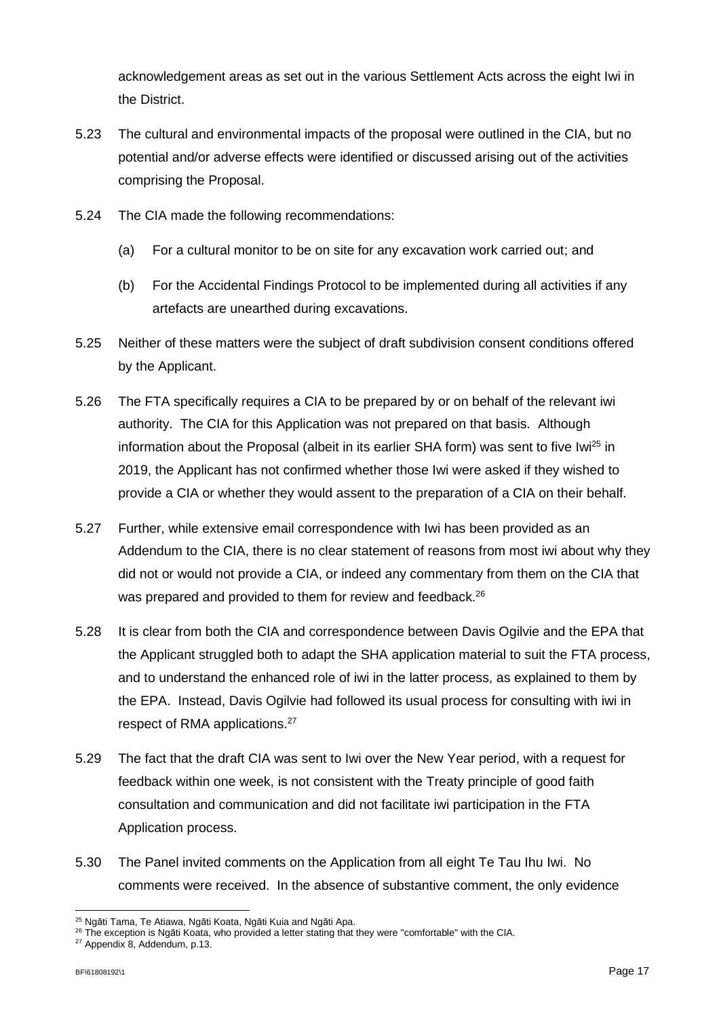acknowledgement areas as set out in the various Settlement Acts across the eight Iwi in the District.

- 5.23 The cultural and environmental impacts of the proposal were outlined in the CIA, but no potential and/or adverse effects were identified or discussed arising out of the activities comprising the Proposal.
- 5.24 The CIA made the following recommendations:
	- (a) For a cultural monitor to be on site for any excavation work carried out; and
	- (b) For the Accidental Findings Protocol to be implemented during all activities if any artefacts are unearthed during excavations.
- 5.25 Neither of these matters were the subject of draft subdivision consent conditions offered by the Applicant.
- 5.26 The FTA specifically requires a CIA to be prepared by or on behalf of the relevant iwi authority. The CIA for this Application was not prepared on that basis. Although information about the Proposal (albeit in its earlier SHA form) was sent to five Iwi<sup>25</sup> in 2019, the Applicant has not confirmed whether those Iwi were asked if they wished to provide a CIA or whether they would assent to the preparation of a CIA on their behalf.
- 5.27 Further, while extensive email correspondence with Iwi has been provided as an Addendum to the CIA, there is no clear statement of reasons from most iwi about why they did not or would not provide a CIA, or indeed any commentary from them on the CIA that was prepared and provided to them for review and feedback.<sup>26</sup>
- 5.28 It is clear from both the CIA and correspondence between Davis Ogilvie and the EPA that the Applicant struggled both to adapt the SHA application material to suit the FTA process, and to understand the enhanced role of iwi in the latter process, as explained to them by the EPA. Instead, Davis Ogilvie had followed its usual process for consulting with iwi in respect of RMA applications. 27
- 5.29 The fact that the draft CIA was sent to Iwi over the New Year period, with a request for feedback within one week, is not consistent with the Treaty principle of good faith consultation and communication and did not facilitate iwi participation in the FTA Application process.
- 5.30 The Panel invited comments on the Application from all eight Te Tau Ihu Iwi. No comments were received. In the absence of substantive comment, the only evidence

<sup>&</sup>lt;sup>25</sup> Ngāti Tama, Te Atiawa, Ngāti Koata, Ngāti Kuia and Ngāti Apa.

<sup>&</sup>lt;sup>26</sup> The exception is Ngāti Koata, who provided a letter stating that they were "comfortable" with the CIA.

<sup>27</sup> Appendix 8, Addendum, p.13.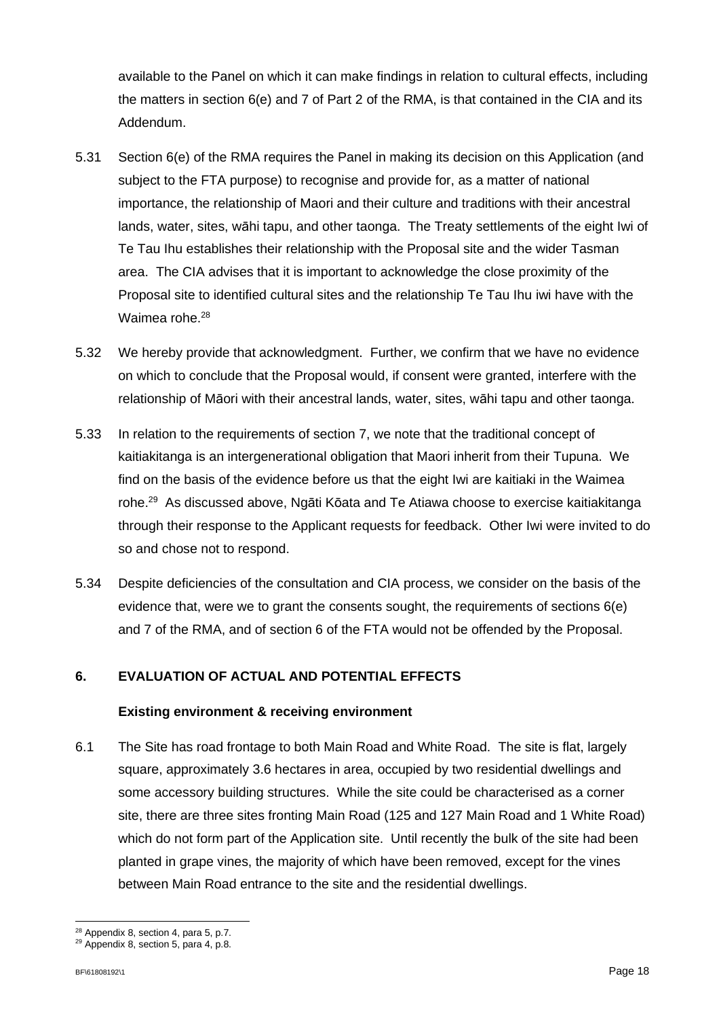available to the Panel on which it can make findings in relation to cultural effects, including the matters in section 6(e) and 7 of Part 2 of the RMA, is that contained in the CIA and its Addendum.

- 5.31 Section 6(e) of the RMA requires the Panel in making its decision on this Application (and subject to the FTA purpose) to recognise and provide for, as a matter of national importance, the relationship of Maori and their culture and traditions with their ancestral lands, water, sites, wāhi tapu, and other taonga. The Treaty settlements of the eight Iwi of Te Tau Ihu establishes their relationship with the Proposal site and the wider Tasman area. The CIA advises that it is important to acknowledge the close proximity of the Proposal site to identified cultural sites and the relationship Te Tau Ihu iwi have with the Waimea rohe.<sup>28</sup>
- 5.32 We hereby provide that acknowledgment. Further, we confirm that we have no evidence on which to conclude that the Proposal would, if consent were granted, interfere with the relationship of Māori with their ancestral lands, water, sites, wāhi tapu and other taonga.
- 5.33 In relation to the requirements of section 7, we note that the traditional concept of kaitiakitanga is an intergenerational obligation that Maori inherit from their Tupuna. We find on the basis of the evidence before us that the eight Iwi are kaitiaki in the Waimea rohe.<sup>29</sup> As discussed above, Ngāti Kōata and Te Atiawa choose to exercise kaitiakitanga through their response to the Applicant requests for feedback. Other Iwi were invited to do so and chose not to respond.
- 5.34 Despite deficiencies of the consultation and CIA process, we consider on the basis of the evidence that, were we to grant the consents sought, the requirements of sections 6(e) and 7 of the RMA, and of section 6 of the FTA would not be offended by the Proposal.

### **6. EVALUATION OF ACTUAL AND POTENTIAL EFFECTS**

### **Existing environment & receiving environment**

6.1 The Site has road frontage to both Main Road and White Road. The site is flat, largely square, approximately 3.6 hectares in area, occupied by two residential dwellings and some accessory building structures. While the site could be characterised as a corner site, there are three sites fronting Main Road (125 and 127 Main Road and 1 White Road) which do not form part of the Application site. Until recently the bulk of the site had been planted in grape vines, the majority of which have been removed, except for the vines between Main Road entrance to the site and the residential dwellings.

<sup>28</sup> Appendix 8, section 4, para 5, p.7.

 $29$  Appendix 8, section 5, para 4, p.8.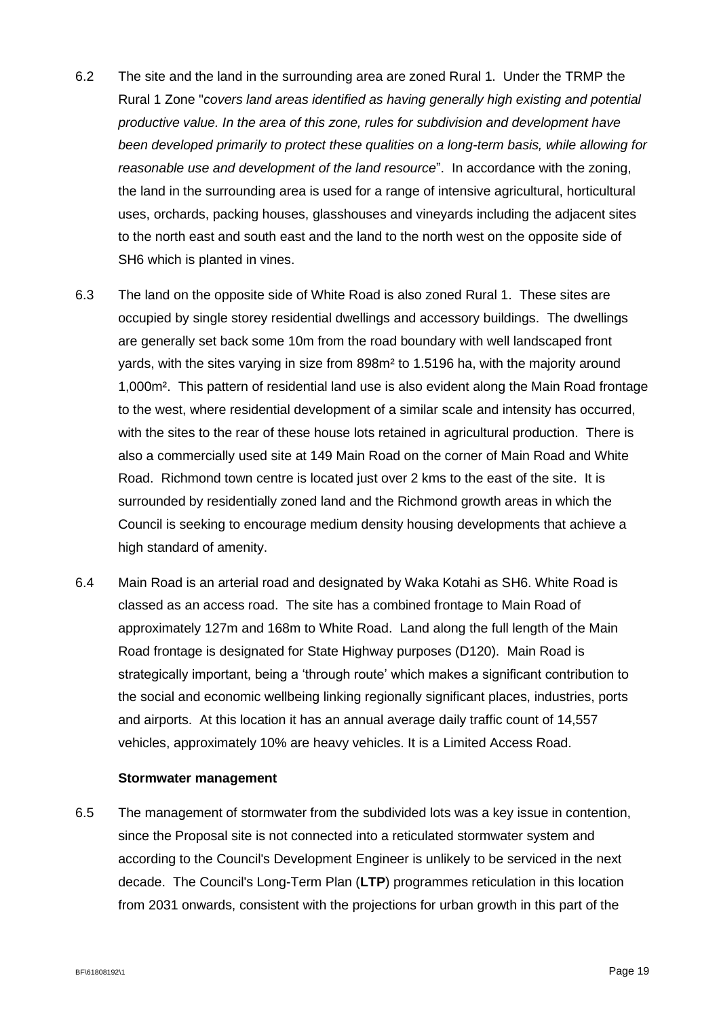- 6.2 The site and the land in the surrounding area are zoned Rural 1. Under the TRMP the Rural 1 Zone "*covers land areas identified as having generally high existing and potential productive value. In the area of this zone, rules for subdivision and development have been developed primarily to protect these qualities on a long-term basis, while allowing for reasonable use and development of the land resource*". In accordance with the zoning, the land in the surrounding area is used for a range of intensive agricultural, horticultural uses, orchards, packing houses, glasshouses and vineyards including the adjacent sites to the north east and south east and the land to the north west on the opposite side of SH6 which is planted in vines.
- 6.3 The land on the opposite side of White Road is also zoned Rural 1. These sites are occupied by single storey residential dwellings and accessory buildings. The dwellings are generally set back some 10m from the road boundary with well landscaped front yards, with the sites varying in size from 898m² to 1.5196 ha, with the majority around 1,000m². This pattern of residential land use is also evident along the Main Road frontage to the west, where residential development of a similar scale and intensity has occurred, with the sites to the rear of these house lots retained in agricultural production. There is also a commercially used site at 149 Main Road on the corner of Main Road and White Road. Richmond town centre is located just over 2 kms to the east of the site. It is surrounded by residentially zoned land and the Richmond growth areas in which the Council is seeking to encourage medium density housing developments that achieve a high standard of amenity.
- 6.4 Main Road is an arterial road and designated by Waka Kotahi as SH6. White Road is classed as an access road. The site has a combined frontage to Main Road of approximately 127m and 168m to White Road. Land along the full length of the Main Road frontage is designated for State Highway purposes (D120). Main Road is strategically important, being a 'through route' which makes a significant contribution to the social and economic wellbeing linking regionally significant places, industries, ports and airports. At this location it has an annual average daily traffic count of 14,557 vehicles, approximately 10% are heavy vehicles. It is a Limited Access Road.

#### **Stormwater management**

6.5 The management of stormwater from the subdivided lots was a key issue in contention, since the Proposal site is not connected into a reticulated stormwater system and according to the Council's Development Engineer is unlikely to be serviced in the next decade. The Council's Long-Term Plan (**LTP**) programmes reticulation in this location from 2031 onwards, consistent with the projections for urban growth in this part of the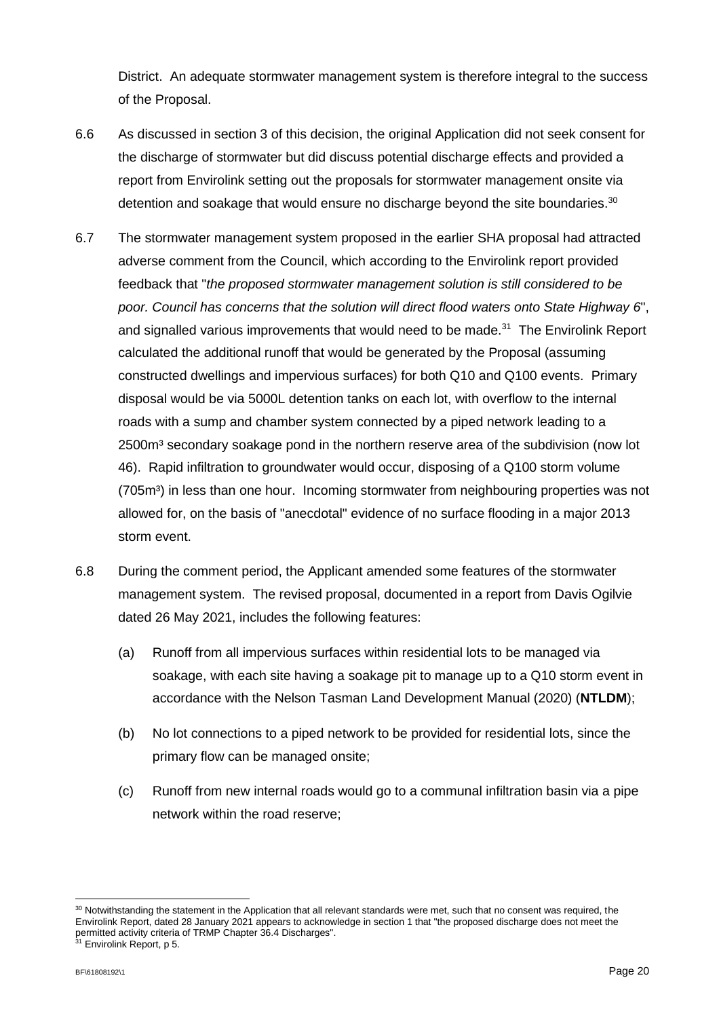District. An adequate stormwater management system is therefore integral to the success of the Proposal.

- 6.6 As discussed in section 3 of this decision, the original Application did not seek consent for the discharge of stormwater but did discuss potential discharge effects and provided a report from Envirolink setting out the proposals for stormwater management onsite via detention and soakage that would ensure no discharge beyond the site boundaries. $^{30}$
- 6.7 The stormwater management system proposed in the earlier SHA proposal had attracted adverse comment from the Council, which according to the Envirolink report provided feedback that "*the proposed stormwater management solution is still considered to be poor. Council has concerns that the solution will direct flood waters onto State Highway 6*", and signalled various improvements that would need to be made.<sup>31</sup> The Envirolink Report calculated the additional runoff that would be generated by the Proposal (assuming constructed dwellings and impervious surfaces) for both Q10 and Q100 events. Primary disposal would be via 5000L detention tanks on each lot, with overflow to the internal roads with a sump and chamber system connected by a piped network leading to a 2500m<sup>3</sup> secondary soakage pond in the northern reserve area of the subdivision (now lot 46). Rapid infiltration to groundwater would occur, disposing of a Q100 storm volume (705m<sup>3</sup>) in less than one hour. Incoming stormwater from neighbouring properties was not allowed for, on the basis of "anecdotal" evidence of no surface flooding in a major 2013 storm event.
- 6.8 During the comment period, the Applicant amended some features of the stormwater management system. The revised proposal, documented in a report from Davis Ogilvie dated 26 May 2021, includes the following features:
	- (a) Runoff from all impervious surfaces within residential lots to be managed via soakage, with each site having a soakage pit to manage up to a Q10 storm event in accordance with the Nelson Tasman Land Development Manual (2020) (**NTLDM**);
	- (b) No lot connections to a piped network to be provided for residential lots, since the primary flow can be managed onsite;
	- (c) Runoff from new internal roads would go to a communal infiltration basin via a pipe network within the road reserve;

<sup>30</sup> Notwithstanding the statement in the Application that all relevant standards were met, such that no consent was required, the Envirolink Report, dated 28 January 2021 appears to acknowledge in section 1 that "the proposed discharge does not meet the permitted activity criteria of TRMP Chapter 36.4 Discharges".

<sup>&</sup>lt;sup>31</sup> Envirolink Report, p 5.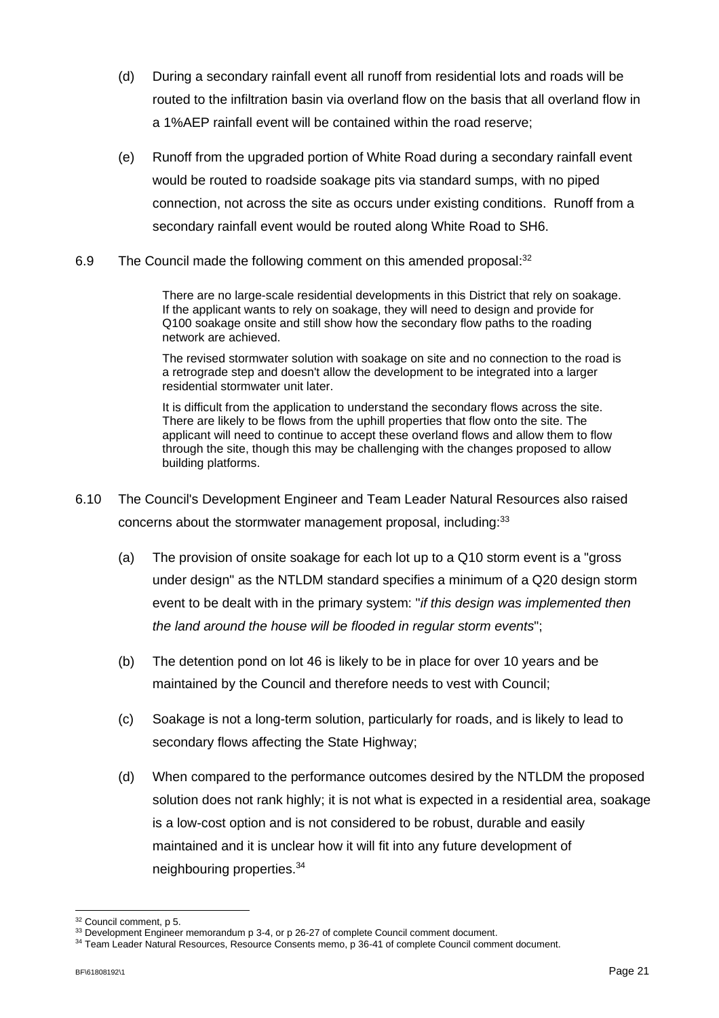- (d) During a secondary rainfall event all runoff from residential lots and roads will be routed to the infiltration basin via overland flow on the basis that all overland flow in a 1%AEP rainfall event will be contained within the road reserve;
- (e) Runoff from the upgraded portion of White Road during a secondary rainfall event would be routed to roadside soakage pits via standard sumps, with no piped connection, not across the site as occurs under existing conditions. Runoff from a secondary rainfall event would be routed along White Road to SH6.
- 6.9 The Council made the following comment on this amended proposal:<sup>32</sup>

There are no large-scale residential developments in this District that rely on soakage. If the applicant wants to rely on soakage, they will need to design and provide for Q100 soakage onsite and still show how the secondary flow paths to the roading network are achieved.

The revised stormwater solution with soakage on site and no connection to the road is a retrograde step and doesn't allow the development to be integrated into a larger residential stormwater unit later.

It is difficult from the application to understand the secondary flows across the site. There are likely to be flows from the uphill properties that flow onto the site. The applicant will need to continue to accept these overland flows and allow them to flow through the site, though this may be challenging with the changes proposed to allow building platforms.

- 6.10 The Council's Development Engineer and Team Leader Natural Resources also raised concerns about the stormwater management proposal, including: 33
	- (a) The provision of onsite soakage for each lot up to a Q10 storm event is a "gross under design" as the NTLDM standard specifies a minimum of a Q20 design storm event to be dealt with in the primary system: "*if this design was implemented then the land around the house will be flooded in regular storm events*";
	- (b) The detention pond on lot 46 is likely to be in place for over 10 years and be maintained by the Council and therefore needs to vest with Council;
	- (c) Soakage is not a long-term solution, particularly for roads, and is likely to lead to secondary flows affecting the State Highway;
	- (d) When compared to the performance outcomes desired by the NTLDM the proposed solution does not rank highly; it is not what is expected in a residential area, soakage is a low-cost option and is not considered to be robust, durable and easily maintained and it is unclear how it will fit into any future development of neighbouring properties.<sup>34</sup>

<sup>32</sup> Council comment, p 5.

<sup>&</sup>lt;sup>33</sup> Development Engineer memorandum p 3-4, or p 26-27 of complete Council comment document.

<sup>34</sup> Team Leader Natural Resources, Resource Consents memo, p 36-41 of complete Council comment document.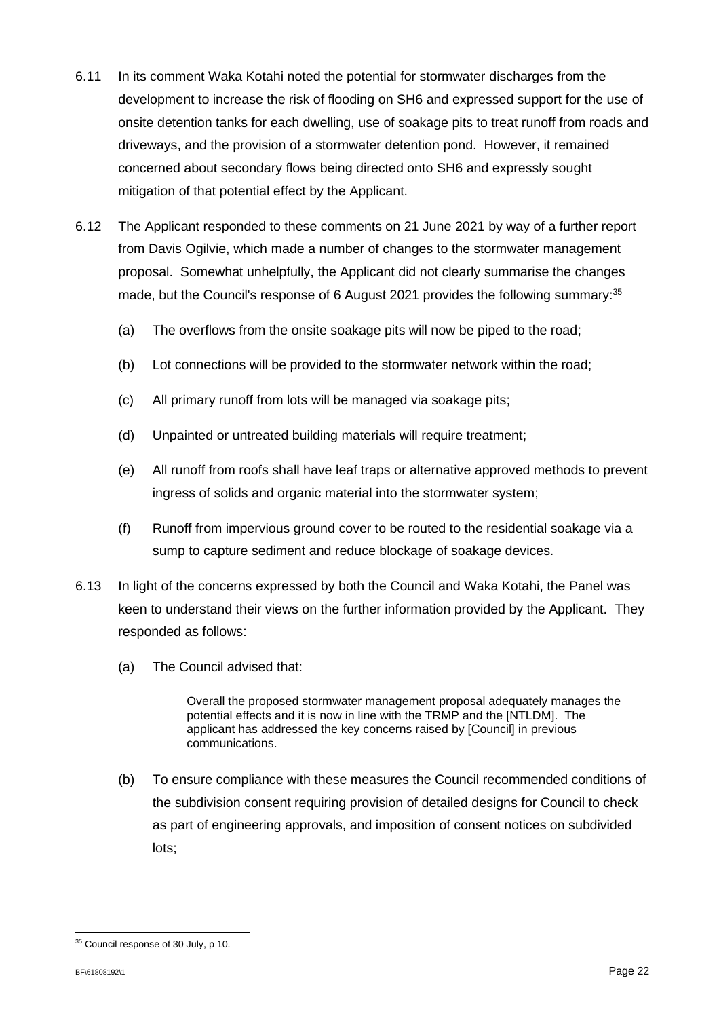- 6.11 In its comment Waka Kotahi noted the potential for stormwater discharges from the development to increase the risk of flooding on SH6 and expressed support for the use of onsite detention tanks for each dwelling, use of soakage pits to treat runoff from roads and driveways, and the provision of a stormwater detention pond. However, it remained concerned about secondary flows being directed onto SH6 and expressly sought mitigation of that potential effect by the Applicant.
- 6.12 The Applicant responded to these comments on 21 June 2021 by way of a further report from Davis Ogilvie, which made a number of changes to the stormwater management proposal. Somewhat unhelpfully, the Applicant did not clearly summarise the changes made, but the Council's response of 6 August 2021 provides the following summary:<sup>35</sup>
	- (a) The overflows from the onsite soakage pits will now be piped to the road;
	- (b) Lot connections will be provided to the stormwater network within the road;
	- (c) All primary runoff from lots will be managed via soakage pits;
	- (d) Unpainted or untreated building materials will require treatment;
	- (e) All runoff from roofs shall have leaf traps or alternative approved methods to prevent ingress of solids and organic material into the stormwater system;
	- (f) Runoff from impervious ground cover to be routed to the residential soakage via a sump to capture sediment and reduce blockage of soakage devices.
- 6.13 In light of the concerns expressed by both the Council and Waka Kotahi, the Panel was keen to understand their views on the further information provided by the Applicant. They responded as follows:
	- (a) The Council advised that:

Overall the proposed stormwater management proposal adequately manages the potential effects and it is now in line with the TRMP and the [NTLDM]. The applicant has addressed the key concerns raised by [Council] in previous communications.

(b) To ensure compliance with these measures the Council recommended conditions of the subdivision consent requiring provision of detailed designs for Council to check as part of engineering approvals, and imposition of consent notices on subdivided lots;

<sup>&</sup>lt;sup>35</sup> Council response of 30 July, p 10.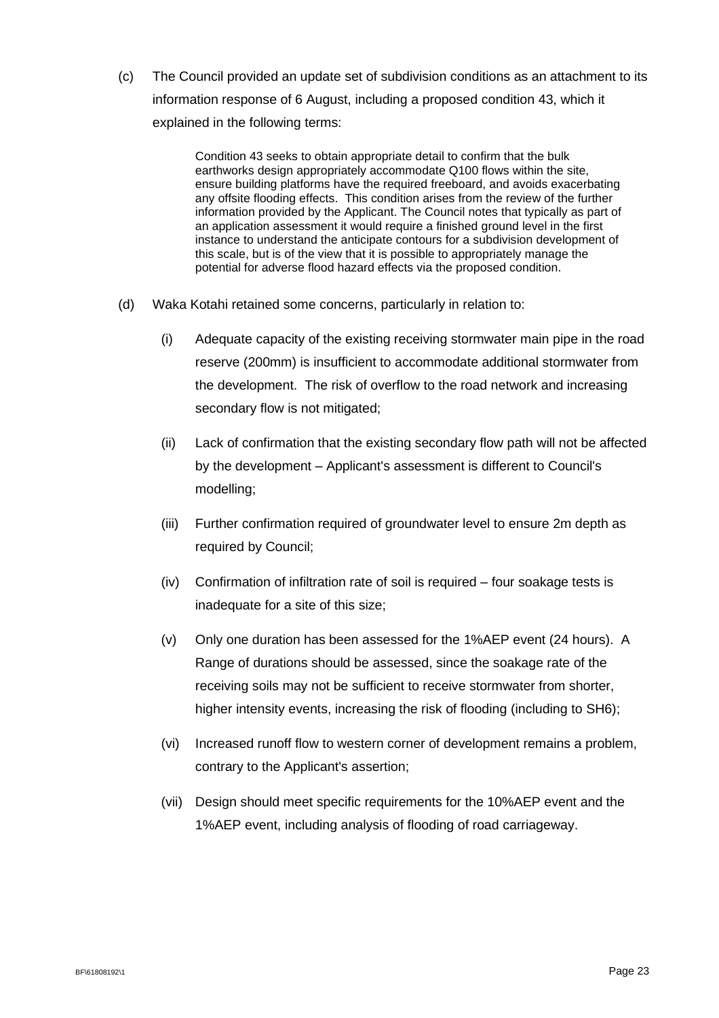(c) The Council provided an update set of subdivision conditions as an attachment to its information response of 6 August, including a proposed condition 43, which it explained in the following terms:

> Condition 43 seeks to obtain appropriate detail to confirm that the bulk earthworks design appropriately accommodate Q100 flows within the site, ensure building platforms have the required freeboard, and avoids exacerbating any offsite flooding effects. This condition arises from the review of the further information provided by the Applicant. The Council notes that typically as part of an application assessment it would require a finished ground level in the first instance to understand the anticipate contours for a subdivision development of this scale, but is of the view that it is possible to appropriately manage the potential for adverse flood hazard effects via the proposed condition.

- (d) Waka Kotahi retained some concerns, particularly in relation to:
	- (i) Adequate capacity of the existing receiving stormwater main pipe in the road reserve (200mm) is insufficient to accommodate additional stormwater from the development. The risk of overflow to the road network and increasing secondary flow is not mitigated;
	- (ii) Lack of confirmation that the existing secondary flow path will not be affected by the development – Applicant's assessment is different to Council's modelling;
	- (iii) Further confirmation required of groundwater level to ensure 2m depth as required by Council;
	- (iv) Confirmation of infiltration rate of soil is required four soakage tests is inadequate for a site of this size;
	- (v) Only one duration has been assessed for the 1%AEP event (24 hours). A Range of durations should be assessed, since the soakage rate of the receiving soils may not be sufficient to receive stormwater from shorter, higher intensity events, increasing the risk of flooding (including to SH6);
	- (vi) Increased runoff flow to western corner of development remains a problem, contrary to the Applicant's assertion;
	- (vii) Design should meet specific requirements for the 10%AEP event and the 1%AEP event, including analysis of flooding of road carriageway.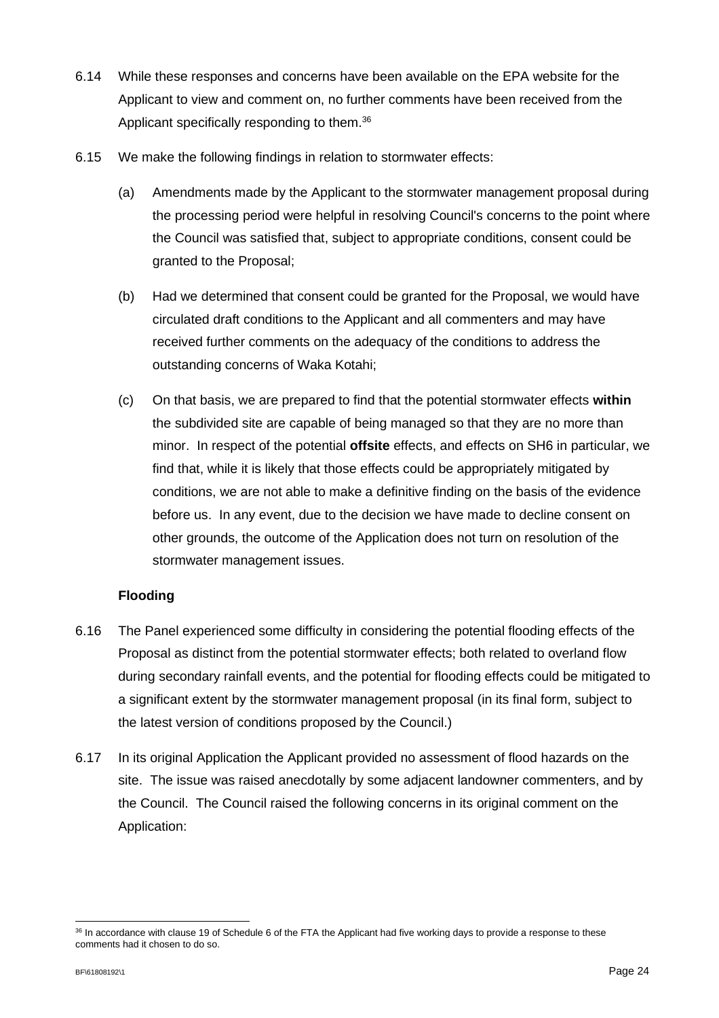- 6.14 While these responses and concerns have been available on the EPA website for the Applicant to view and comment on, no further comments have been received from the Applicant specifically responding to them.<sup>36</sup>
- 6.15 We make the following findings in relation to stormwater effects:
	- (a) Amendments made by the Applicant to the stormwater management proposal during the processing period were helpful in resolving Council's concerns to the point where the Council was satisfied that, subject to appropriate conditions, consent could be granted to the Proposal;
	- (b) Had we determined that consent could be granted for the Proposal, we would have circulated draft conditions to the Applicant and all commenters and may have received further comments on the adequacy of the conditions to address the outstanding concerns of Waka Kotahi;
	- (c) On that basis, we are prepared to find that the potential stormwater effects **within** the subdivided site are capable of being managed so that they are no more than minor. In respect of the potential **offsite** effects, and effects on SH6 in particular, we find that, while it is likely that those effects could be appropriately mitigated by conditions, we are not able to make a definitive finding on the basis of the evidence before us. In any event, due to the decision we have made to decline consent on other grounds, the outcome of the Application does not turn on resolution of the stormwater management issues.

### **Flooding**

- 6.16 The Panel experienced some difficulty in considering the potential flooding effects of the Proposal as distinct from the potential stormwater effects; both related to overland flow during secondary rainfall events, and the potential for flooding effects could be mitigated to a significant extent by the stormwater management proposal (in its final form, subject to the latest version of conditions proposed by the Council.)
- 6.17 In its original Application the Applicant provided no assessment of flood hazards on the site. The issue was raised anecdotally by some adjacent landowner commenters, and by the Council. The Council raised the following concerns in its original comment on the Application:

<sup>36</sup> In accordance with clause 19 of Schedule 6 of the FTA the Applicant had five working days to provide a response to these comments had it chosen to do so.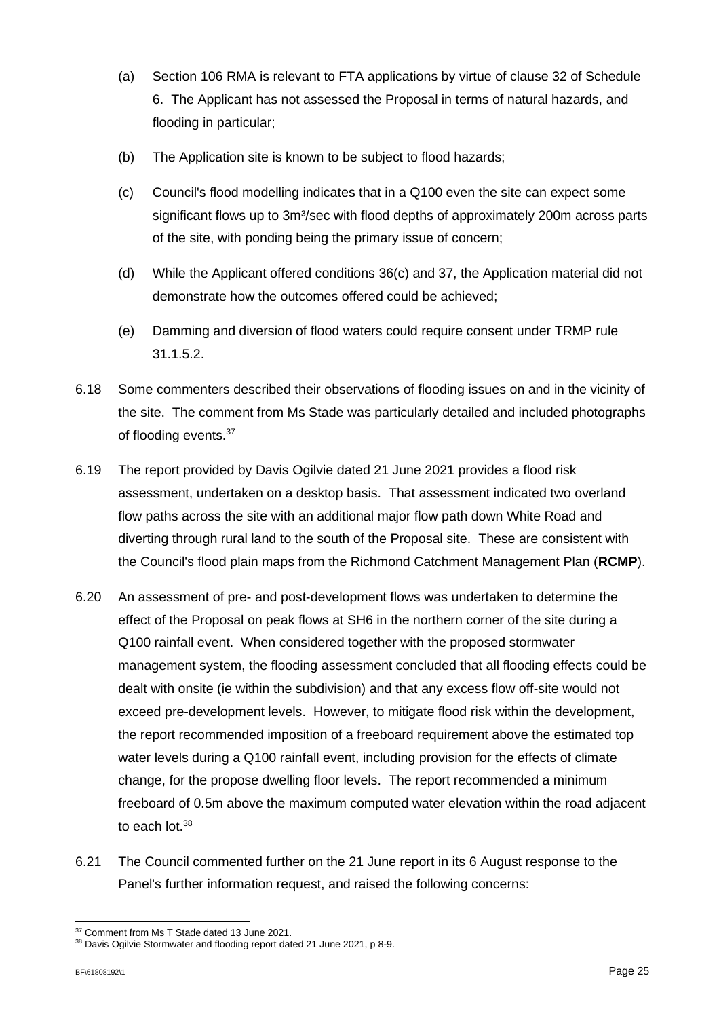- (a) Section 106 RMA is relevant to FTA applications by virtue of clause 32 of Schedule 6. The Applicant has not assessed the Proposal in terms of natural hazards, and flooding in particular;
- (b) The Application site is known to be subject to flood hazards;
- (c) Council's flood modelling indicates that in a Q100 even the site can expect some significant flows up to 3m<sup>3</sup>/sec with flood depths of approximately 200m across parts of the site, with ponding being the primary issue of concern;
- (d) While the Applicant offered conditions 36(c) and 37, the Application material did not demonstrate how the outcomes offered could be achieved;
- (e) Damming and diversion of flood waters could require consent under TRMP rule 31.1.5.2.
- 6.18 Some commenters described their observations of flooding issues on and in the vicinity of the site. The comment from Ms Stade was particularly detailed and included photographs of flooding events.<sup>37</sup>
- 6.19 The report provided by Davis Ogilvie dated 21 June 2021 provides a flood risk assessment, undertaken on a desktop basis. That assessment indicated two overland flow paths across the site with an additional major flow path down White Road and diverting through rural land to the south of the Proposal site. These are consistent with the Council's flood plain maps from the Richmond Catchment Management Plan (**RCMP**).
- 6.20 An assessment of pre- and post-development flows was undertaken to determine the effect of the Proposal on peak flows at SH6 in the northern corner of the site during a Q100 rainfall event. When considered together with the proposed stormwater management system, the flooding assessment concluded that all flooding effects could be dealt with onsite (ie within the subdivision) and that any excess flow off-site would not exceed pre-development levels. However, to mitigate flood risk within the development, the report recommended imposition of a freeboard requirement above the estimated top water levels during a Q100 rainfall event, including provision for the effects of climate change, for the propose dwelling floor levels. The report recommended a minimum freeboard of 0.5m above the maximum computed water elevation within the road adjacent to each lot.<sup>38</sup>
- 6.21 The Council commented further on the 21 June report in its 6 August response to the Panel's further information request, and raised the following concerns:

<sup>&</sup>lt;sup>37</sup> Comment from Ms T Stade dated 13 June 2021.

<sup>38</sup> Davis Ogilvie Stormwater and flooding report dated 21 June 2021, p 8-9.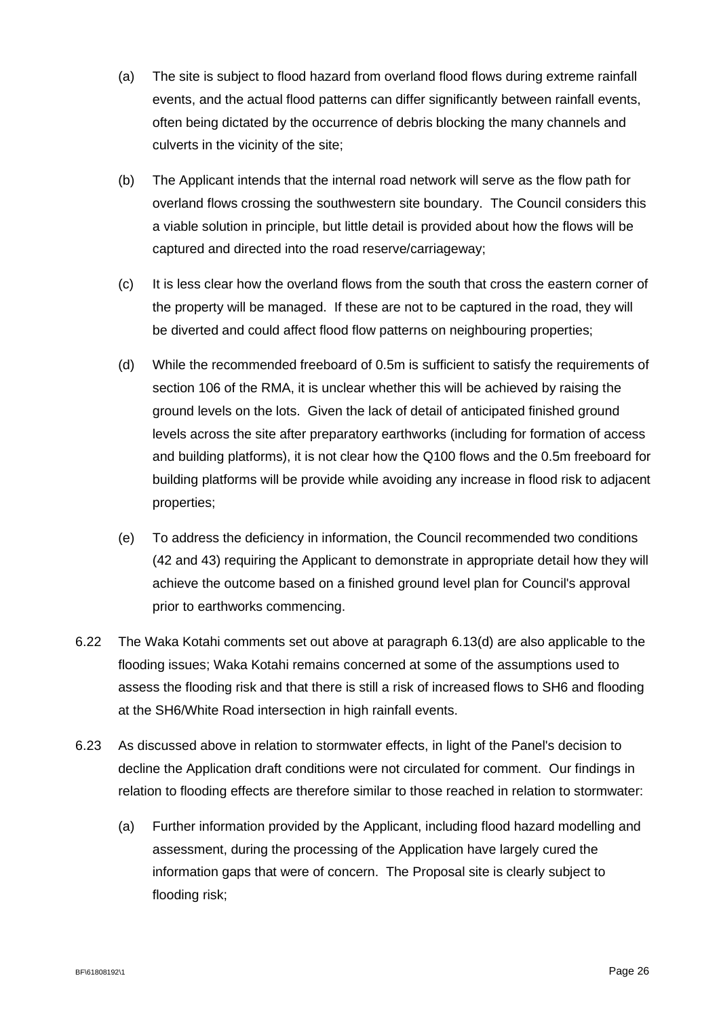- (a) The site is subject to flood hazard from overland flood flows during extreme rainfall events, and the actual flood patterns can differ significantly between rainfall events, often being dictated by the occurrence of debris blocking the many channels and culverts in the vicinity of the site;
- (b) The Applicant intends that the internal road network will serve as the flow path for overland flows crossing the southwestern site boundary. The Council considers this a viable solution in principle, but little detail is provided about how the flows will be captured and directed into the road reserve/carriageway;
- (c) It is less clear how the overland flows from the south that cross the eastern corner of the property will be managed. If these are not to be captured in the road, they will be diverted and could affect flood flow patterns on neighbouring properties;
- (d) While the recommended freeboard of 0.5m is sufficient to satisfy the requirements of section 106 of the RMA, it is unclear whether this will be achieved by raising the ground levels on the lots. Given the lack of detail of anticipated finished ground levels across the site after preparatory earthworks (including for formation of access and building platforms), it is not clear how the Q100 flows and the 0.5m freeboard for building platforms will be provide while avoiding any increase in flood risk to adjacent properties;
- (e) To address the deficiency in information, the Council recommended two conditions (42 and 43) requiring the Applicant to demonstrate in appropriate detail how they will achieve the outcome based on a finished ground level plan for Council's approval prior to earthworks commencing.
- 6.22 The Waka Kotahi comments set out above at paragraph 6.13(d) are also applicable to the flooding issues; Waka Kotahi remains concerned at some of the assumptions used to assess the flooding risk and that there is still a risk of increased flows to SH6 and flooding at the SH6/White Road intersection in high rainfall events.
- 6.23 As discussed above in relation to stormwater effects, in light of the Panel's decision to decline the Application draft conditions were not circulated for comment. Our findings in relation to flooding effects are therefore similar to those reached in relation to stormwater:
	- (a) Further information provided by the Applicant, including flood hazard modelling and assessment, during the processing of the Application have largely cured the information gaps that were of concern. The Proposal site is clearly subject to flooding risk;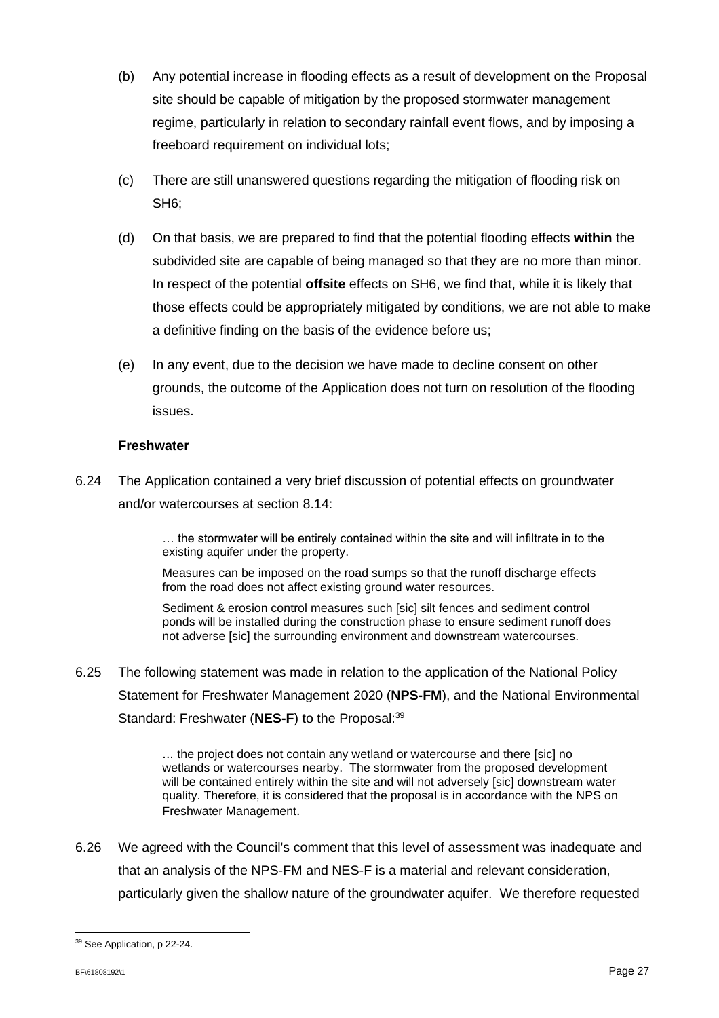- (b) Any potential increase in flooding effects as a result of development on the Proposal site should be capable of mitigation by the proposed stormwater management regime, particularly in relation to secondary rainfall event flows, and by imposing a freeboard requirement on individual lots;
- (c) There are still unanswered questions regarding the mitigation of flooding risk on SH6;
- (d) On that basis, we are prepared to find that the potential flooding effects **within** the subdivided site are capable of being managed so that they are no more than minor. In respect of the potential **offsite** effects on SH6, we find that, while it is likely that those effects could be appropriately mitigated by conditions, we are not able to make a definitive finding on the basis of the evidence before us;
- (e) In any event, due to the decision we have made to decline consent on other grounds, the outcome of the Application does not turn on resolution of the flooding issues.

### **Freshwater**

6.24 The Application contained a very brief discussion of potential effects on groundwater and/or watercourses at section 8.14:

> … the stormwater will be entirely contained within the site and will infiltrate in to the existing aquifer under the property.

Measures can be imposed on the road sumps so that the runoff discharge effects from the road does not affect existing ground water resources.

Sediment & erosion control measures such [sic] silt fences and sediment control ponds will be installed during the construction phase to ensure sediment runoff does not adverse [sic] the surrounding environment and downstream watercourses.

6.25 The following statement was made in relation to the application of the National Policy Statement for Freshwater Management 2020 (**NPS-FM**), and the National Environmental Standard: Freshwater (NES-F) to the Proposal:<sup>39</sup>

> ... the project does not contain any wetland or watercourse and there [sic] no wetlands or watercourses nearby. The stormwater from the proposed development will be contained entirely within the site and will not adversely [sic] downstream water quality. Therefore, it is considered that the proposal is in accordance with the NPS on Freshwater Management.

6.26 We agreed with the Council's comment that this level of assessment was inadequate and that an analysis of the NPS-FM and NES-F is a material and relevant consideration, particularly given the shallow nature of the groundwater aquifer. We therefore requested

<sup>39</sup> See Application, p 22-24.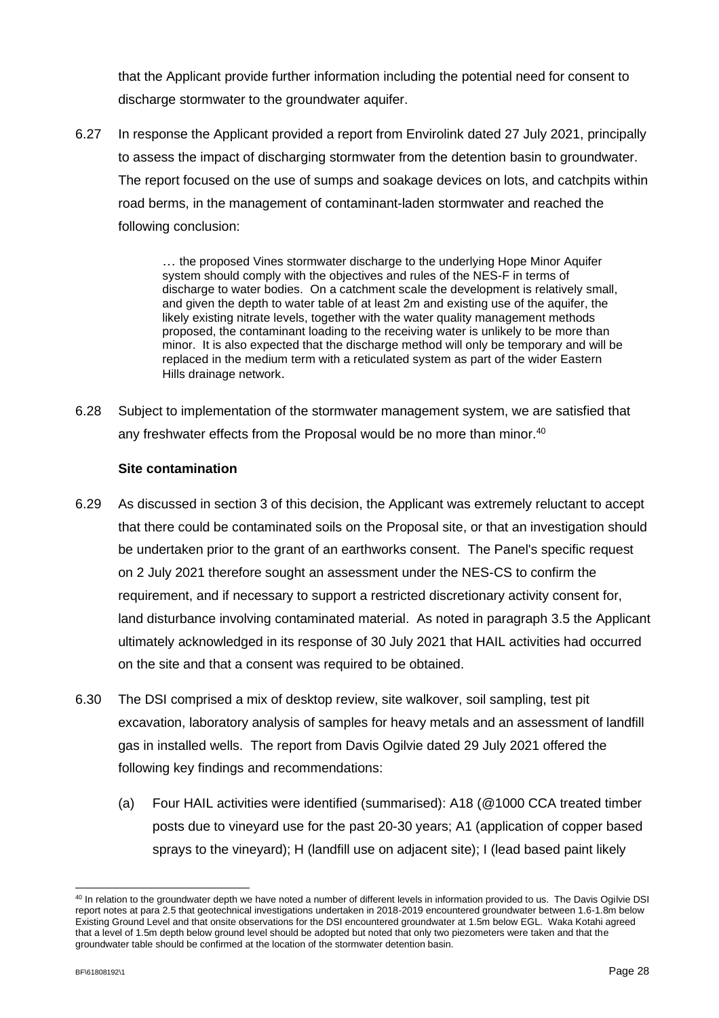that the Applicant provide further information including the potential need for consent to discharge stormwater to the groundwater aquifer.

6.27 In response the Applicant provided a report from Envirolink dated 27 July 2021, principally to assess the impact of discharging stormwater from the detention basin to groundwater. The report focused on the use of sumps and soakage devices on lots, and catchpits within road berms, in the management of contaminant-laden stormwater and reached the following conclusion:

> … the proposed Vines stormwater discharge to the underlying Hope Minor Aquifer system should comply with the objectives and rules of the NES-F in terms of discharge to water bodies. On a catchment scale the development is relatively small, and given the depth to water table of at least 2m and existing use of the aquifer, the likely existing nitrate levels, together with the water quality management methods proposed, the contaminant loading to the receiving water is unlikely to be more than minor. It is also expected that the discharge method will only be temporary and will be replaced in the medium term with a reticulated system as part of the wider Eastern Hills drainage network.

6.28 Subject to implementation of the stormwater management system, we are satisfied that any freshwater effects from the Proposal would be no more than minor.<sup>40</sup>

### **Site contamination**

- 6.29 As discussed in section 3 of this decision, the Applicant was extremely reluctant to accept that there could be contaminated soils on the Proposal site, or that an investigation should be undertaken prior to the grant of an earthworks consent. The Panel's specific request on 2 July 2021 therefore sought an assessment under the NES-CS to confirm the requirement, and if necessary to support a restricted discretionary activity consent for, land disturbance involving contaminated material. As noted in paragraph 3.5 the Applicant ultimately acknowledged in its response of 30 July 2021 that HAIL activities had occurred on the site and that a consent was required to be obtained.
- 6.30 The DSI comprised a mix of desktop review, site walkover, soil sampling, test pit excavation, laboratory analysis of samples for heavy metals and an assessment of landfill gas in installed wells. The report from Davis Ogilvie dated 29 July 2021 offered the following key findings and recommendations:
	- (a) Four HAIL activities were identified (summarised): A18 (@1000 CCA treated timber posts due to vineyard use for the past 20-30 years; A1 (application of copper based sprays to the vineyard); H (landfill use on adjacent site); I (lead based paint likely

<sup>&</sup>lt;sup>40</sup> In relation to the groundwater depth we have noted a number of different levels in information provided to us. The Davis Ogilvie DSI report notes at para 2.5 that geotechnical investigations undertaken in 2018-2019 encountered groundwater between 1.6-1.8m below Existing Ground Level and that onsite observations for the DSI encountered groundwater at 1.5m below EGL. Waka Kotahi agreed that a level of 1.5m depth below ground level should be adopted but noted that only two piezometers were taken and that the groundwater table should be confirmed at the location of the stormwater detention basin.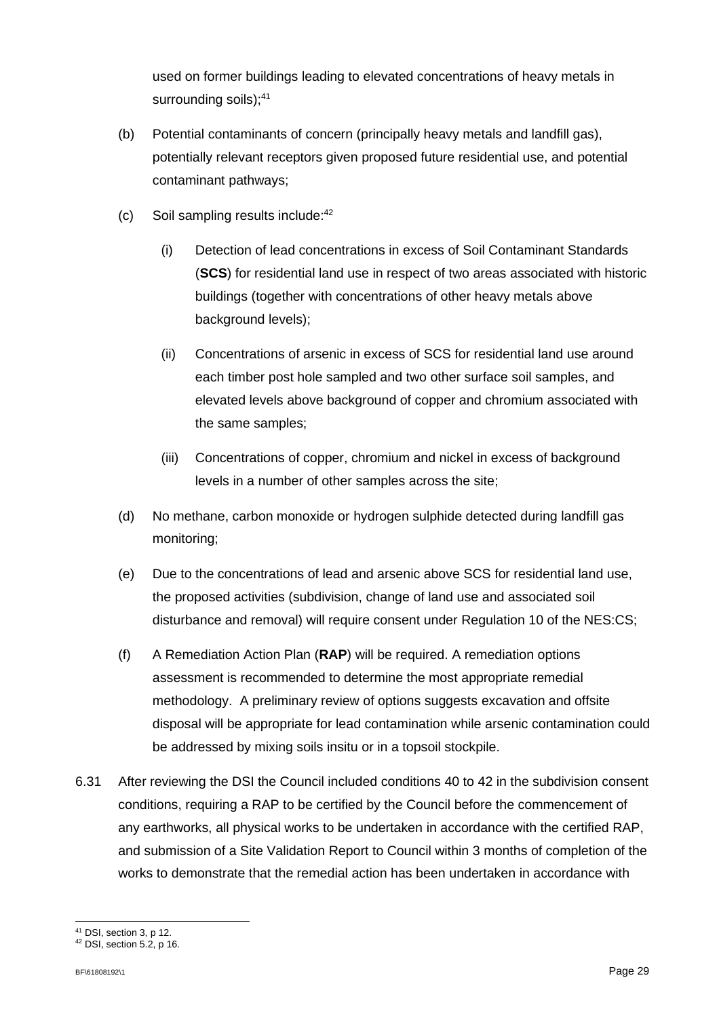used on former buildings leading to elevated concentrations of heavy metals in surrounding soils); 41

- (b) Potential contaminants of concern (principally heavy metals and landfill gas), potentially relevant receptors given proposed future residential use, and potential contaminant pathways;
- (c) Soil sampling results include: 42
	- (i) Detection of lead concentrations in excess of Soil Contaminant Standards (**SCS**) for residential land use in respect of two areas associated with historic buildings (together with concentrations of other heavy metals above background levels);
	- (ii) Concentrations of arsenic in excess of SCS for residential land use around each timber post hole sampled and two other surface soil samples, and elevated levels above background of copper and chromium associated with the same samples;
	- (iii) Concentrations of copper, chromium and nickel in excess of background levels in a number of other samples across the site;
- (d) No methane, carbon monoxide or hydrogen sulphide detected during landfill gas monitoring;
- (e) Due to the concentrations of lead and arsenic above SCS for residential land use, the proposed activities (subdivision, change of land use and associated soil disturbance and removal) will require consent under Regulation 10 of the NES:CS;
- (f) A Remediation Action Plan (**RAP**) will be required. A remediation options assessment is recommended to determine the most appropriate remedial methodology. A preliminary review of options suggests excavation and offsite disposal will be appropriate for lead contamination while arsenic contamination could be addressed by mixing soils insitu or in a topsoil stockpile.
- 6.31 After reviewing the DSI the Council included conditions 40 to 42 in the subdivision consent conditions, requiring a RAP to be certified by the Council before the commencement of any earthworks, all physical works to be undertaken in accordance with the certified RAP, and submission of a Site Validation Report to Council within 3 months of completion of the works to demonstrate that the remedial action has been undertaken in accordance with

<sup>41</sup> DSI, section 3, p 12.

<sup>42</sup> DSI, section 5.2, p 16.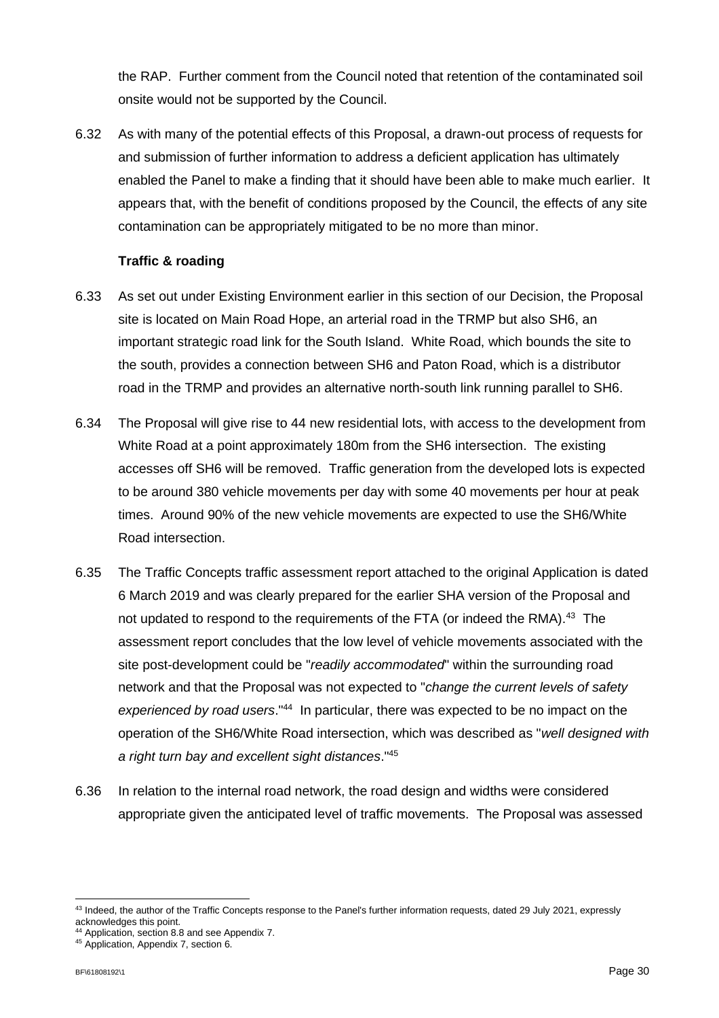the RAP. Further comment from the Council noted that retention of the contaminated soil onsite would not be supported by the Council.

6.32 As with many of the potential effects of this Proposal, a drawn-out process of requests for and submission of further information to address a deficient application has ultimately enabled the Panel to make a finding that it should have been able to make much earlier. It appears that, with the benefit of conditions proposed by the Council, the effects of any site contamination can be appropriately mitigated to be no more than minor.

### **Traffic & roading**

- 6.33 As set out under Existing Environment earlier in this section of our Decision, the Proposal site is located on Main Road Hope, an arterial road in the TRMP but also SH6, an important strategic road link for the South Island. White Road, which bounds the site to the south, provides a connection between SH6 and Paton Road, which is a distributor road in the TRMP and provides an alternative north-south link running parallel to SH6.
- 6.34 The Proposal will give rise to 44 new residential lots, with access to the development from White Road at a point approximately 180m from the SH6 intersection. The existing accesses off SH6 will be removed. Traffic generation from the developed lots is expected to be around 380 vehicle movements per day with some 40 movements per hour at peak times. Around 90% of the new vehicle movements are expected to use the SH6/White Road intersection.
- 6.35 The Traffic Concepts traffic assessment report attached to the original Application is dated 6 March 2019 and was clearly prepared for the earlier SHA version of the Proposal and not updated to respond to the requirements of the FTA (or indeed the RMA).<sup>43</sup> The assessment report concludes that the low level of vehicle movements associated with the site post-development could be "*readily accommodated*" within the surrounding road network and that the Proposal was not expected to "*change the current levels of safety*  experienced by road users.<sup>"44</sup> In particular, there was expected to be no impact on the operation of the SH6/White Road intersection, which was described as "*well designed with a right turn bay and excellent sight distances*."<sup>45</sup>
- 6.36 In relation to the internal road network, the road design and widths were considered appropriate given the anticipated level of traffic movements. The Proposal was assessed

<sup>&</sup>lt;sup>43</sup> Indeed, the author of the Traffic Concepts response to the Panel's further information requests, dated 29 July 2021, expressly acknowledges this point.

<sup>44</sup> Application, section 8.8 and see Appendix 7.

<sup>45</sup> Application, Appendix 7, section 6.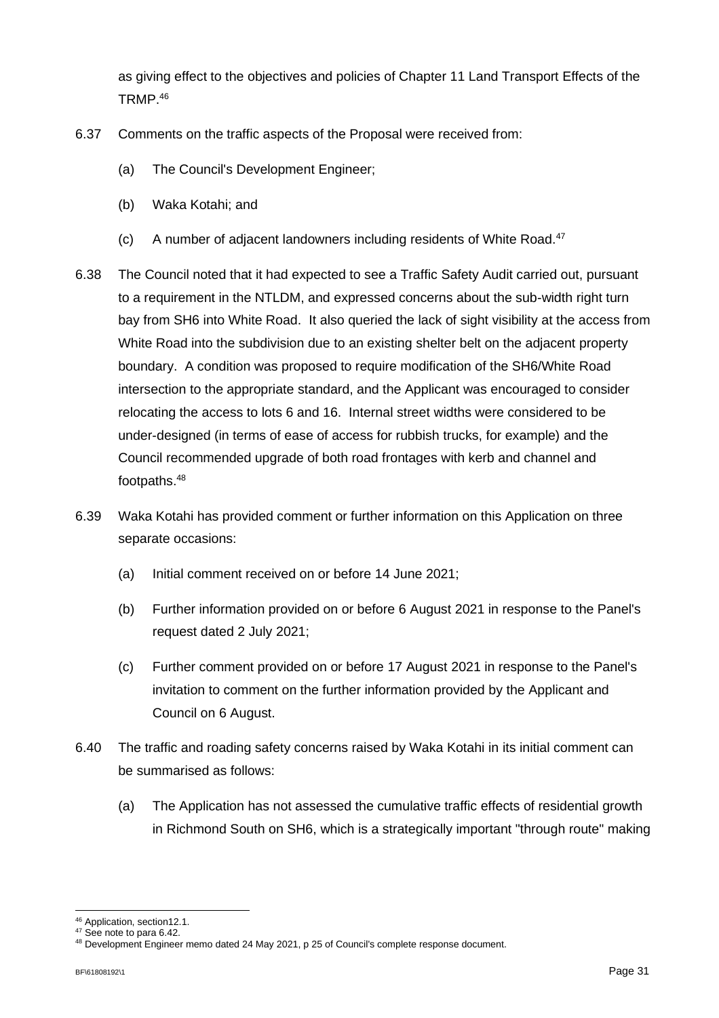as giving effect to the objectives and policies of Chapter 11 Land Transport Effects of the TRMP.<sup>46</sup>

- 6.37 Comments on the traffic aspects of the Proposal were received from:
	- (a) The Council's Development Engineer;
	- (b) Waka Kotahi; and
	- (c) A number of adjacent landowners including residents of White Road.<sup>47</sup>
- 6.38 The Council noted that it had expected to see a Traffic Safety Audit carried out, pursuant to a requirement in the NTLDM, and expressed concerns about the sub-width right turn bay from SH6 into White Road. It also queried the lack of sight visibility at the access from White Road into the subdivision due to an existing shelter belt on the adjacent property boundary. A condition was proposed to require modification of the SH6/White Road intersection to the appropriate standard, and the Applicant was encouraged to consider relocating the access to lots 6 and 16. Internal street widths were considered to be under-designed (in terms of ease of access for rubbish trucks, for example) and the Council recommended upgrade of both road frontages with kerb and channel and footpaths.<sup>48</sup>
- 6.39 Waka Kotahi has provided comment or further information on this Application on three separate occasions:
	- (a) Initial comment received on or before 14 June 2021;
	- (b) Further information provided on or before 6 August 2021 in response to the Panel's request dated 2 July 2021;
	- (c) Further comment provided on or before 17 August 2021 in response to the Panel's invitation to comment on the further information provided by the Applicant and Council on 6 August.
- 6.40 The traffic and roading safety concerns raised by Waka Kotahi in its initial comment can be summarised as follows:
	- (a) The Application has not assessed the cumulative traffic effects of residential growth in Richmond South on SH6, which is a strategically important "through route" making

<sup>46</sup> Application, section12.1.

<sup>&</sup>lt;sup>47</sup> See note to para 6.42.

<sup>48</sup> Development Engineer memo dated 24 May 2021, p 25 of Council's complete response document.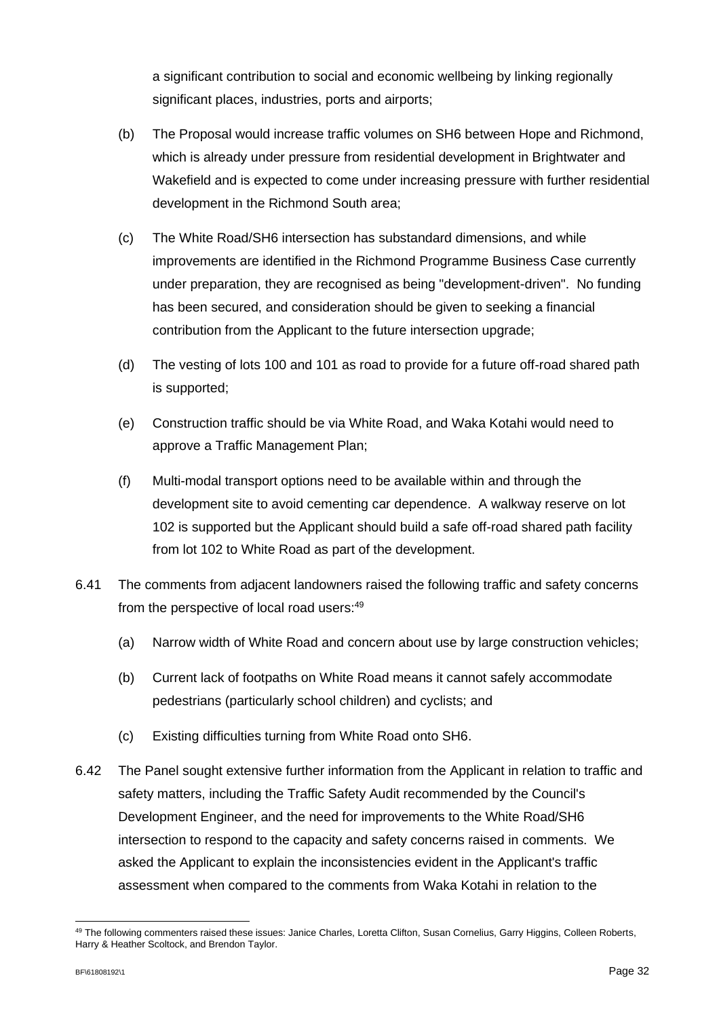a significant contribution to social and economic wellbeing by linking regionally significant places, industries, ports and airports;

- (b) The Proposal would increase traffic volumes on SH6 between Hope and Richmond, which is already under pressure from residential development in Brightwater and Wakefield and is expected to come under increasing pressure with further residential development in the Richmond South area;
- (c) The White Road/SH6 intersection has substandard dimensions, and while improvements are identified in the Richmond Programme Business Case currently under preparation, they are recognised as being "development-driven". No funding has been secured, and consideration should be given to seeking a financial contribution from the Applicant to the future intersection upgrade;
- (d) The vesting of lots 100 and 101 as road to provide for a future off-road shared path is supported;
- (e) Construction traffic should be via White Road, and Waka Kotahi would need to approve a Traffic Management Plan;
- (f) Multi-modal transport options need to be available within and through the development site to avoid cementing car dependence. A walkway reserve on lot 102 is supported but the Applicant should build a safe off-road shared path facility from lot 102 to White Road as part of the development.
- 6.41 The comments from adjacent landowners raised the following traffic and safety concerns from the perspective of local road users:<sup>49</sup>
	- (a) Narrow width of White Road and concern about use by large construction vehicles;
	- (b) Current lack of footpaths on White Road means it cannot safely accommodate pedestrians (particularly school children) and cyclists; and
	- (c) Existing difficulties turning from White Road onto SH6.
- 6.42 The Panel sought extensive further information from the Applicant in relation to traffic and safety matters, including the Traffic Safety Audit recommended by the Council's Development Engineer, and the need for improvements to the White Road/SH6 intersection to respond to the capacity and safety concerns raised in comments. We asked the Applicant to explain the inconsistencies evident in the Applicant's traffic assessment when compared to the comments from Waka Kotahi in relation to the

<sup>49</sup> The following commenters raised these issues: Janice Charles, Loretta Clifton, Susan Cornelius, Garry Higgins, Colleen Roberts, Harry & Heather Scoltock, and Brendon Taylor.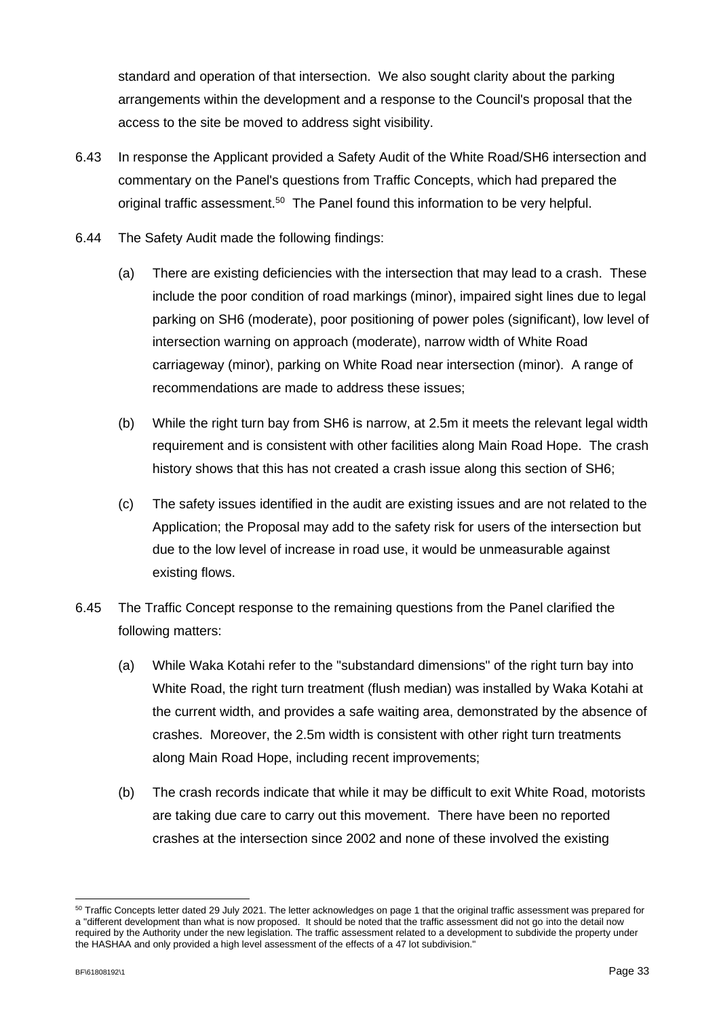standard and operation of that intersection. We also sought clarity about the parking arrangements within the development and a response to the Council's proposal that the access to the site be moved to address sight visibility.

- 6.43 In response the Applicant provided a Safety Audit of the White Road/SH6 intersection and commentary on the Panel's questions from Traffic Concepts, which had prepared the original traffic assessment.<sup>50</sup> The Panel found this information to be very helpful.
- 6.44 The Safety Audit made the following findings:
	- (a) There are existing deficiencies with the intersection that may lead to a crash. These include the poor condition of road markings (minor), impaired sight lines due to legal parking on SH6 (moderate), poor positioning of power poles (significant), low level of intersection warning on approach (moderate), narrow width of White Road carriageway (minor), parking on White Road near intersection (minor). A range of recommendations are made to address these issues;
	- (b) While the right turn bay from SH6 is narrow, at 2.5m it meets the relevant legal width requirement and is consistent with other facilities along Main Road Hope. The crash history shows that this has not created a crash issue along this section of SH6;
	- (c) The safety issues identified in the audit are existing issues and are not related to the Application; the Proposal may add to the safety risk for users of the intersection but due to the low level of increase in road use, it would be unmeasurable against existing flows.
- 6.45 The Traffic Concept response to the remaining questions from the Panel clarified the following matters:
	- (a) While Waka Kotahi refer to the "substandard dimensions" of the right turn bay into White Road, the right turn treatment (flush median) was installed by Waka Kotahi at the current width, and provides a safe waiting area, demonstrated by the absence of crashes. Moreover, the 2.5m width is consistent with other right turn treatments along Main Road Hope, including recent improvements;
	- (b) The crash records indicate that while it may be difficult to exit White Road, motorists are taking due care to carry out this movement. There have been no reported crashes at the intersection since 2002 and none of these involved the existing

<sup>50</sup> Traffic Concepts letter dated 29 July 2021. The letter acknowledges on page 1 that the original traffic assessment was prepared for a "different development than what is now proposed. It should be noted that the traffic assessment did not go into the detail now required by the Authority under the new legislation. The traffic assessment related to a development to subdivide the property under the HASHAA and only provided a high level assessment of the effects of a 47 lot subdivision."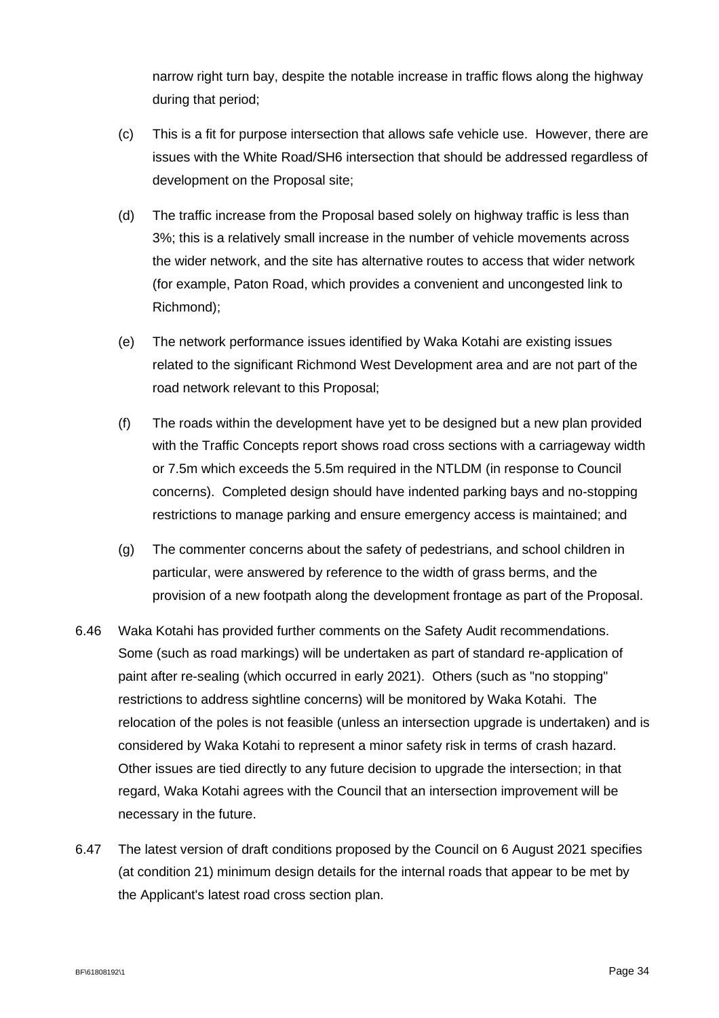narrow right turn bay, despite the notable increase in traffic flows along the highway during that period;

- (c) This is a fit for purpose intersection that allows safe vehicle use. However, there are issues with the White Road/SH6 intersection that should be addressed regardless of development on the Proposal site;
- (d) The traffic increase from the Proposal based solely on highway traffic is less than 3%; this is a relatively small increase in the number of vehicle movements across the wider network, and the site has alternative routes to access that wider network (for example, Paton Road, which provides a convenient and uncongested link to Richmond);
- (e) The network performance issues identified by Waka Kotahi are existing issues related to the significant Richmond West Development area and are not part of the road network relevant to this Proposal;
- (f) The roads within the development have yet to be designed but a new plan provided with the Traffic Concepts report shows road cross sections with a carriageway width or 7.5m which exceeds the 5.5m required in the NTLDM (in response to Council concerns). Completed design should have indented parking bays and no-stopping restrictions to manage parking and ensure emergency access is maintained; and
- (g) The commenter concerns about the safety of pedestrians, and school children in particular, were answered by reference to the width of grass berms, and the provision of a new footpath along the development frontage as part of the Proposal.
- 6.46 Waka Kotahi has provided further comments on the Safety Audit recommendations. Some (such as road markings) will be undertaken as part of standard re-application of paint after re-sealing (which occurred in early 2021). Others (such as "no stopping" restrictions to address sightline concerns) will be monitored by Waka Kotahi. The relocation of the poles is not feasible (unless an intersection upgrade is undertaken) and is considered by Waka Kotahi to represent a minor safety risk in terms of crash hazard. Other issues are tied directly to any future decision to upgrade the intersection; in that regard, Waka Kotahi agrees with the Council that an intersection improvement will be necessary in the future.
- 6.47 The latest version of draft conditions proposed by the Council on 6 August 2021 specifies (at condition 21) minimum design details for the internal roads that appear to be met by the Applicant's latest road cross section plan.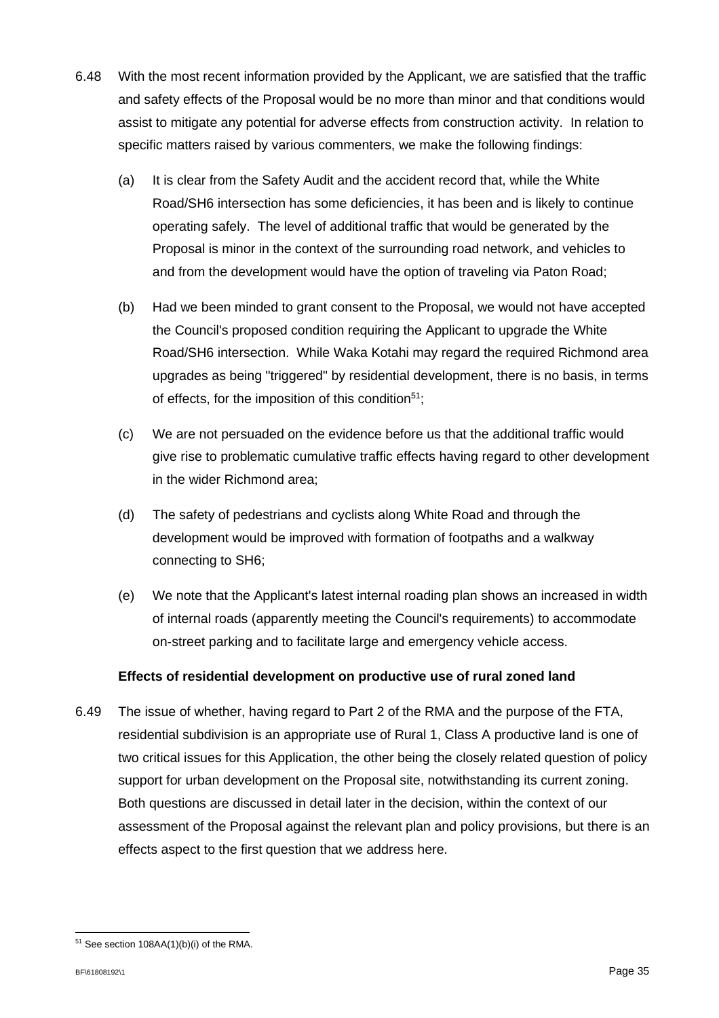- 6.48 With the most recent information provided by the Applicant, we are satisfied that the traffic and safety effects of the Proposal would be no more than minor and that conditions would assist to mitigate any potential for adverse effects from construction activity. In relation to specific matters raised by various commenters, we make the following findings:
	- (a) It is clear from the Safety Audit and the accident record that, while the White Road/SH6 intersection has some deficiencies, it has been and is likely to continue operating safely. The level of additional traffic that would be generated by the Proposal is minor in the context of the surrounding road network, and vehicles to and from the development would have the option of traveling via Paton Road;
	- (b) Had we been minded to grant consent to the Proposal, we would not have accepted the Council's proposed condition requiring the Applicant to upgrade the White Road/SH6 intersection. While Waka Kotahi may regard the required Richmond area upgrades as being "triggered" by residential development, there is no basis, in terms of effects, for the imposition of this condition<sup>51</sup>;
	- (c) We are not persuaded on the evidence before us that the additional traffic would give rise to problematic cumulative traffic effects having regard to other development in the wider Richmond area;
	- (d) The safety of pedestrians and cyclists along White Road and through the development would be improved with formation of footpaths and a walkway connecting to SH6;
	- (e) We note that the Applicant's latest internal roading plan shows an increased in width of internal roads (apparently meeting the Council's requirements) to accommodate on-street parking and to facilitate large and emergency vehicle access.

### **Effects of residential development on productive use of rural zoned land**

6.49 The issue of whether, having regard to Part 2 of the RMA and the purpose of the FTA, residential subdivision is an appropriate use of Rural 1, Class A productive land is one of two critical issues for this Application, the other being the closely related question of policy support for urban development on the Proposal site, notwithstanding its current zoning. Both questions are discussed in detail later in the decision, within the context of our assessment of the Proposal against the relevant plan and policy provisions, but there is an effects aspect to the first question that we address here.

<sup>51</sup> See section 108AA(1)(b)(i) of the RMA.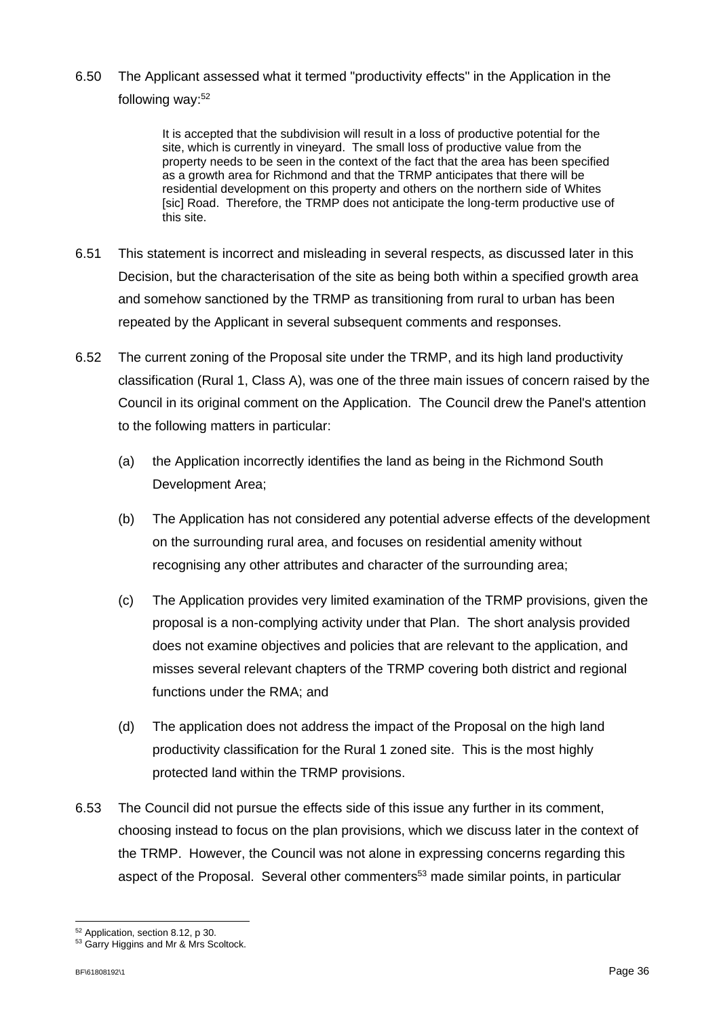6.50 The Applicant assessed what it termed "productivity effects" in the Application in the following way:<sup>52</sup>

> It is accepted that the subdivision will result in a loss of productive potential for the site, which is currently in vineyard. The small loss of productive value from the property needs to be seen in the context of the fact that the area has been specified as a growth area for Richmond and that the TRMP anticipates that there will be residential development on this property and others on the northern side of Whites [sic] Road. Therefore, the TRMP does not anticipate the long-term productive use of this site.

- 6.51 This statement is incorrect and misleading in several respects, as discussed later in this Decision, but the characterisation of the site as being both within a specified growth area and somehow sanctioned by the TRMP as transitioning from rural to urban has been repeated by the Applicant in several subsequent comments and responses.
- 6.52 The current zoning of the Proposal site under the TRMP, and its high land productivity classification (Rural 1, Class A), was one of the three main issues of concern raised by the Council in its original comment on the Application. The Council drew the Panel's attention to the following matters in particular:
	- (a) the Application incorrectly identifies the land as being in the Richmond South Development Area;
	- (b) The Application has not considered any potential adverse effects of the development on the surrounding rural area, and focuses on residential amenity without recognising any other attributes and character of the surrounding area;
	- (c) The Application provides very limited examination of the TRMP provisions, given the proposal is a non-complying activity under that Plan. The short analysis provided does not examine objectives and policies that are relevant to the application, and misses several relevant chapters of the TRMP covering both district and regional functions under the RMA; and
	- (d) The application does not address the impact of the Proposal on the high land productivity classification for the Rural 1 zoned site. This is the most highly protected land within the TRMP provisions.
- 6.53 The Council did not pursue the effects side of this issue any further in its comment, choosing instead to focus on the plan provisions, which we discuss later in the context of the TRMP. However, the Council was not alone in expressing concerns regarding this aspect of the Proposal. Several other commenters<sup>53</sup> made similar points, in particular

<sup>52</sup> Application, section 8.12, p 30.

<sup>53</sup> Garry Higgins and Mr & Mrs Scoltock.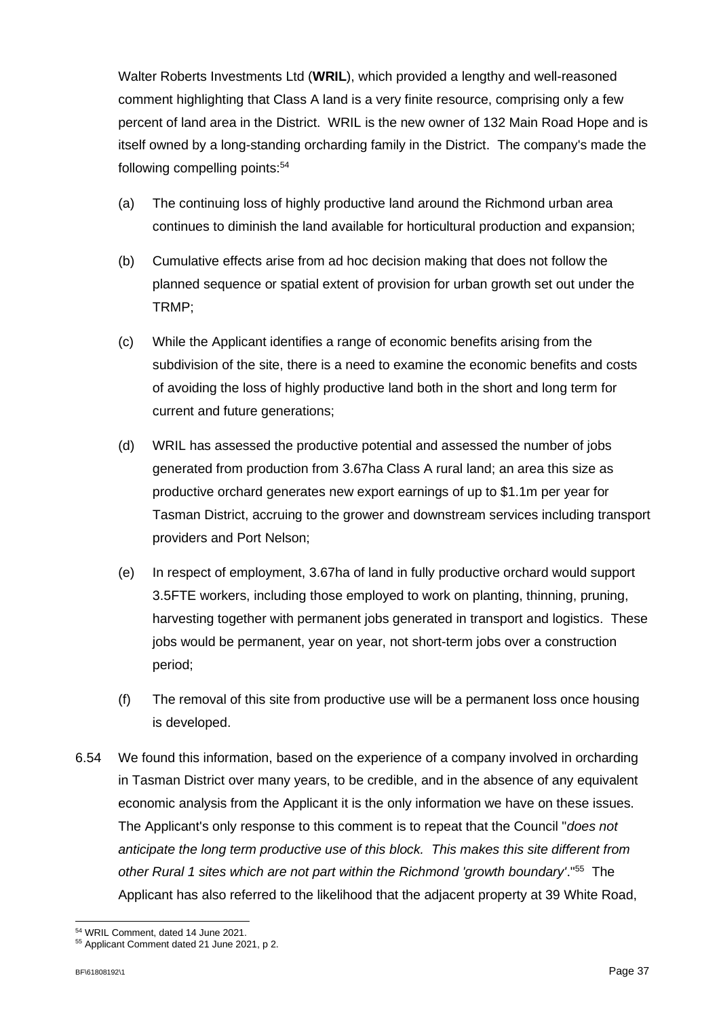Walter Roberts Investments Ltd (**WRIL**), which provided a lengthy and well-reasoned comment highlighting that Class A land is a very finite resource, comprising only a few percent of land area in the District. WRIL is the new owner of 132 Main Road Hope and is itself owned by a long-standing orcharding family in the District. The company's made the following compelling points:<sup>54</sup>

- (a) The continuing loss of highly productive land around the Richmond urban area continues to diminish the land available for horticultural production and expansion;
- (b) Cumulative effects arise from ad hoc decision making that does not follow the planned sequence or spatial extent of provision for urban growth set out under the TRMP;
- (c) While the Applicant identifies a range of economic benefits arising from the subdivision of the site, there is a need to examine the economic benefits and costs of avoiding the loss of highly productive land both in the short and long term for current and future generations;
- (d) WRIL has assessed the productive potential and assessed the number of jobs generated from production from 3.67ha Class A rural land; an area this size as productive orchard generates new export earnings of up to \$1.1m per year for Tasman District, accruing to the grower and downstream services including transport providers and Port Nelson;
- (e) In respect of employment, 3.67ha of land in fully productive orchard would support 3.5FTE workers, including those employed to work on planting, thinning, pruning, harvesting together with permanent jobs generated in transport and logistics. These jobs would be permanent, year on year, not short-term jobs over a construction period;
- (f) The removal of this site from productive use will be a permanent loss once housing is developed.
- 6.54 We found this information, based on the experience of a company involved in orcharding in Tasman District over many years, to be credible, and in the absence of any equivalent economic analysis from the Applicant it is the only information we have on these issues. The Applicant's only response to this comment is to repeat that the Council "*does not anticipate the long term productive use of this block. This makes this site different from other Rural 1 sites which are not part within the Richmond 'growth boundary'*."<sup>55</sup> The Applicant has also referred to the likelihood that the adjacent property at 39 White Road,

<sup>54</sup> WRIL Comment, dated 14 June 2021.

<sup>55</sup> Applicant Comment dated 21 June 2021, p 2.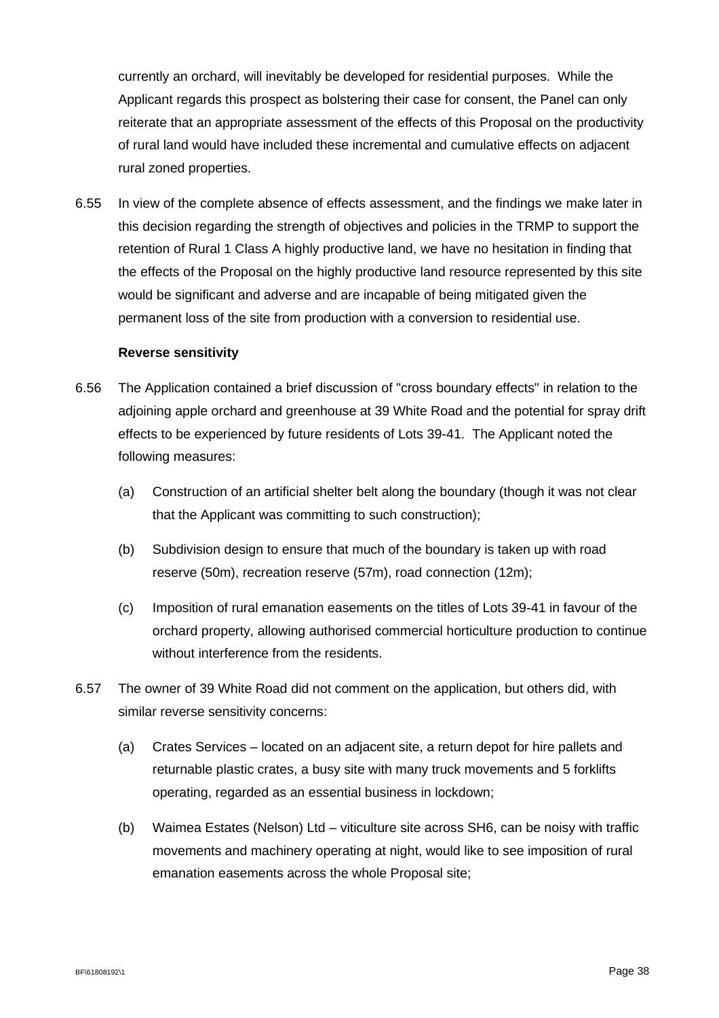currently an orchard, will inevitably be developed for residential purposes. While the Applicant regards this prospect as bolstering their case for consent, the Panel can only reiterate that an appropriate assessment of the effects of this Proposal on the productivity of rural land would have included these incremental and cumulative effects on adjacent rural zoned properties.

6.55 In view of the complete absence of effects assessment, and the findings we make later in this decision regarding the strength of objectives and policies in the TRMP to support the retention of Rural 1 Class A highly productive land, we have no hesitation in finding that the effects of the Proposal on the highly productive land resource represented by this site would be significant and adverse and are incapable of being mitigated given the permanent loss of the site from production with a conversion to residential use.

#### **Reverse sensitivity**

- 6.56 The Application contained a brief discussion of "cross boundary effects" in relation to the adjoining apple orchard and greenhouse at 39 White Road and the potential for spray drift effects to be experienced by future residents of Lots 39-41. The Applicant noted the following measures:
	- (a) Construction of an artificial shelter belt along the boundary (though it was not clear that the Applicant was committing to such construction);
	- (b) Subdivision design to ensure that much of the boundary is taken up with road reserve (50m), recreation reserve (57m), road connection (12m);
	- (c) Imposition of rural emanation easements on the titles of Lots 39-41 in favour of the orchard property, allowing authorised commercial horticulture production to continue without interference from the residents.
- 6.57 The owner of 39 White Road did not comment on the application, but others did, with similar reverse sensitivity concerns:
	- (a) Crates Services located on an adjacent site, a return depot for hire pallets and returnable plastic crates, a busy site with many truck movements and 5 forklifts operating, regarded as an essential business in lockdown;
	- (b) Waimea Estates (Nelson) Ltd viticulture site across SH6, can be noisy with traffic movements and machinery operating at night, would like to see imposition of rural emanation easements across the whole Proposal site;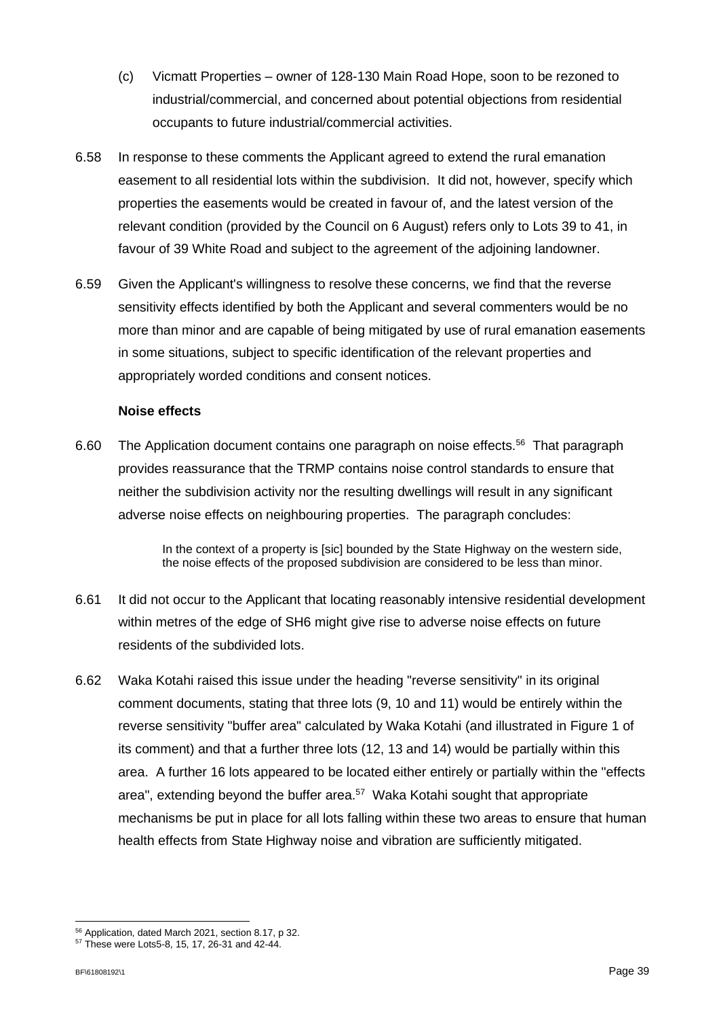- (c) Vicmatt Properties owner of 128-130 Main Road Hope, soon to be rezoned to industrial/commercial, and concerned about potential objections from residential occupants to future industrial/commercial activities.
- 6.58 In response to these comments the Applicant agreed to extend the rural emanation easement to all residential lots within the subdivision. It did not, however, specify which properties the easements would be created in favour of, and the latest version of the relevant condition (provided by the Council on 6 August) refers only to Lots 39 to 41, in favour of 39 White Road and subject to the agreement of the adjoining landowner.
- 6.59 Given the Applicant's willingness to resolve these concerns, we find that the reverse sensitivity effects identified by both the Applicant and several commenters would be no more than minor and are capable of being mitigated by use of rural emanation easements in some situations, subject to specific identification of the relevant properties and appropriately worded conditions and consent notices.

### **Noise effects**

6.60 The Application document contains one paragraph on noise effects.<sup>56</sup> That paragraph provides reassurance that the TRMP contains noise control standards to ensure that neither the subdivision activity nor the resulting dwellings will result in any significant adverse noise effects on neighbouring properties. The paragraph concludes:

> In the context of a property is [sic] bounded by the State Highway on the western side, the noise effects of the proposed subdivision are considered to be less than minor.

- 6.61 It did not occur to the Applicant that locating reasonably intensive residential development within metres of the edge of SH6 might give rise to adverse noise effects on future residents of the subdivided lots.
- 6.62 Waka Kotahi raised this issue under the heading "reverse sensitivity" in its original comment documents, stating that three lots (9, 10 and 11) would be entirely within the reverse sensitivity "buffer area" calculated by Waka Kotahi (and illustrated in Figure 1 of its comment) and that a further three lots (12, 13 and 14) would be partially within this area. A further 16 lots appeared to be located either entirely or partially within the "effects area", extending beyond the buffer area.<sup>57</sup> Waka Kotahi sought that appropriate mechanisms be put in place for all lots falling within these two areas to ensure that human health effects from State Highway noise and vibration are sufficiently mitigated.

<sup>56</sup> Application, dated March 2021, section 8.17, p 32.

<sup>57</sup> These were Lots5-8, 15, 17, 26-31 and 42-44.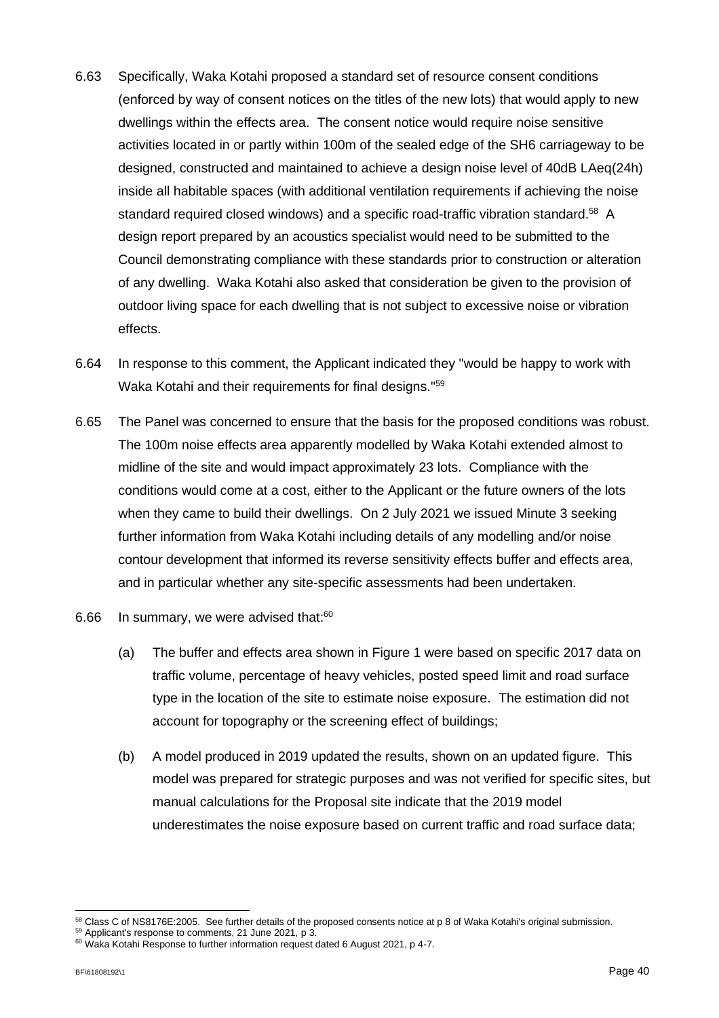- 6.63 Specifically, Waka Kotahi proposed a standard set of resource consent conditions (enforced by way of consent notices on the titles of the new lots) that would apply to new dwellings within the effects area. The consent notice would require noise sensitive activities located in or partly within 100m of the sealed edge of the SH6 carriageway to be designed, constructed and maintained to achieve a design noise level of 40dB LAeq(24h) inside all habitable spaces (with additional ventilation requirements if achieving the noise standard required closed windows) and a specific road-traffic vibration standard.<sup>58</sup> A design report prepared by an acoustics specialist would need to be submitted to the Council demonstrating compliance with these standards prior to construction or alteration of any dwelling. Waka Kotahi also asked that consideration be given to the provision of outdoor living space for each dwelling that is not subject to excessive noise or vibration effects.
- 6.64 In response to this comment, the Applicant indicated they "would be happy to work with Waka Kotahi and their requirements for final designs." 59
- 6.65 The Panel was concerned to ensure that the basis for the proposed conditions was robust. The 100m noise effects area apparently modelled by Waka Kotahi extended almost to midline of the site and would impact approximately 23 lots. Compliance with the conditions would come at a cost, either to the Applicant or the future owners of the lots when they came to build their dwellings. On 2 July 2021 we issued Minute 3 seeking further information from Waka Kotahi including details of any modelling and/or noise contour development that informed its reverse sensitivity effects buffer and effects area, and in particular whether any site-specific assessments had been undertaken.
- 6.66 In summary, we were advised that: $60$ 
	- (a) The buffer and effects area shown in Figure 1 were based on specific 2017 data on traffic volume, percentage of heavy vehicles, posted speed limit and road surface type in the location of the site to estimate noise exposure. The estimation did not account for topography or the screening effect of buildings;
	- (b) A model produced in 2019 updated the results, shown on an updated figure. This model was prepared for strategic purposes and was not verified for specific sites, but manual calculations for the Proposal site indicate that the 2019 model underestimates the noise exposure based on current traffic and road surface data;

<sup>&</sup>lt;sup>58</sup> Class C of NS8176E:2005. See further details of the proposed consents notice at p 8 of Waka Kotahi's original submission.

<sup>59</sup> Applicant's response to comments, 21 June 2021, p 3.

<sup>&</sup>lt;sup>60</sup> Waka Kotahi Response to further information request dated 6 August 2021, p 4-7.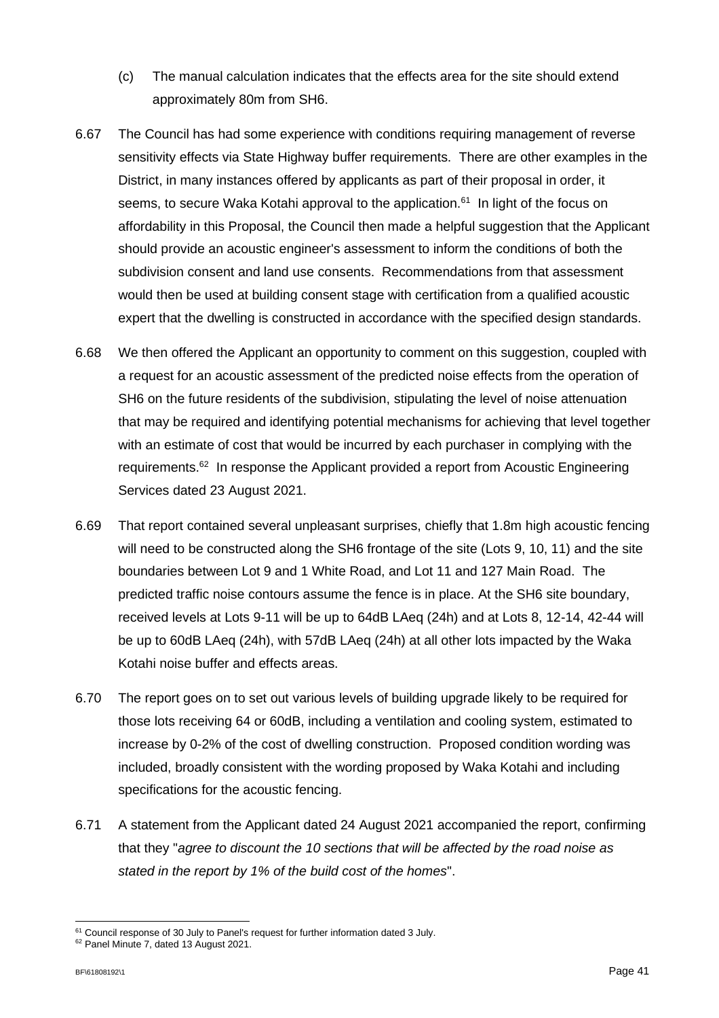- (c) The manual calculation indicates that the effects area for the site should extend approximately 80m from SH6.
- 6.67 The Council has had some experience with conditions requiring management of reverse sensitivity effects via State Highway buffer requirements. There are other examples in the District, in many instances offered by applicants as part of their proposal in order, it seems, to secure Waka Kotahi approval to the application.<sup>61</sup> In light of the focus on affordability in this Proposal, the Council then made a helpful suggestion that the Applicant should provide an acoustic engineer's assessment to inform the conditions of both the subdivision consent and land use consents. Recommendations from that assessment would then be used at building consent stage with certification from a qualified acoustic expert that the dwelling is constructed in accordance with the specified design standards.
- 6.68 We then offered the Applicant an opportunity to comment on this suggestion, coupled with a request for an acoustic assessment of the predicted noise effects from the operation of SH6 on the future residents of the subdivision, stipulating the level of noise attenuation that may be required and identifying potential mechanisms for achieving that level together with an estimate of cost that would be incurred by each purchaser in complying with the requirements.<sup>62</sup> In response the Applicant provided a report from Acoustic Engineering Services dated 23 August 2021.
- 6.69 That report contained several unpleasant surprises, chiefly that 1.8m high acoustic fencing will need to be constructed along the SH6 frontage of the site (Lots 9, 10, 11) and the site boundaries between Lot 9 and 1 White Road, and Lot 11 and 127 Main Road. The predicted traffic noise contours assume the fence is in place. At the SH6 site boundary, received levels at Lots 9-11 will be up to 64dB LAeq (24h) and at Lots 8, 12-14, 42-44 will be up to 60dB LAeq (24h), with 57dB LAeq (24h) at all other lots impacted by the Waka Kotahi noise buffer and effects areas.
- 6.70 The report goes on to set out various levels of building upgrade likely to be required for those lots receiving 64 or 60dB, including a ventilation and cooling system, estimated to increase by 0-2% of the cost of dwelling construction. Proposed condition wording was included, broadly consistent with the wording proposed by Waka Kotahi and including specifications for the acoustic fencing.
- 6.71 A statement from the Applicant dated 24 August 2021 accompanied the report, confirming that they "*agree to discount the 10 sections that will be affected by the road noise as stated in the report by 1% of the build cost of the homes*".

<sup>&</sup>lt;sup>61</sup> Council response of 30 July to Panel's request for further information dated 3 July.

<sup>62</sup> Panel Minute 7, dated 13 August 2021.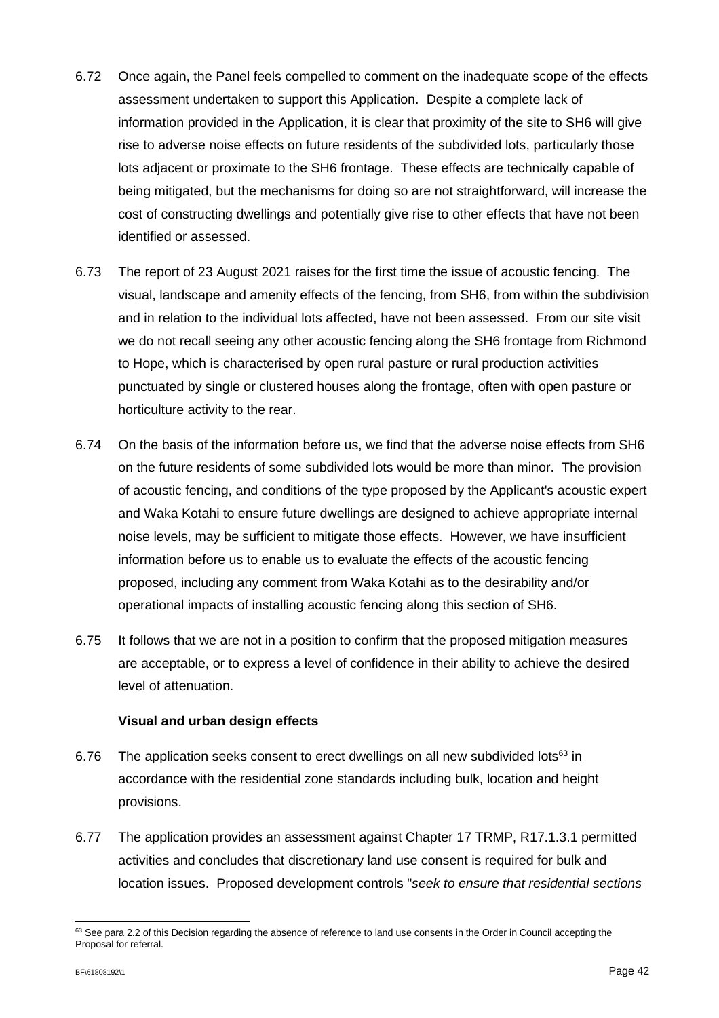- 6.72 Once again, the Panel feels compelled to comment on the inadequate scope of the effects assessment undertaken to support this Application. Despite a complete lack of information provided in the Application, it is clear that proximity of the site to SH6 will give rise to adverse noise effects on future residents of the subdivided lots, particularly those lots adjacent or proximate to the SH6 frontage. These effects are technically capable of being mitigated, but the mechanisms for doing so are not straightforward, will increase the cost of constructing dwellings and potentially give rise to other effects that have not been identified or assessed.
- 6.73 The report of 23 August 2021 raises for the first time the issue of acoustic fencing. The visual, landscape and amenity effects of the fencing, from SH6, from within the subdivision and in relation to the individual lots affected, have not been assessed. From our site visit we do not recall seeing any other acoustic fencing along the SH6 frontage from Richmond to Hope, which is characterised by open rural pasture or rural production activities punctuated by single or clustered houses along the frontage, often with open pasture or horticulture activity to the rear.
- 6.74 On the basis of the information before us, we find that the adverse noise effects from SH6 on the future residents of some subdivided lots would be more than minor. The provision of acoustic fencing, and conditions of the type proposed by the Applicant's acoustic expert and Waka Kotahi to ensure future dwellings are designed to achieve appropriate internal noise levels, may be sufficient to mitigate those effects. However, we have insufficient information before us to enable us to evaluate the effects of the acoustic fencing proposed, including any comment from Waka Kotahi as to the desirability and/or operational impacts of installing acoustic fencing along this section of SH6.
- 6.75 It follows that we are not in a position to confirm that the proposed mitigation measures are acceptable, or to express a level of confidence in their ability to achieve the desired level of attenuation.

### **Visual and urban design effects**

- 6.76 The application seeks consent to erect dwellings on all new subdivided lots $63$  in accordance with the residential zone standards including bulk, location and height provisions.
- 6.77 The application provides an assessment against Chapter 17 TRMP, R17.1.3.1 permitted activities and concludes that discretionary land use consent is required for bulk and location issues. Proposed development controls "*seek to ensure that residential sections*

<sup>63</sup> See para 2.2 of this Decision regarding the absence of reference to land use consents in the Order in Council accepting the Proposal for referral.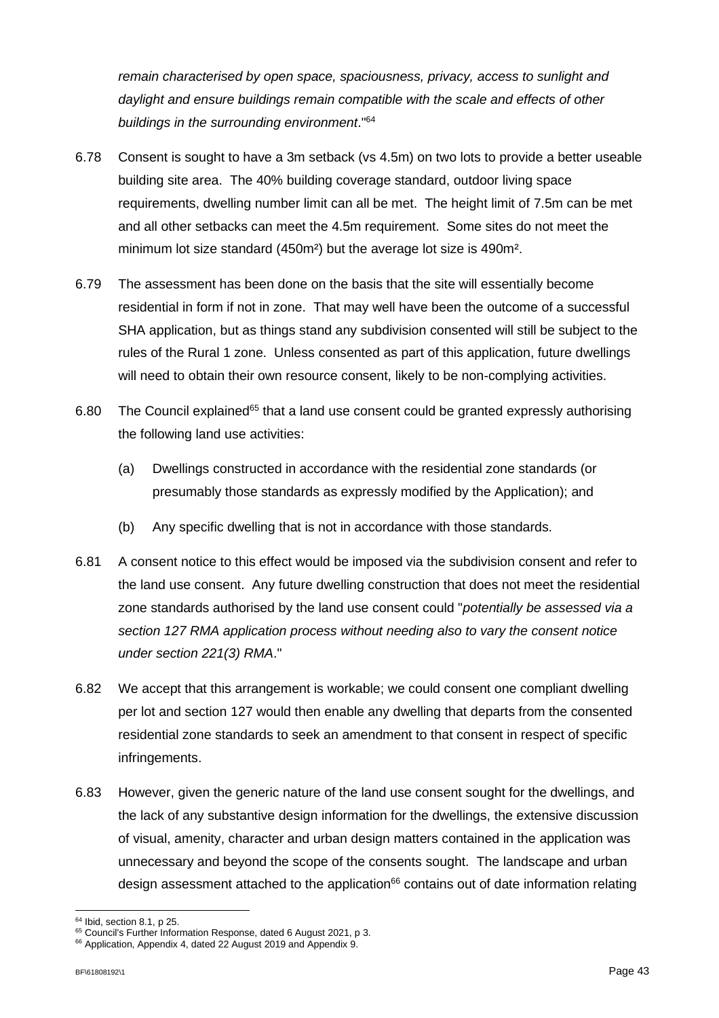*remain characterised by open space, spaciousness, privacy, access to sunlight and daylight and ensure buildings remain compatible with the scale and effects of other buildings in the surrounding environment*."<sup>64</sup>

- 6.78 Consent is sought to have a 3m setback (vs 4.5m) on two lots to provide a better useable building site area. The 40% building coverage standard, outdoor living space requirements, dwelling number limit can all be met. The height limit of 7.5m can be met and all other setbacks can meet the 4.5m requirement. Some sites do not meet the minimum lot size standard (450m²) but the average lot size is 490m².
- 6.79 The assessment has been done on the basis that the site will essentially become residential in form if not in zone. That may well have been the outcome of a successful SHA application, but as things stand any subdivision consented will still be subject to the rules of the Rural 1 zone. Unless consented as part of this application, future dwellings will need to obtain their own resource consent, likely to be non-complying activities.
- 6.80 The Council explained<sup>65</sup> that a land use consent could be granted expressly authorising the following land use activities:
	- (a) Dwellings constructed in accordance with the residential zone standards (or presumably those standards as expressly modified by the Application); and
	- (b) Any specific dwelling that is not in accordance with those standards.
- 6.81 A consent notice to this effect would be imposed via the subdivision consent and refer to the land use consent. Any future dwelling construction that does not meet the residential zone standards authorised by the land use consent could "*potentially be assessed via a section 127 RMA application process without needing also to vary the consent notice under section 221(3) RMA*."
- 6.82 We accept that this arrangement is workable; we could consent one compliant dwelling per lot and section 127 would then enable any dwelling that departs from the consented residential zone standards to seek an amendment to that consent in respect of specific infringements.
- 6.83 However, given the generic nature of the land use consent sought for the dwellings, and the lack of any substantive design information for the dwellings, the extensive discussion of visual, amenity, character and urban design matters contained in the application was unnecessary and beyond the scope of the consents sought. The landscape and urban design assessment attached to the application $66$  contains out of date information relating

<sup>64</sup> Ibid, section 8.1, p 25.

<sup>&</sup>lt;sup>65</sup> Council's Further Information Response, dated 6 August 2021, p 3.

<sup>&</sup>lt;sup>66</sup> Application, Appendix 4, dated 22 August 2019 and Appendix 9.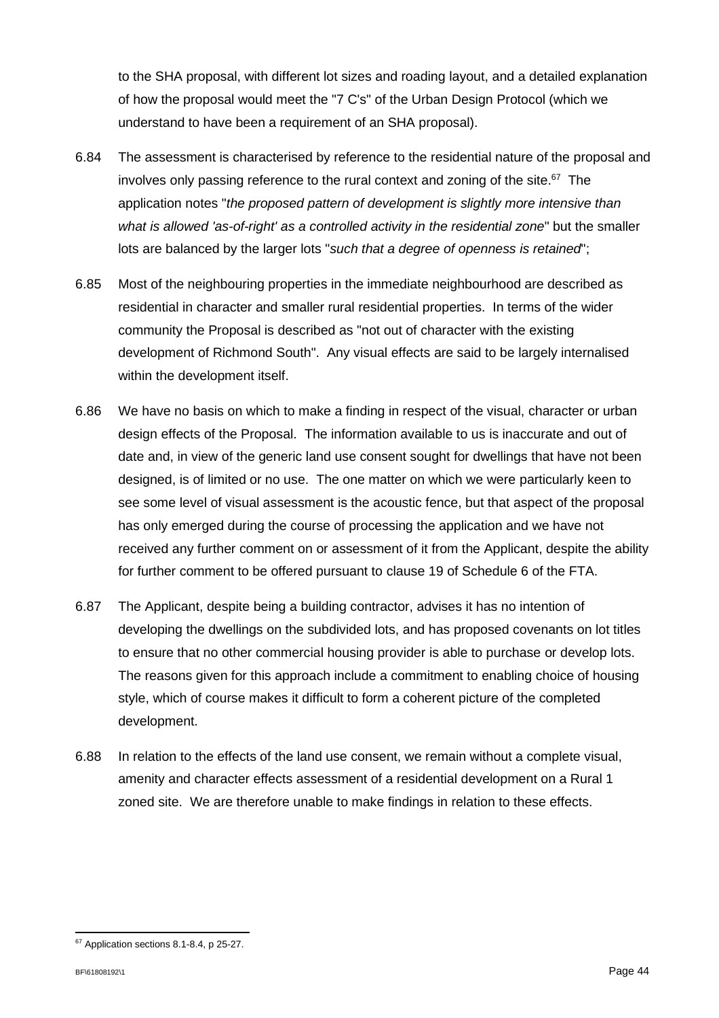to the SHA proposal, with different lot sizes and roading layout, and a detailed explanation of how the proposal would meet the "7 C's" of the Urban Design Protocol (which we understand to have been a requirement of an SHA proposal).

- 6.84 The assessment is characterised by reference to the residential nature of the proposal and involves only passing reference to the rural context and zoning of the site. 67 The application notes "*the proposed pattern of development is slightly more intensive than what is allowed 'as-of-right' as a controlled activity in the residential zone*" but the smaller lots are balanced by the larger lots "*such that a degree of openness is retained*";
- 6.85 Most of the neighbouring properties in the immediate neighbourhood are described as residential in character and smaller rural residential properties. In terms of the wider community the Proposal is described as "not out of character with the existing development of Richmond South". Any visual effects are said to be largely internalised within the development itself.
- 6.86 We have no basis on which to make a finding in respect of the visual, character or urban design effects of the Proposal. The information available to us is inaccurate and out of date and, in view of the generic land use consent sought for dwellings that have not been designed, is of limited or no use. The one matter on which we were particularly keen to see some level of visual assessment is the acoustic fence, but that aspect of the proposal has only emerged during the course of processing the application and we have not received any further comment on or assessment of it from the Applicant, despite the ability for further comment to be offered pursuant to clause 19 of Schedule 6 of the FTA.
- 6.87 The Applicant, despite being a building contractor, advises it has no intention of developing the dwellings on the subdivided lots, and has proposed covenants on lot titles to ensure that no other commercial housing provider is able to purchase or develop lots. The reasons given for this approach include a commitment to enabling choice of housing style, which of course makes it difficult to form a coherent picture of the completed development.
- 6.88 In relation to the effects of the land use consent, we remain without a complete visual, amenity and character effects assessment of a residential development on a Rural 1 zoned site. We are therefore unable to make findings in relation to these effects.

<sup>&</sup>lt;sup>67</sup> Application sections 8.1-8.4, p 25-27.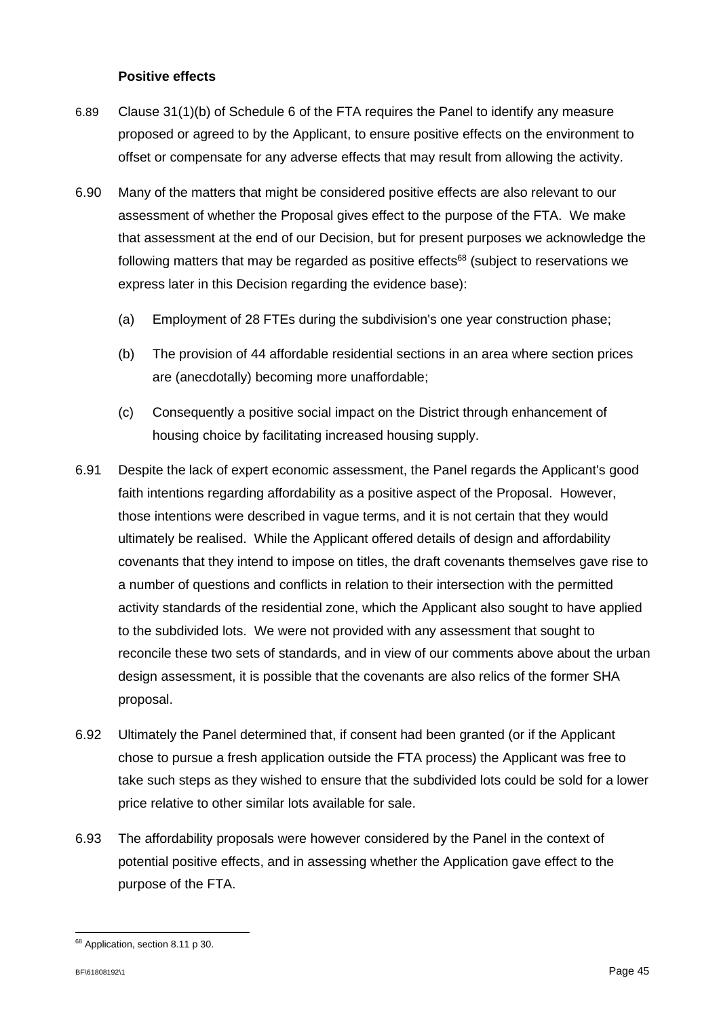### **Positive effects**

- 6.89 Clause 31(1)(b) of Schedule 6 of the FTA requires the Panel to identify any measure proposed or agreed to by the Applicant, to ensure positive effects on the environment to offset or compensate for any adverse effects that may result from allowing the activity.
- 6.90 Many of the matters that might be considered positive effects are also relevant to our assessment of whether the Proposal gives effect to the purpose of the FTA. We make that assessment at the end of our Decision, but for present purposes we acknowledge the following matters that may be regarded as positive effects $68$  (subject to reservations we express later in this Decision regarding the evidence base):
	- (a) Employment of 28 FTEs during the subdivision's one year construction phase;
	- (b) The provision of 44 affordable residential sections in an area where section prices are (anecdotally) becoming more unaffordable;
	- (c) Consequently a positive social impact on the District through enhancement of housing choice by facilitating increased housing supply.
- 6.91 Despite the lack of expert economic assessment, the Panel regards the Applicant's good faith intentions regarding affordability as a positive aspect of the Proposal. However, those intentions were described in vague terms, and it is not certain that they would ultimately be realised. While the Applicant offered details of design and affordability covenants that they intend to impose on titles, the draft covenants themselves gave rise to a number of questions and conflicts in relation to their intersection with the permitted activity standards of the residential zone, which the Applicant also sought to have applied to the subdivided lots. We were not provided with any assessment that sought to reconcile these two sets of standards, and in view of our comments above about the urban design assessment, it is possible that the covenants are also relics of the former SHA proposal.
- 6.92 Ultimately the Panel determined that, if consent had been granted (or if the Applicant chose to pursue a fresh application outside the FTA process) the Applicant was free to take such steps as they wished to ensure that the subdivided lots could be sold for a lower price relative to other similar lots available for sale.
- 6.93 The affordability proposals were however considered by the Panel in the context of potential positive effects, and in assessing whether the Application gave effect to the purpose of the FTA.

<sup>&</sup>lt;sup>68</sup> Application, section 8.11 p 30.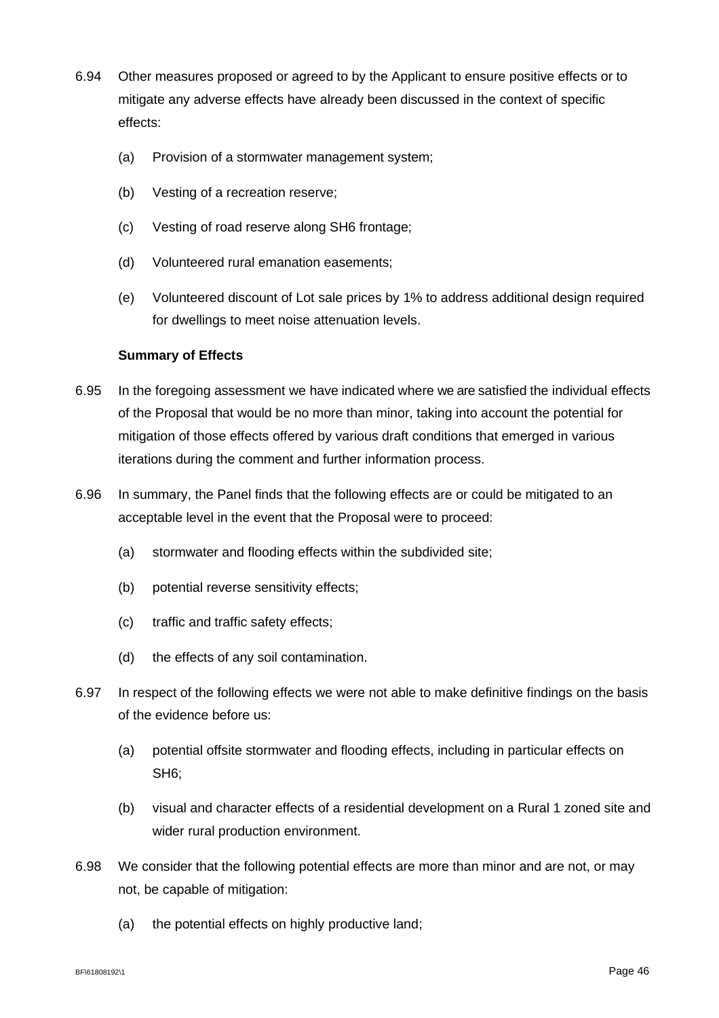- 6.94 Other measures proposed or agreed to by the Applicant to ensure positive effects or to mitigate any adverse effects have already been discussed in the context of specific effects:
	- (a) Provision of a stormwater management system;
	- (b) Vesting of a recreation reserve;
	- (c) Vesting of road reserve along SH6 frontage;
	- (d) Volunteered rural emanation easements;
	- (e) Volunteered discount of Lot sale prices by 1% to address additional design required for dwellings to meet noise attenuation levels.

### **Summary of Effects**

- 6.95 In the foregoing assessment we have indicated where we are satisfied the individual effects of the Proposal that would be no more than minor, taking into account the potential for mitigation of those effects offered by various draft conditions that emerged in various iterations during the comment and further information process.
- 6.96 In summary, the Panel finds that the following effects are or could be mitigated to an acceptable level in the event that the Proposal were to proceed:
	- (a) stormwater and flooding effects within the subdivided site;
	- (b) potential reverse sensitivity effects;
	- (c) traffic and traffic safety effects;
	- (d) the effects of any soil contamination.
- 6.97 In respect of the following effects we were not able to make definitive findings on the basis of the evidence before us:
	- (a) potential offsite stormwater and flooding effects, including in particular effects on SH6;
	- (b) visual and character effects of a residential development on a Rural 1 zoned site and wider rural production environment.
- 6.98 We consider that the following potential effects are more than minor and are not, or may not, be capable of mitigation:
	- (a) the potential effects on highly productive land;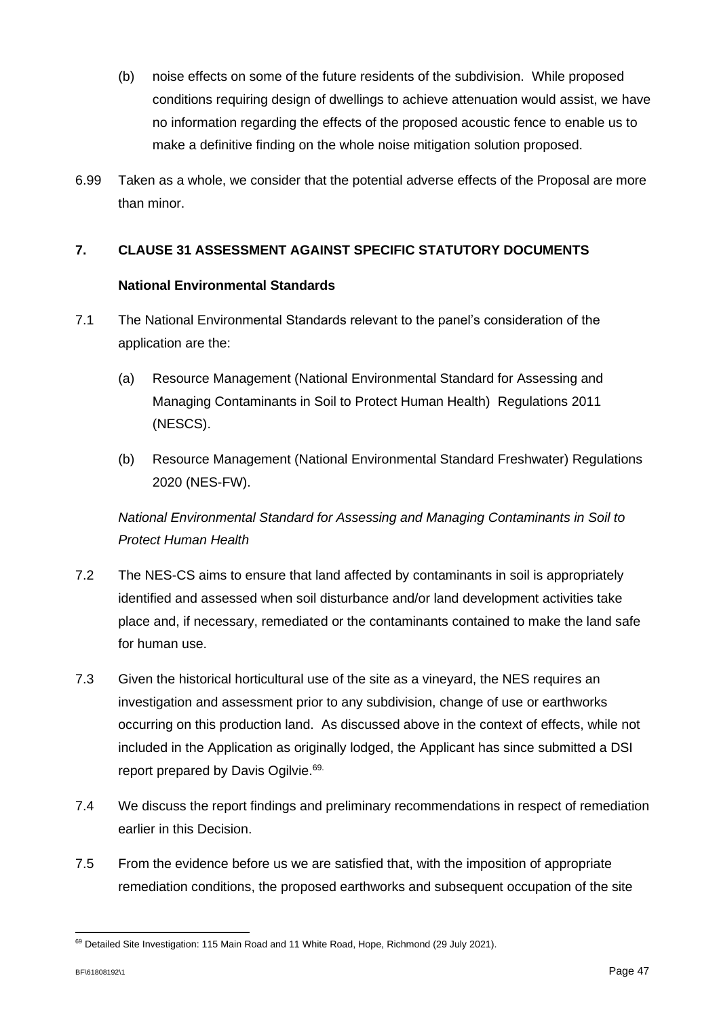- (b) noise effects on some of the future residents of the subdivision. While proposed conditions requiring design of dwellings to achieve attenuation would assist, we have no information regarding the effects of the proposed acoustic fence to enable us to make a definitive finding on the whole noise mitigation solution proposed.
- 6.99 Taken as a whole, we consider that the potential adverse effects of the Proposal are more than minor.

### **7. CLAUSE 31 ASSESSMENT AGAINST SPECIFIC STATUTORY DOCUMENTS**

### **National Environmental Standards**

- 7.1 The National Environmental Standards relevant to the panel's consideration of the application are the:
	- (a) Resource Management (National Environmental Standard for Assessing and Managing Contaminants in Soil to Protect Human Health) Regulations 2011 (NESCS).
	- (b) Resource Management (National Environmental Standard Freshwater) Regulations 2020 (NES-FW).

*National Environmental Standard for Assessing and Managing Contaminants in Soil to Protect Human Health*

- 7.2 The NES-CS aims to ensure that land affected by contaminants in soil is appropriately identified and assessed when soil disturbance and/or land development activities take place and, if necessary, remediated or the contaminants contained to make the land safe for human use.
- 7.3 Given the historical horticultural use of the site as a vineyard, the NES requires an investigation and assessment prior to any subdivision, change of use or earthworks occurring on this production land. As discussed above in the context of effects, while not included in the Application as originally lodged, the Applicant has since submitted a DSI report prepared by Davis Ogilvie. 69.
- 7.4 We discuss the report findings and preliminary recommendations in respect of remediation earlier in this Decision.
- 7.5 From the evidence before us we are satisfied that, with the imposition of appropriate remediation conditions, the proposed earthworks and subsequent occupation of the site

<sup>69</sup> Detailed Site Investigation: 115 Main Road and 11 White Road, Hope, Richmond (29 July 2021).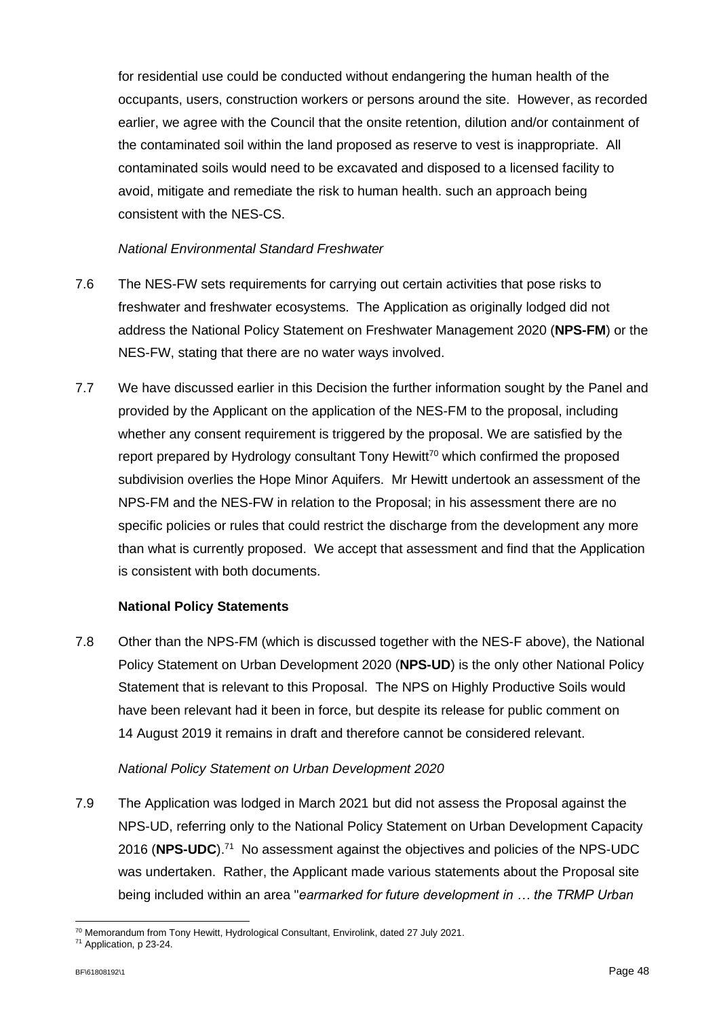for residential use could be conducted without endangering the human health of the occupants, users, construction workers or persons around the site. However, as recorded earlier, we agree with the Council that the onsite retention, dilution and/or containment of the contaminated soil within the land proposed as reserve to vest is inappropriate. All contaminated soils would need to be excavated and disposed to a licensed facility to avoid, mitigate and remediate the risk to human health. such an approach being consistent with the NES-CS.

### *National Environmental Standard Freshwater*

- 7.6 The NES-FW sets requirements for carrying out certain activities that pose risks to freshwater and freshwater ecosystems. The Application as originally lodged did not address the National Policy Statement on Freshwater Management 2020 (**NPS-FM**) or the NES-FW, stating that there are no water ways involved.
- 7.7 We have discussed earlier in this Decision the further information sought by the Panel and provided by the Applicant on the application of the NES-FM to the proposal, including whether any consent requirement is triggered by the proposal. We are satisfied by the report prepared by Hydrology consultant Tony Hewitt<sup>70</sup> which confirmed the proposed subdivision overlies the Hope Minor Aquifers. Mr Hewitt undertook an assessment of the NPS-FM and the NES-FW in relation to the Proposal; in his assessment there are no specific policies or rules that could restrict the discharge from the development any more than what is currently proposed. We accept that assessment and find that the Application is consistent with both documents.

### **National Policy Statements**

7.8 Other than the NPS-FM (which is discussed together with the NES-F above), the National Policy Statement on Urban Development 2020 (**NPS-UD**) is the only other National Policy Statement that is relevant to this Proposal. The NPS on Highly Productive Soils would have been relevant had it been in force, but despite its release for public comment on 14 August 2019 it remains in draft and therefore cannot be considered relevant.

### *National Policy Statement on Urban Development 2020*

7.9 The Application was lodged in March 2021 but did not assess the Proposal against the NPS-UD, referring only to the National Policy Statement on Urban Development Capacity 2016 (**NPS-UDC**).<sup>71</sup> No assessment against the objectives and policies of the NPS-UDC was undertaken. Rather, the Applicant made various statements about the Proposal site being included within an area "*earmarked for future development in … the TRMP Urban* 

<sup>&</sup>lt;sup>70</sup> Memorandum from Tony Hewitt, Hydrological Consultant, Envirolink, dated 27 July 2021.

<sup>71</sup> Application, p 23-24.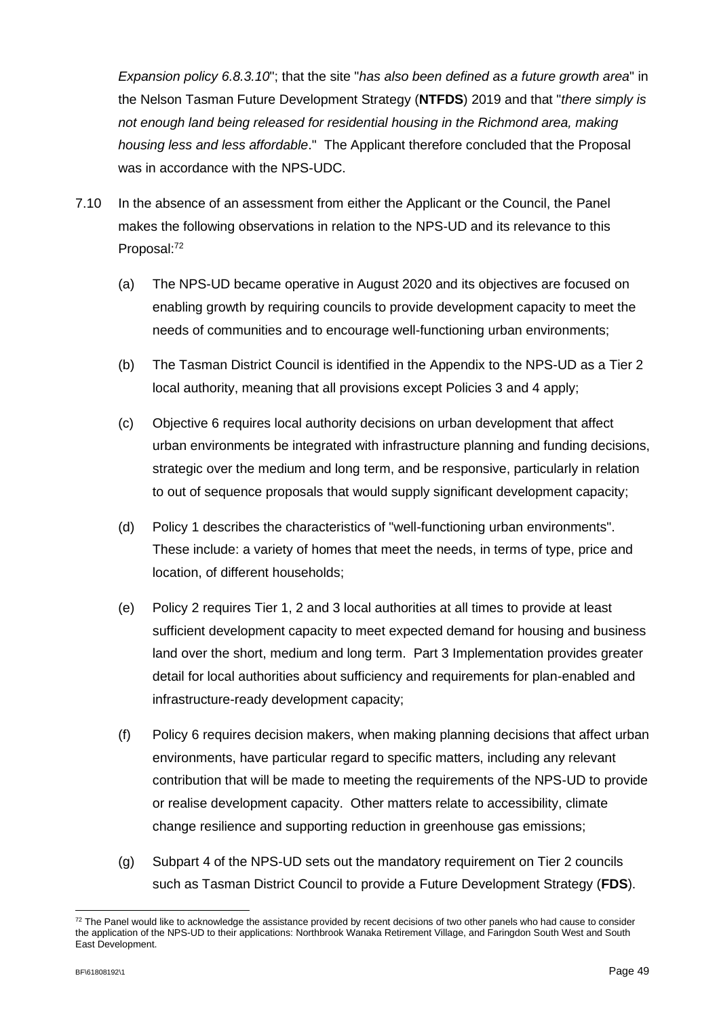*Expansion policy 6.8.3.10*"; that the site "*has also been defined as a future growth area*" in the Nelson Tasman Future Development Strategy (**NTFDS**) 2019 and that "*there simply is not enough land being released for residential housing in the Richmond area, making housing less and less affordable*." The Applicant therefore concluded that the Proposal was in accordance with the NPS-UDC.

- 7.10 In the absence of an assessment from either the Applicant or the Council, the Panel makes the following observations in relation to the NPS-UD and its relevance to this Proposal:<sup>72</sup>
	- (a) The NPS-UD became operative in August 2020 and its objectives are focused on enabling growth by requiring councils to provide development capacity to meet the needs of communities and to encourage well-functioning urban environments;
	- (b) The Tasman District Council is identified in the Appendix to the NPS-UD as a Tier 2 local authority, meaning that all provisions except Policies 3 and 4 apply;
	- (c) Objective 6 requires local authority decisions on urban development that affect urban environments be integrated with infrastructure planning and funding decisions, strategic over the medium and long term, and be responsive, particularly in relation to out of sequence proposals that would supply significant development capacity;
	- (d) Policy 1 describes the characteristics of "well-functioning urban environments". These include: a variety of homes that meet the needs, in terms of type, price and location, of different households;
	- (e) Policy 2 requires Tier 1, 2 and 3 local authorities at all times to provide at least sufficient development capacity to meet expected demand for housing and business land over the short, medium and long term. Part 3 Implementation provides greater detail for local authorities about sufficiency and requirements for plan-enabled and infrastructure-ready development capacity;
	- (f) Policy 6 requires decision makers, when making planning decisions that affect urban environments, have particular regard to specific matters, including any relevant contribution that will be made to meeting the requirements of the NPS-UD to provide or realise development capacity. Other matters relate to accessibility, climate change resilience and supporting reduction in greenhouse gas emissions;
	- (g) Subpart 4 of the NPS-UD sets out the mandatory requirement on Tier 2 councils such as Tasman District Council to provide a Future Development Strategy (**FDS**).

 $72$  The Panel would like to acknowledge the assistance provided by recent decisions of two other panels who had cause to consider the application of the NPS-UD to their applications: Northbrook Wanaka Retirement Village, and Faringdon South West and South East Development.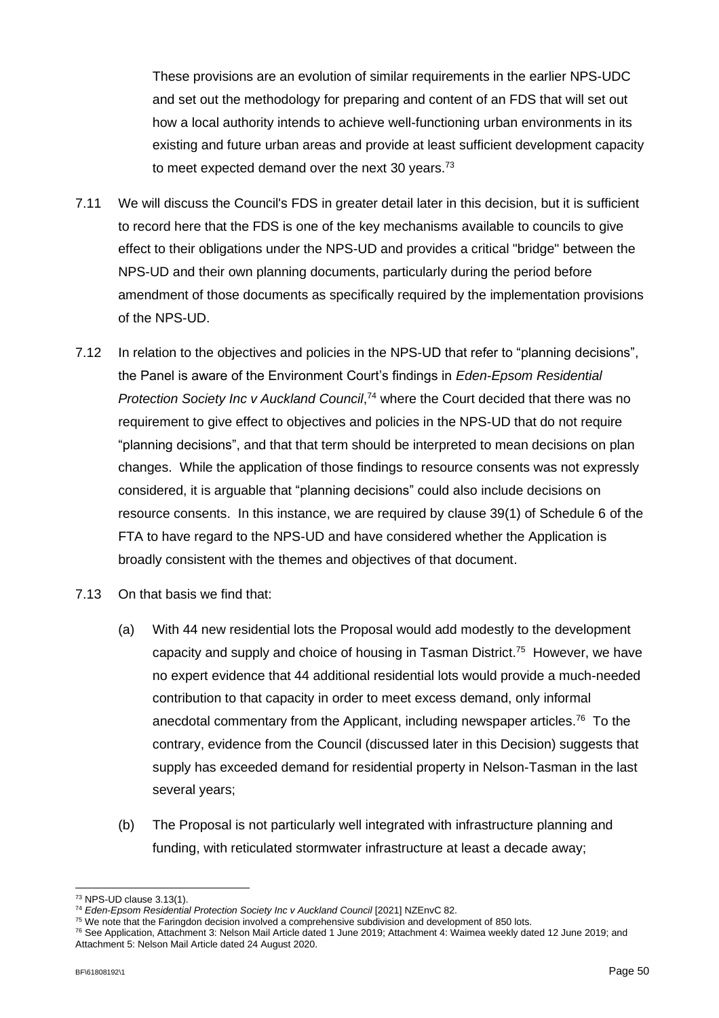These provisions are an evolution of similar requirements in the earlier NPS-UDC and set out the methodology for preparing and content of an FDS that will set out how a local authority intends to achieve well-functioning urban environments in its existing and future urban areas and provide at least sufficient development capacity to meet expected demand over the next 30 years.<sup>73</sup>

- 7.11 We will discuss the Council's FDS in greater detail later in this decision, but it is sufficient to record here that the FDS is one of the key mechanisms available to councils to give effect to their obligations under the NPS-UD and provides a critical "bridge" between the NPS-UD and their own planning documents, particularly during the period before amendment of those documents as specifically required by the implementation provisions of the NPS-UD.
- 7.12 In relation to the objectives and policies in the NPS-UD that refer to "planning decisions", the Panel is aware of the Environment Court's findings in *Eden-Epsom Residential Protection Society Inc v Auckland Council*, <sup>74</sup> where the Court decided that there was no requirement to give effect to objectives and policies in the NPS-UD that do not require "planning decisions", and that that term should be interpreted to mean decisions on plan changes. While the application of those findings to resource consents was not expressly considered, it is arguable that "planning decisions" could also include decisions on resource consents. In this instance, we are required by clause 39(1) of Schedule 6 of the FTA to have regard to the NPS-UD and have considered whether the Application is broadly consistent with the themes and objectives of that document.
- 7.13 On that basis we find that:
	- (a) With 44 new residential lots the Proposal would add modestly to the development capacity and supply and choice of housing in Tasman District. 75 However, we have no expert evidence that 44 additional residential lots would provide a much-needed contribution to that capacity in order to meet excess demand, only informal anecdotal commentary from the Applicant, including newspaper articles.<sup>76</sup> To the contrary, evidence from the Council (discussed later in this Decision) suggests that supply has exceeded demand for residential property in Nelson-Tasman in the last several years;
	- (b) The Proposal is not particularly well integrated with infrastructure planning and funding, with reticulated stormwater infrastructure at least a decade away;

<sup>73</sup> NPS-UD clause 3.13(1).

<sup>&</sup>lt;sup>74</sup> Eden-Epsom Residential Protection Society Inc v Auckland Council [2021] NZEnvC 82.

<sup>75</sup> We note that the Faringdon decision involved a comprehensive subdivision and development of 850 lots.

<sup>76</sup> See Application, Attachment 3: Nelson Mail Article dated 1 June 2019; Attachment 4: Waimea weekly dated 12 June 2019; and Attachment 5: Nelson Mail Article dated 24 August 2020.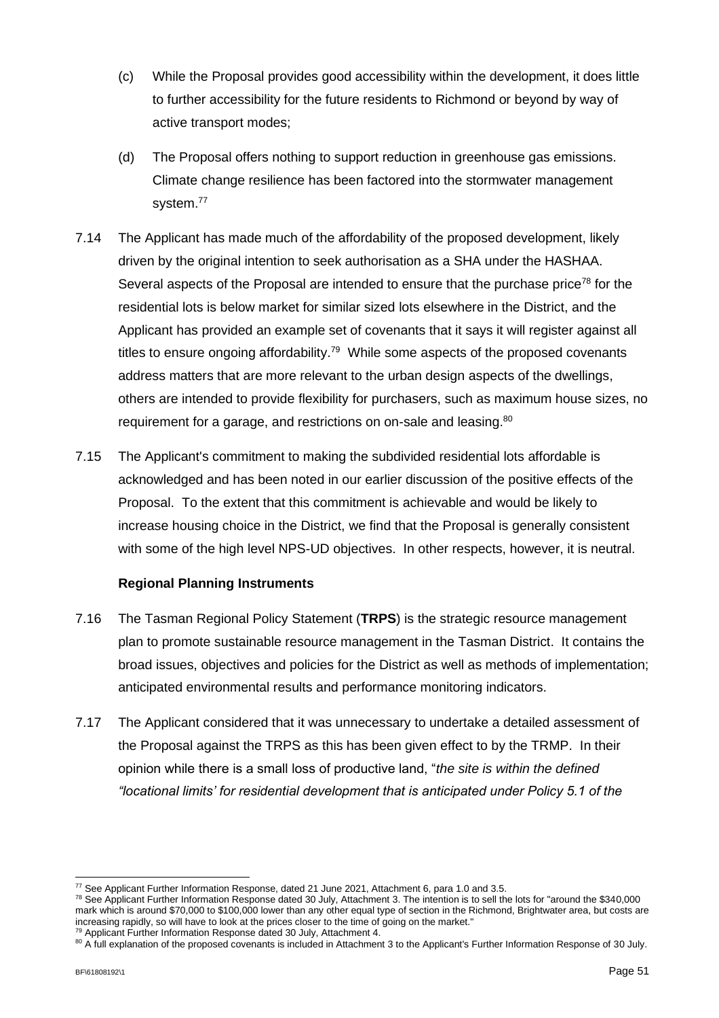- (c) While the Proposal provides good accessibility within the development, it does little to further accessibility for the future residents to Richmond or beyond by way of active transport modes;
- (d) The Proposal offers nothing to support reduction in greenhouse gas emissions. Climate change resilience has been factored into the stormwater management system.<sup>77</sup>
- 7.14 The Applicant has made much of the affordability of the proposed development, likely driven by the original intention to seek authorisation as a SHA under the HASHAA. Several aspects of the Proposal are intended to ensure that the purchase price<sup>78</sup> for the residential lots is below market for similar sized lots elsewhere in the District, and the Applicant has provided an example set of covenants that it says it will register against all titles to ensure ongoing affordability.<sup>79</sup> While some aspects of the proposed covenants address matters that are more relevant to the urban design aspects of the dwellings, others are intended to provide flexibility for purchasers, such as maximum house sizes, no requirement for a garage, and restrictions on on-sale and leasing.<sup>80</sup>
- 7.15 The Applicant's commitment to making the subdivided residential lots affordable is acknowledged and has been noted in our earlier discussion of the positive effects of the Proposal. To the extent that this commitment is achievable and would be likely to increase housing choice in the District, we find that the Proposal is generally consistent with some of the high level NPS-UD objectives. In other respects, however, it is neutral.

### **Regional Planning Instruments**

- 7.16 The Tasman Regional Policy Statement (**TRPS**) is the strategic resource management plan to promote sustainable resource management in the Tasman District. It contains the broad issues, objectives and policies for the District as well as methods of implementation; anticipated environmental results and performance monitoring indicators.
- 7.17 The Applicant considered that it was unnecessary to undertake a detailed assessment of the Proposal against the TRPS as this has been given effect to by the TRMP. In their opinion while there is a small loss of productive land, "*the site is within the defined "locational limits' for residential development that is anticipated under Policy 5.1 of the*

<sup>77</sup> See Applicant Further Information Response, dated 21 June 2021, Attachment 6, para 1.0 and 3.5.

 $78$  See Applicant Further Information Response dated 30 July, Attachment 3. The intention is to sell the lots for "around the \$340,000" mark which is around \$70,000 to \$100,000 lower than any other equal type of section in the Richmond, Brightwater area, but costs are increasing rapidly, so will have to look at the prices closer to the time of going on the market."

<sup>&</sup>lt;sup>79</sup> Applicant Further Information Response dated 30 July, Attachment 4.

<sup>80</sup> A full explanation of the proposed covenants is included in Attachment 3 to the Applicant's Further Information Response of 30 July.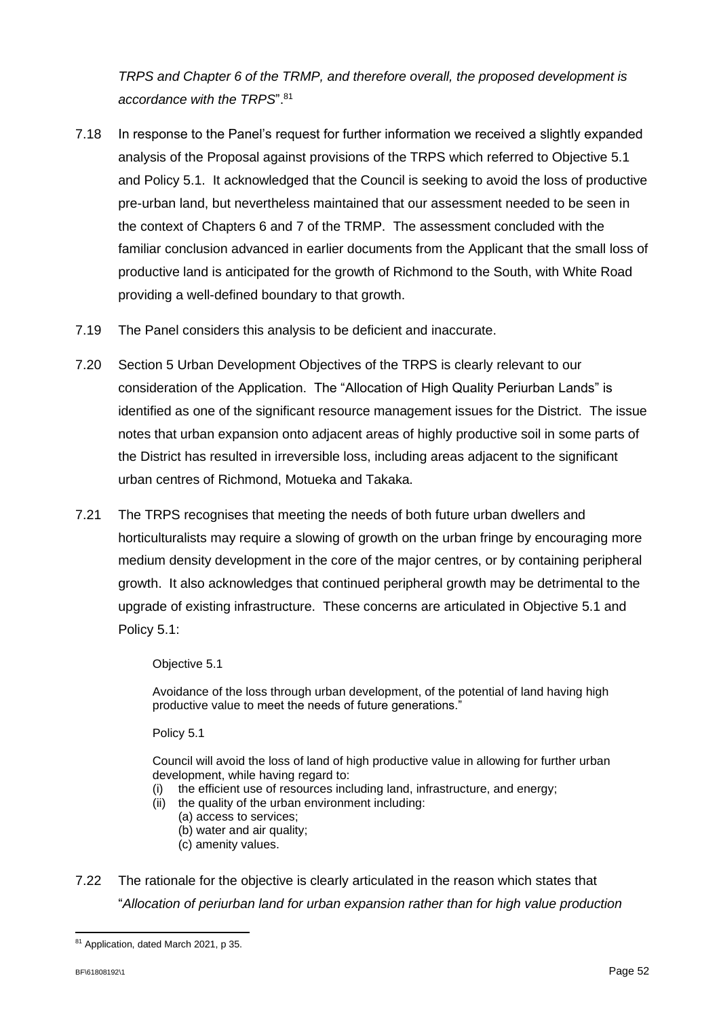*TRPS and Chapter 6 of the TRMP, and therefore overall, the proposed development is accordance with the TRPS*". 81

- 7.18 In response to the Panel's request for further information we received a slightly expanded analysis of the Proposal against provisions of the TRPS which referred to Objective 5.1 and Policy 5.1. It acknowledged that the Council is seeking to avoid the loss of productive pre-urban land, but nevertheless maintained that our assessment needed to be seen in the context of Chapters 6 and 7 of the TRMP. The assessment concluded with the familiar conclusion advanced in earlier documents from the Applicant that the small loss of productive land is anticipated for the growth of Richmond to the South, with White Road providing a well-defined boundary to that growth.
- 7.19 The Panel considers this analysis to be deficient and inaccurate.
- 7.20 Section 5 Urban Development Objectives of the TRPS is clearly relevant to our consideration of the Application. The "Allocation of High Quality Periurban Lands" is identified as one of the significant resource management issues for the District. The issue notes that urban expansion onto adjacent areas of highly productive soil in some parts of the District has resulted in irreversible loss, including areas adjacent to the significant urban centres of Richmond, Motueka and Takaka.
- 7.21 The TRPS recognises that meeting the needs of both future urban dwellers and horticulturalists may require a slowing of growth on the urban fringe by encouraging more medium density development in the core of the major centres, or by containing peripheral growth. It also acknowledges that continued peripheral growth may be detrimental to the upgrade of existing infrastructure. These concerns are articulated in Objective 5.1 and Policy 5.1:

### Objective 5.1

Avoidance of the loss through urban development, of the potential of land having high productive value to meet the needs of future generations."

### Policy 5.1

Council will avoid the loss of land of high productive value in allowing for further urban development, while having regard to:

- the efficient use of resources including land, infrastructure, and energy;
- (ii) the quality of the urban environment including:
	- (a) access to services;
		- (b) water and air quality;
		- (c) amenity values.
- 7.22 The rationale for the objective is clearly articulated in the reason which states that "*Allocation of periurban land for urban expansion rather than for high value production*

<sup>81</sup> Application, dated March 2021, p 35.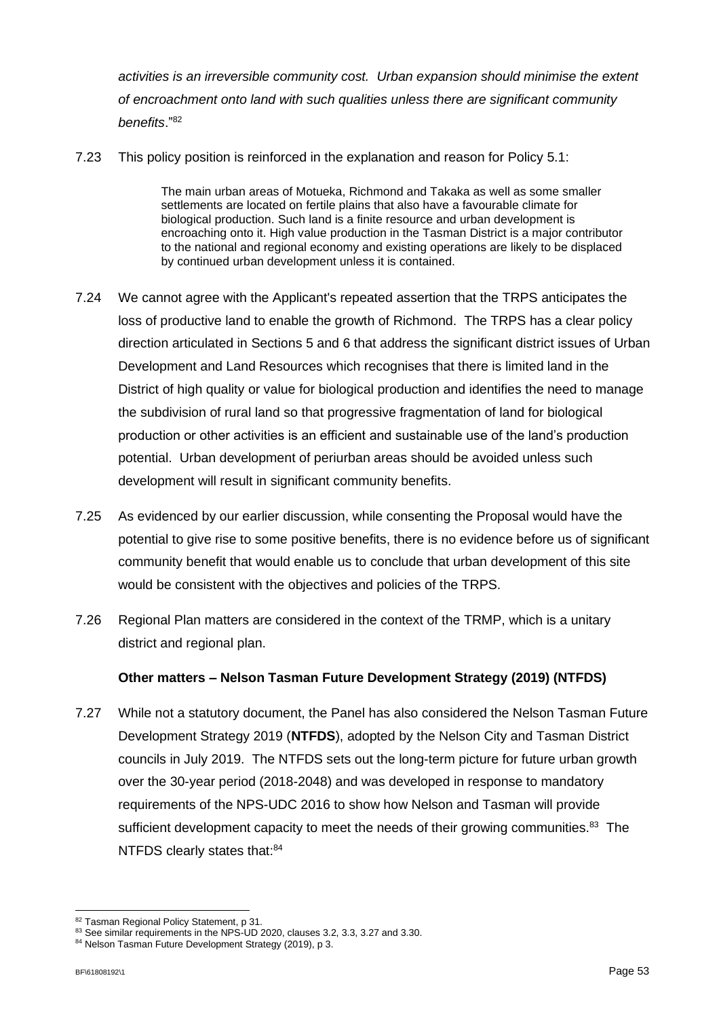*activities is an irreversible community cost. Urban expansion should minimise the extent of encroachment onto land with such qualities unless there are significant community benefits*."<sup>82</sup>

7.23 This policy position is reinforced in the explanation and reason for Policy 5.1:

The main urban areas of Motueka, Richmond and Takaka as well as some smaller settlements are located on fertile plains that also have a favourable climate for biological production. Such land is a finite resource and urban development is encroaching onto it. High value production in the Tasman District is a major contributor to the national and regional economy and existing operations are likely to be displaced by continued urban development unless it is contained.

- 7.24 We cannot agree with the Applicant's repeated assertion that the TRPS anticipates the loss of productive land to enable the growth of Richmond. The TRPS has a clear policy direction articulated in Sections 5 and 6 that address the significant district issues of Urban Development and Land Resources which recognises that there is limited land in the District of high quality or value for biological production and identifies the need to manage the subdivision of rural land so that progressive fragmentation of land for biological production or other activities is an efficient and sustainable use of the land's production potential. Urban development of periurban areas should be avoided unless such development will result in significant community benefits.
- 7.25 As evidenced by our earlier discussion, while consenting the Proposal would have the potential to give rise to some positive benefits, there is no evidence before us of significant community benefit that would enable us to conclude that urban development of this site would be consistent with the objectives and policies of the TRPS.
- 7.26 Regional Plan matters are considered in the context of the TRMP, which is a unitary district and regional plan.

### **Other matters – Nelson Tasman Future Development Strategy (2019) (NTFDS)**

7.27 While not a statutory document, the Panel has also considered the Nelson Tasman Future Development Strategy 2019 (**NTFDS**), adopted by the Nelson City and Tasman District councils in July 2019. The NTFDS sets out the long-term picture for future urban growth over the 30-year period (2018-2048) and was developed in response to mandatory requirements of the NPS-UDC 2016 to show how Nelson and Tasman will provide sufficient development capacity to meet the needs of their growing communities.<sup>83</sup> The NTFDS clearly states that:<sup>84</sup>

<sup>82</sup> Tasman Regional Policy Statement, p 31.

<sup>83</sup> See similar requirements in the NPS-UD 2020, clauses 3.2, 3.3, 3.27 and 3.30.

<sup>84</sup> Nelson Tasman Future Development Strategy (2019), p 3.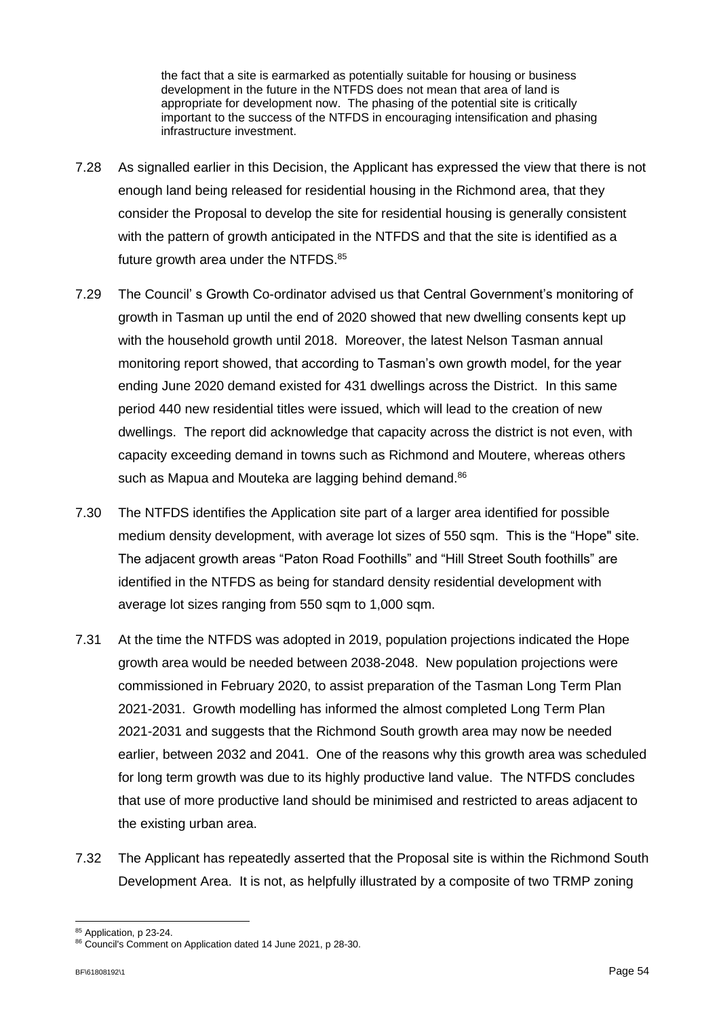the fact that a site is earmarked as potentially suitable for housing or business development in the future in the NTFDS does not mean that area of land is appropriate for development now. The phasing of the potential site is critically important to the success of the NTFDS in encouraging intensification and phasing infrastructure investment.

- 7.28 As signalled earlier in this Decision, the Applicant has expressed the view that there is not enough land being released for residential housing in the Richmond area, that they consider the Proposal to develop the site for residential housing is generally consistent with the pattern of growth anticipated in the NTFDS and that the site is identified as a future growth area under the NTFDS.<sup>85</sup>
- 7.29 The Council' s Growth Co-ordinator advised us that Central Government's monitoring of growth in Tasman up until the end of 2020 showed that new dwelling consents kept up with the household growth until 2018. Moreover, the latest Nelson Tasman annual monitoring report showed, that according to Tasman's own growth model, for the year ending June 2020 demand existed for 431 dwellings across the District. In this same period 440 new residential titles were issued, which will lead to the creation of new dwellings. The report did acknowledge that capacity across the district is not even, with capacity exceeding demand in towns such as Richmond and Moutere, whereas others such as Mapua and Mouteka are lagging behind demand.<sup>86</sup>
- 7.30 The NTFDS identifies the Application site part of a larger area identified for possible medium density development, with average lot sizes of 550 sqm. This is the "Hope" site. The adjacent growth areas "Paton Road Foothills" and "Hill Street South foothills" are identified in the NTFDS as being for standard density residential development with average lot sizes ranging from 550 sqm to 1,000 sqm.
- 7.31 At the time the NTFDS was adopted in 2019, population projections indicated the Hope growth area would be needed between 2038-2048. New population projections were commissioned in February 2020, to assist preparation of the Tasman Long Term Plan 2021-2031. Growth modelling has informed the almost completed Long Term Plan 2021-2031 and suggests that the Richmond South growth area may now be needed earlier, between 2032 and 2041. One of the reasons why this growth area was scheduled for long term growth was due to its highly productive land value. The NTFDS concludes that use of more productive land should be minimised and restricted to areas adjacent to the existing urban area.
- 7.32 The Applicant has repeatedly asserted that the Proposal site is within the Richmond South Development Area. It is not, as helpfully illustrated by a composite of two TRMP zoning

<sup>85</sup> Application, p 23-24.

<sup>86</sup> Council's Comment on Application dated 14 June 2021, p 28-30.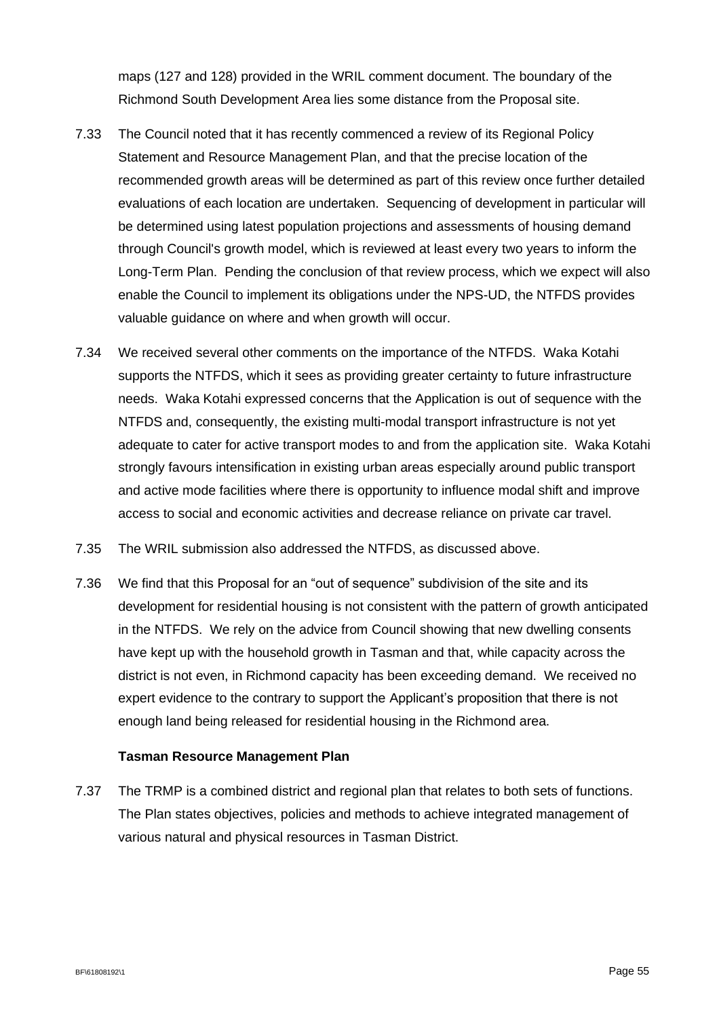maps (127 and 128) provided in the WRIL comment document. The boundary of the Richmond South Development Area lies some distance from the Proposal site.

- 7.33 The Council noted that it has recently commenced a review of its Regional Policy Statement and Resource Management Plan, and that the precise location of the recommended growth areas will be determined as part of this review once further detailed evaluations of each location are undertaken. Sequencing of development in particular will be determined using latest population projections and assessments of housing demand through Council's growth model, which is reviewed at least every two years to inform the Long-Term Plan. Pending the conclusion of that review process, which we expect will also enable the Council to implement its obligations under the NPS-UD, the NTFDS provides valuable guidance on where and when growth will occur.
- 7.34 We received several other comments on the importance of the NTFDS. Waka Kotahi supports the NTFDS, which it sees as providing greater certainty to future infrastructure needs. Waka Kotahi expressed concerns that the Application is out of sequence with the NTFDS and, consequently, the existing multi-modal transport infrastructure is not yet adequate to cater for active transport modes to and from the application site. Waka Kotahi strongly favours intensification in existing urban areas especially around public transport and active mode facilities where there is opportunity to influence modal shift and improve access to social and economic activities and decrease reliance on private car travel.
- 7.35 The WRIL submission also addressed the NTFDS, as discussed above.
- 7.36 We find that this Proposal for an "out of sequence" subdivision of the site and its development for residential housing is not consistent with the pattern of growth anticipated in the NTFDS. We rely on the advice from Council showing that new dwelling consents have kept up with the household growth in Tasman and that, while capacity across the district is not even, in Richmond capacity has been exceeding demand. We received no expert evidence to the contrary to support the Applicant's proposition that there is not enough land being released for residential housing in the Richmond area.

### **Tasman Resource Management Plan**

7.37 The TRMP is a combined district and regional plan that relates to both sets of functions. The Plan states objectives, policies and methods to achieve integrated management of various natural and physical resources in Tasman District.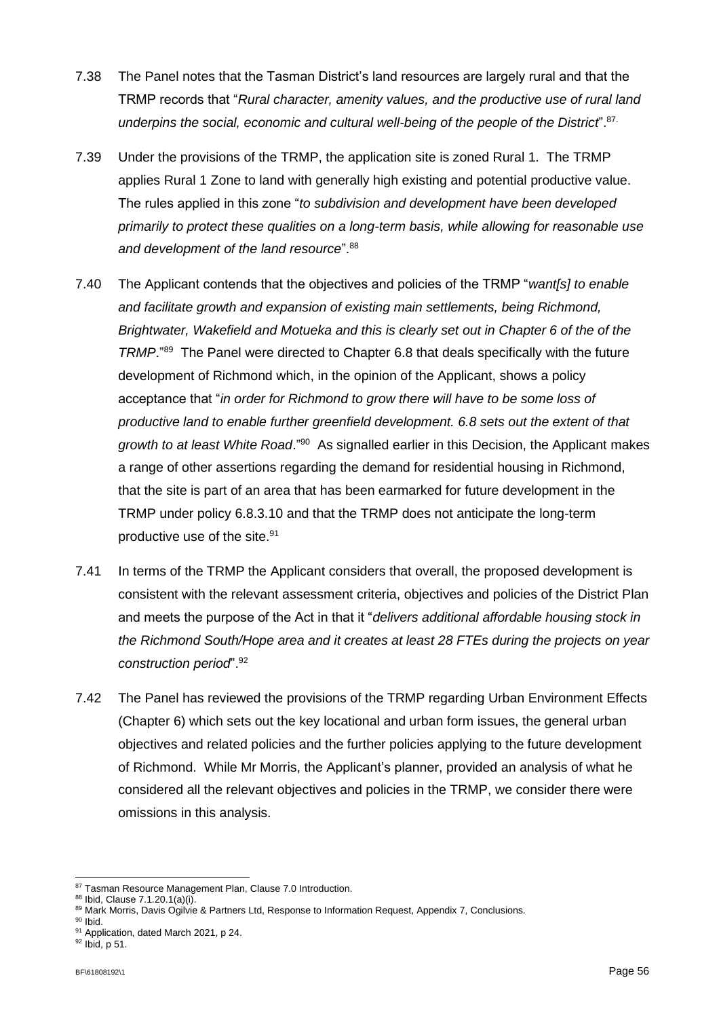- 7.38 The Panel notes that the Tasman District's land resources are largely rural and that the TRMP records that "*Rural character, amenity values, and the productive use of rural land underpins the social, economic and cultural well-being of the people of the District*". 87.
- 7.39 Under the provisions of the TRMP, the application site is zoned Rural 1. The TRMP applies Rural 1 Zone to land with generally high existing and potential productive value. The rules applied in this zone "*to subdivision and development have been developed primarily to protect these qualities on a long-term basis, while allowing for reasonable use and development of the land resource*". 88
- 7.40 The Applicant contends that the objectives and policies of the TRMP "*want[s] to enable and facilitate growth and expansion of existing main settlements, being Richmond, Brightwater, Wakefield and Motueka and this is clearly set out in Chapter 6 of the of the TRMP*."<sup>89</sup> The Panel were directed to Chapter 6.8 that deals specifically with the future development of Richmond which, in the opinion of the Applicant, shows a policy acceptance that "*in order for Richmond to grow there will have to be some loss of productive land to enable further greenfield development. 6.8 sets out the extent of that*  growth to at least White Road."<sup>90</sup> As signalled earlier in this Decision, the Applicant makes a range of other assertions regarding the demand for residential housing in Richmond, that the site is part of an area that has been earmarked for future development in the TRMP under policy 6.8.3.10 and that the TRMP does not anticipate the long-term productive use of the site. 91
- 7.41 In terms of the TRMP the Applicant considers that overall, the proposed development is consistent with the relevant assessment criteria, objectives and policies of the District Plan and meets the purpose of the Act in that it "*delivers additional affordable housing stock in the Richmond South/Hope area and it creates at least 28 FTEs during the projects on year construction period*". 92
- 7.42 The Panel has reviewed the provisions of the TRMP regarding Urban Environment Effects (Chapter 6) which sets out the key locational and urban form issues, the general urban objectives and related policies and the further policies applying to the future development of Richmond. While Mr Morris, the Applicant's planner, provided an analysis of what he considered all the relevant objectives and policies in the TRMP, we consider there were omissions in this analysis.

<sup>87</sup> Tasman Resource Management Plan, Clause 7.0 Introduction.

<sup>88</sup> Ibid, Clause 7.1.20.1(a)(i).

<sup>89</sup> Mark Morris, Davis Ogilvie & Partners Ltd, Response to Information Request, Appendix 7, Conclusions.

 $90$  Ibid.

<sup>91</sup> Application, dated March 2021, p 24.

<sup>92</sup> Ibid, p 51.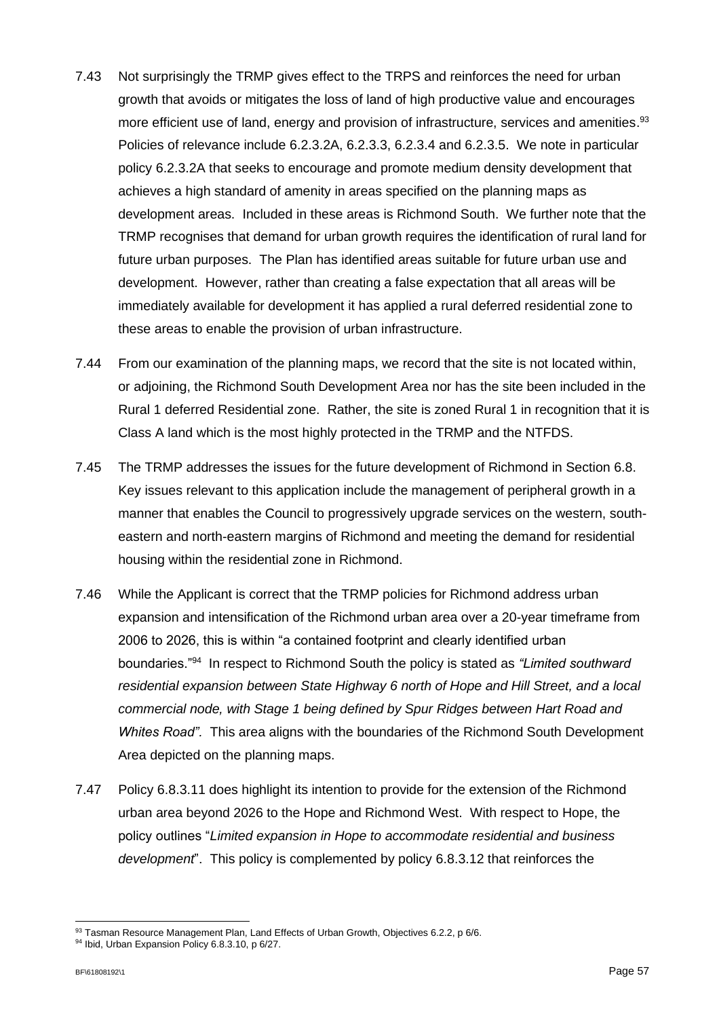- 7.43 Not surprisingly the TRMP gives effect to the TRPS and reinforces the need for urban growth that avoids or mitigates the loss of land of high productive value and encourages more efficient use of land, energy and provision of infrastructure, services and amenities. 93 Policies of relevance include 6.2.3.2A, 6.2.3.3, 6.2.3.4 and 6.2.3.5. We note in particular policy 6.2.3.2A that seeks to encourage and promote medium density development that achieves a high standard of amenity in areas specified on the planning maps as development areas. Included in these areas is Richmond South. We further note that the TRMP recognises that demand for urban growth requires the identification of rural land for future urban purposes. The Plan has identified areas suitable for future urban use and development. However, rather than creating a false expectation that all areas will be immediately available for development it has applied a rural deferred residential zone to these areas to enable the provision of urban infrastructure.
- 7.44 From our examination of the planning maps, we record that the site is not located within, or adjoining, the Richmond South Development Area nor has the site been included in the Rural 1 deferred Residential zone. Rather, the site is zoned Rural 1 in recognition that it is Class A land which is the most highly protected in the TRMP and the NTFDS.
- 7.45 The TRMP addresses the issues for the future development of Richmond in Section 6.8. Key issues relevant to this application include the management of peripheral growth in a manner that enables the Council to progressively upgrade services on the western, southeastern and north-eastern margins of Richmond and meeting the demand for residential housing within the residential zone in Richmond.
- 7.46 While the Applicant is correct that the TRMP policies for Richmond address urban expansion and intensification of the Richmond urban area over a 20-year timeframe from 2006 to 2026, this is within "a contained footprint and clearly identified urban boundaries."<sup>94</sup> In respect to Richmond South the policy is stated as *"Limited southward residential expansion between State Highway 6 north of Hope and Hill Street, and a local commercial node, with Stage 1 being defined by Spur Ridges between Hart Road and Whites Road".* This area aligns with the boundaries of the Richmond South Development Area depicted on the planning maps.
- 7.47 Policy 6.8.3.11 does highlight its intention to provide for the extension of the Richmond urban area beyond 2026 to the Hope and Richmond West. With respect to Hope, the policy outlines "*Limited expansion in Hope to accommodate residential and business development*". This policy is complemented by policy 6.8.3.12 that reinforces the

<sup>93</sup> Tasman Resource Management Plan, Land Effects of Urban Growth, Objectives 6.2.2, p 6/6.

<sup>94</sup> Ibid, Urban Expansion Policy 6.8.3.10, p 6/27.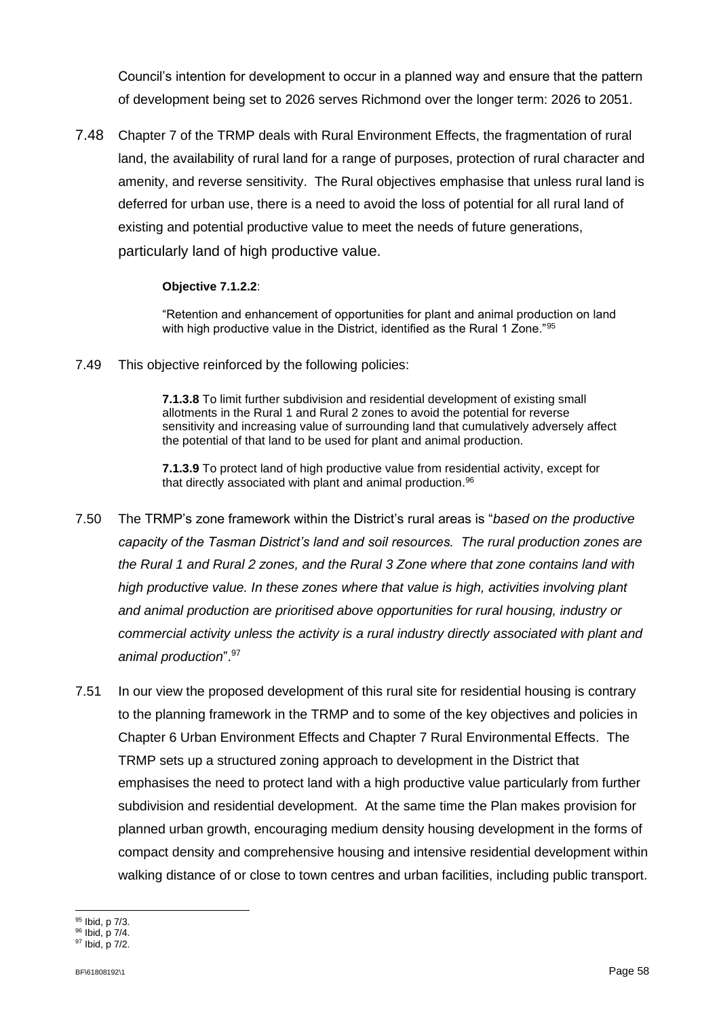Council's intention for development to occur in a planned way and ensure that the pattern of development being set to 2026 serves Richmond over the longer term: 2026 to 2051.

7.48 Chapter 7 of the TRMP deals with Rural Environment Effects, the fragmentation of rural land, the availability of rural land for a range of purposes, protection of rural character and amenity, and reverse sensitivity. The Rural objectives emphasise that unless rural land is deferred for urban use, there is a need to avoid the loss of potential for all rural land of existing and potential productive value to meet the needs of future generations, particularly land of high productive value.

### **Objective 7.1.2.2**:

"Retention and enhancement of opportunities for plant and animal production on land with high productive value in the District, identified as the Rural 1 Zone."95

7.49 This objective reinforced by the following policies:

**7.1.3.8** To limit further subdivision and residential development of existing small allotments in the Rural 1 and Rural 2 zones to avoid the potential for reverse sensitivity and increasing value of surrounding land that cumulatively adversely affect the potential of that land to be used for plant and animal production.

**7.1.3.9** To protect land of high productive value from residential activity, except for that directly associated with plant and animal production. 96

- 7.50 The TRMP's zone framework within the District's rural areas is "*based on the productive capacity of the Tasman District's land and soil resources. The rural production zones are the Rural 1 and Rural 2 zones, and the Rural 3 Zone where that zone contains land with high productive value. In these zones where that value is high, activities involving plant and animal production are prioritised above opportunities for rural housing, industry or commercial activity unless the activity is a rural industry directly associated with plant and animal production*". 97
- 7.51 In our view the proposed development of this rural site for residential housing is contrary to the planning framework in the TRMP and to some of the key objectives and policies in Chapter 6 Urban Environment Effects and Chapter 7 Rural Environmental Effects. The TRMP sets up a structured zoning approach to development in the District that emphasises the need to protect land with a high productive value particularly from further subdivision and residential development. At the same time the Plan makes provision for planned urban growth, encouraging medium density housing development in the forms of compact density and comprehensive housing and intensive residential development within walking distance of or close to town centres and urban facilities, including public transport.

<sup>95</sup> Ibid, p 7/3.

<sup>96</sup> Ibid, p 7/4. <sup>97</sup> Ibid, p 7/2.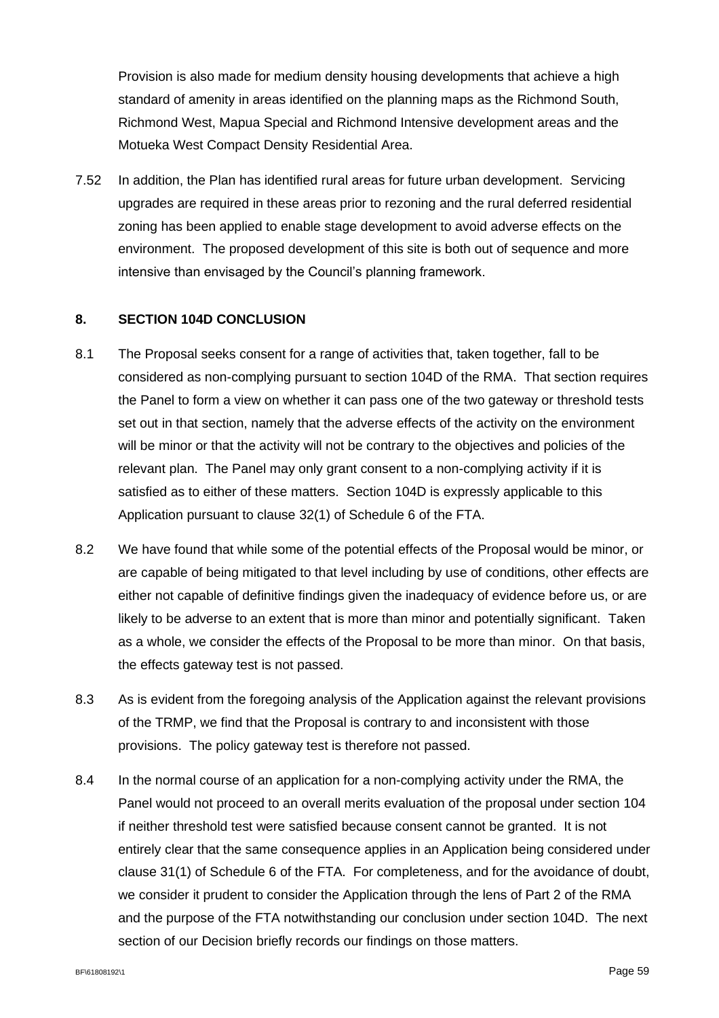Provision is also made for medium density housing developments that achieve a high standard of amenity in areas identified on the planning maps as the Richmond South, Richmond West, Mapua Special and Richmond Intensive development areas and the Motueka West Compact Density Residential Area.

7.52 In addition, the Plan has identified rural areas for future urban development. Servicing upgrades are required in these areas prior to rezoning and the rural deferred residential zoning has been applied to enable stage development to avoid adverse effects on the environment. The proposed development of this site is both out of sequence and more intensive than envisaged by the Council's planning framework.

### **8. SECTION 104D CONCLUSION**

- 8.1 The Proposal seeks consent for a range of activities that, taken together, fall to be considered as non-complying pursuant to section 104D of the RMA. That section requires the Panel to form a view on whether it can pass one of the two gateway or threshold tests set out in that section, namely that the adverse effects of the activity on the environment will be minor or that the activity will not be contrary to the objectives and policies of the relevant plan. The Panel may only grant consent to a non-complying activity if it is satisfied as to either of these matters. Section 104D is expressly applicable to this Application pursuant to clause 32(1) of Schedule 6 of the FTA.
- 8.2 We have found that while some of the potential effects of the Proposal would be minor, or are capable of being mitigated to that level including by use of conditions, other effects are either not capable of definitive findings given the inadequacy of evidence before us, or are likely to be adverse to an extent that is more than minor and potentially significant. Taken as a whole, we consider the effects of the Proposal to be more than minor. On that basis, the effects gateway test is not passed.
- 8.3 As is evident from the foregoing analysis of the Application against the relevant provisions of the TRMP, we find that the Proposal is contrary to and inconsistent with those provisions. The policy gateway test is therefore not passed.
- 8.4 In the normal course of an application for a non-complying activity under the RMA, the Panel would not proceed to an overall merits evaluation of the proposal under section 104 if neither threshold test were satisfied because consent cannot be granted. It is not entirely clear that the same consequence applies in an Application being considered under clause 31(1) of Schedule 6 of the FTA. For completeness, and for the avoidance of doubt, we consider it prudent to consider the Application through the lens of Part 2 of the RMA and the purpose of the FTA notwithstanding our conclusion under section 104D. The next section of our Decision briefly records our findings on those matters.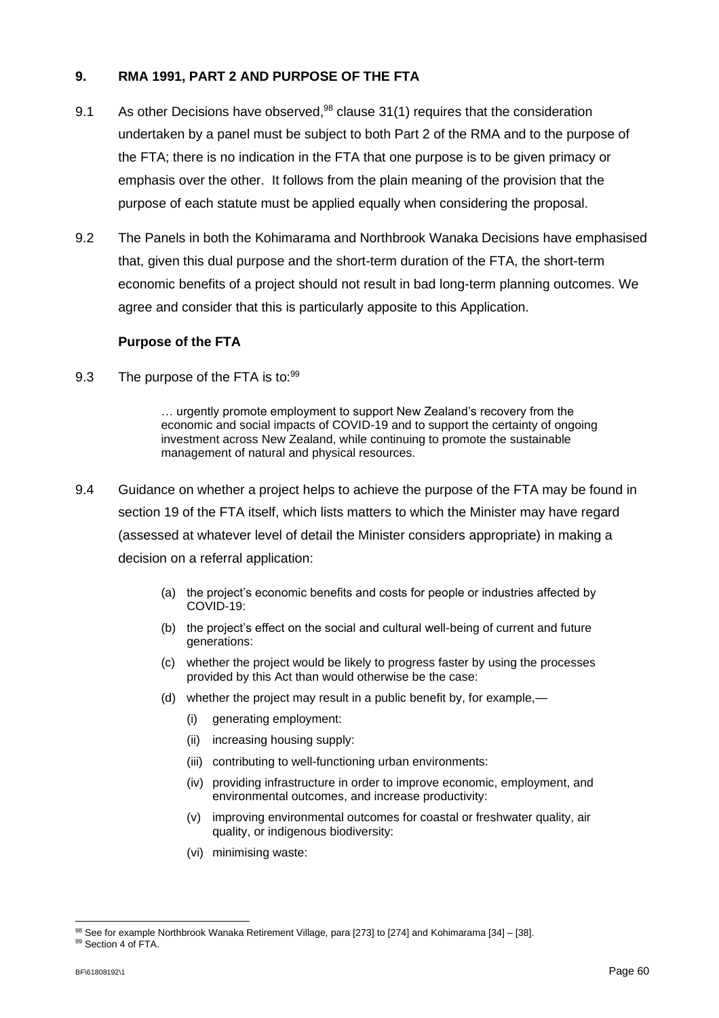### **9. RMA 1991, PART 2 AND PURPOSE OF THE FTA**

- 9.1 As other Decisions have observed,<sup>98</sup> clause 31(1) requires that the consideration undertaken by a panel must be subject to both Part 2 of the RMA and to the purpose of the FTA; there is no indication in the FTA that one purpose is to be given primacy or emphasis over the other. It follows from the plain meaning of the provision that the purpose of each statute must be applied equally when considering the proposal.
- 9.2 The Panels in both the Kohimarama and Northbrook Wanaka Decisions have emphasised that, given this dual purpose and the short-term duration of the FTA, the short-term economic benefits of a project should not result in bad long-term planning outcomes. We agree and consider that this is particularly apposite to this Application.

### **Purpose of the FTA**

9.3 The purpose of the FTA is to:<sup>99</sup>

… urgently promote employment to support New Zealand's recovery from the economic and social impacts of COVID-19 and to support the certainty of ongoing investment across New Zealand, while continuing to promote the sustainable management of natural and physical resources.

- 9.4 Guidance on whether a project helps to achieve the purpose of the FTA may be found in section 19 of the FTA itself, which lists matters to which the Minister may have regard (assessed at whatever level of detail the Minister considers appropriate) in making a decision on a referral application:
	- (a) the project's economic benefits and costs for people or industries affected by COVID-19:
	- (b) the project's effect on the social and cultural well-being of current and future generations:
	- (c) whether the project would be likely to progress faster by using the processes provided by this Act than would otherwise be the case:
	- (d) whether the project may result in a public benefit by, for example,—
		- (i) generating employment:
		- (ii) increasing housing supply:
		- (iii) contributing to well-functioning urban environments:
		- (iv) providing infrastructure in order to improve economic, employment, and environmental outcomes, and increase productivity:
		- (v) improving environmental outcomes for coastal or freshwater quality, air quality, or indigenous biodiversity:
		- (vi) minimising waste:

<sup>98</sup> See for example Northbrook Wanaka Retirement Village, para [273] to [274] and Kohimarama [34] - [38].

<sup>99</sup> Section 4 of FTA.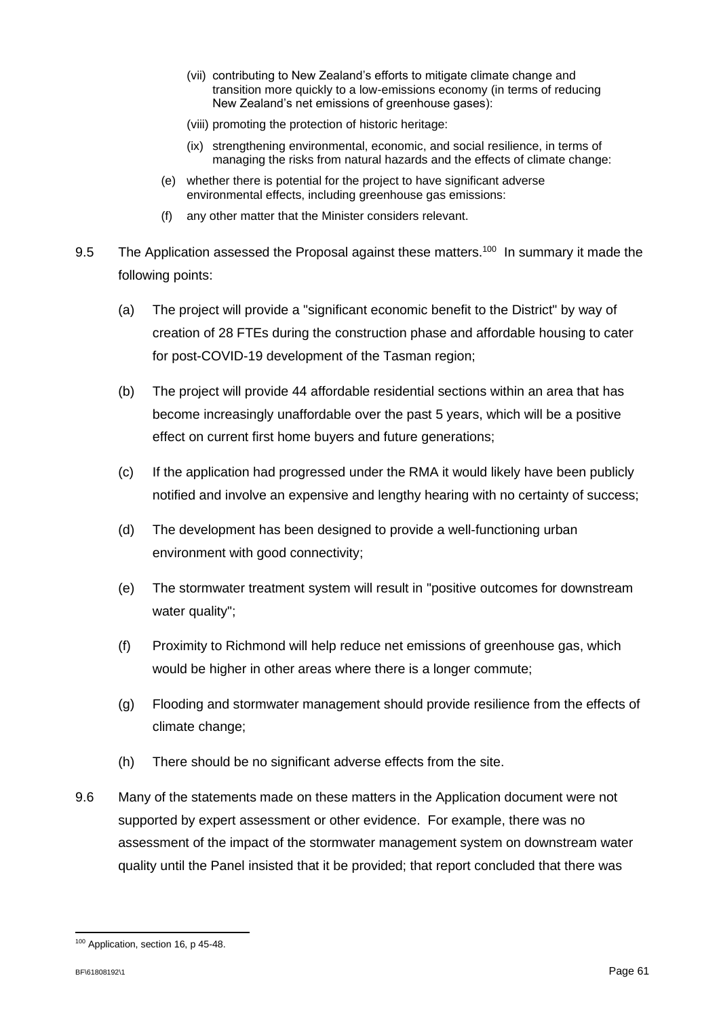- (vii) contributing to New Zealand's efforts to mitigate climate change and transition more quickly to a low-emissions economy (in terms of reducing New Zealand's net emissions of greenhouse gases):
- (viii) promoting the protection of historic heritage:
- (ix) strengthening environmental, economic, and social resilience, in terms of managing the risks from natural hazards and the effects of climate change:
- (e) whether there is potential for the project to have significant adverse environmental effects, including greenhouse gas emissions:
- (f) any other matter that the Minister considers relevant.
- 9.5 The Application assessed the Proposal against these matters.<sup>100</sup> In summary it made the following points:
	- (a) The project will provide a "significant economic benefit to the District" by way of creation of 28 FTEs during the construction phase and affordable housing to cater for post-COVID-19 development of the Tasman region;
	- (b) The project will provide 44 affordable residential sections within an area that has become increasingly unaffordable over the past 5 years, which will be a positive effect on current first home buyers and future generations;
	- (c) If the application had progressed under the RMA it would likely have been publicly notified and involve an expensive and lengthy hearing with no certainty of success;
	- (d) The development has been designed to provide a well-functioning urban environment with good connectivity;
	- (e) The stormwater treatment system will result in "positive outcomes for downstream water quality";
	- (f) Proximity to Richmond will help reduce net emissions of greenhouse gas, which would be higher in other areas where there is a longer commute;
	- (g) Flooding and stormwater management should provide resilience from the effects of climate change;
	- (h) There should be no significant adverse effects from the site.
- 9.6 Many of the statements made on these matters in the Application document were not supported by expert assessment or other evidence. For example, there was no assessment of the impact of the stormwater management system on downstream water quality until the Panel insisted that it be provided; that report concluded that there was

<sup>&</sup>lt;sup>100</sup> Application, section 16, p 45-48.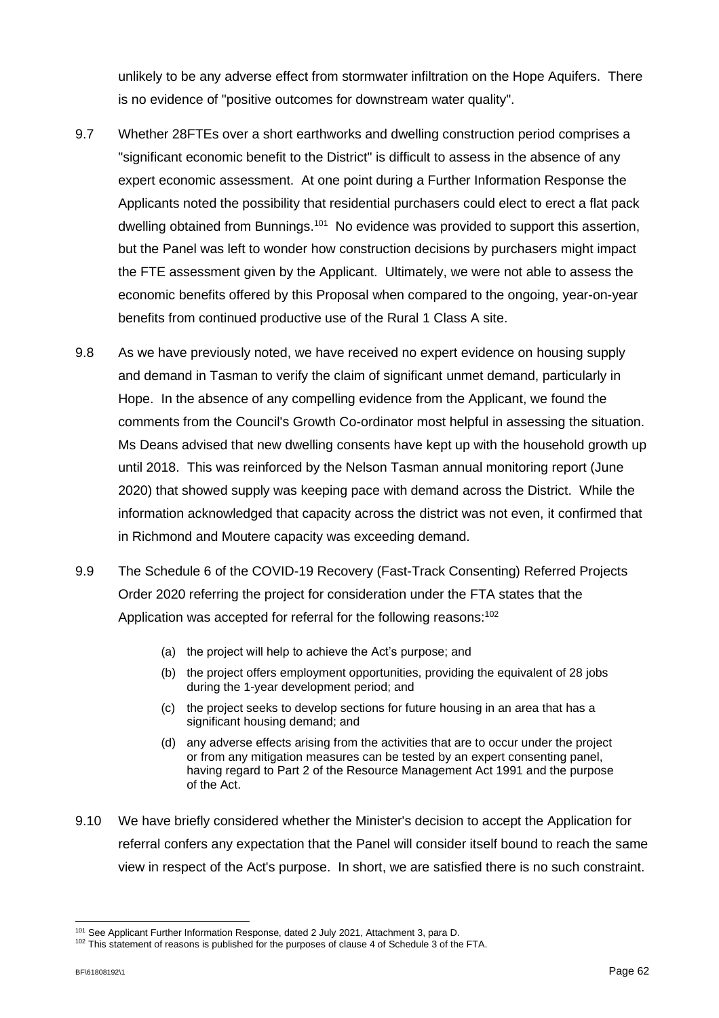unlikely to be any adverse effect from stormwater infiltration on the Hope Aquifers. There is no evidence of "positive outcomes for downstream water quality".

- 9.7 Whether 28FTEs over a short earthworks and dwelling construction period comprises a "significant economic benefit to the District" is difficult to assess in the absence of any expert economic assessment. At one point during a Further Information Response the Applicants noted the possibility that residential purchasers could elect to erect a flat pack dwelling obtained from Bunnings.<sup>101</sup> No evidence was provided to support this assertion, but the Panel was left to wonder how construction decisions by purchasers might impact the FTE assessment given by the Applicant. Ultimately, we were not able to assess the economic benefits offered by this Proposal when compared to the ongoing, year-on-year benefits from continued productive use of the Rural 1 Class A site.
- 9.8 As we have previously noted, we have received no expert evidence on housing supply and demand in Tasman to verify the claim of significant unmet demand, particularly in Hope. In the absence of any compelling evidence from the Applicant, we found the comments from the Council's Growth Co-ordinator most helpful in assessing the situation. Ms Deans advised that new dwelling consents have kept up with the household growth up until 2018. This was reinforced by the Nelson Tasman annual monitoring report (June 2020) that showed supply was keeping pace with demand across the District. While the information acknowledged that capacity across the district was not even, it confirmed that in Richmond and Moutere capacity was exceeding demand.
- 9.9 The Schedule 6 of the COVID-19 Recovery (Fast-Track Consenting) Referred Projects Order 2020 referring the project for consideration under the FTA states that the Application was accepted for referral for the following reasons:<sup>102</sup>
	- (a) the project will help to achieve the Act's purpose; and
	- (b) the project offers employment opportunities, providing the equivalent of 28 jobs during the 1-year development period; and
	- (c) the project seeks to develop sections for future housing in an area that has a significant housing demand; and
	- (d) any adverse effects arising from the activities that are to occur under the project or from any mitigation measures can be tested by an expert consenting panel, having regard to Part 2 of the Resource Management Act 1991 and the purpose of the Act.
- 9.10 We have briefly considered whether the Minister's decision to accept the Application for referral confers any expectation that the Panel will consider itself bound to reach the same view in respect of the Act's purpose. In short, we are satisfied there is no such constraint.

<sup>101</sup> See Applicant Further Information Response, dated 2 July 2021, Attachment 3, para D.

<sup>&</sup>lt;sup>102</sup> This statement of reasons is published for the purposes of clause 4 of Schedule 3 of the FTA.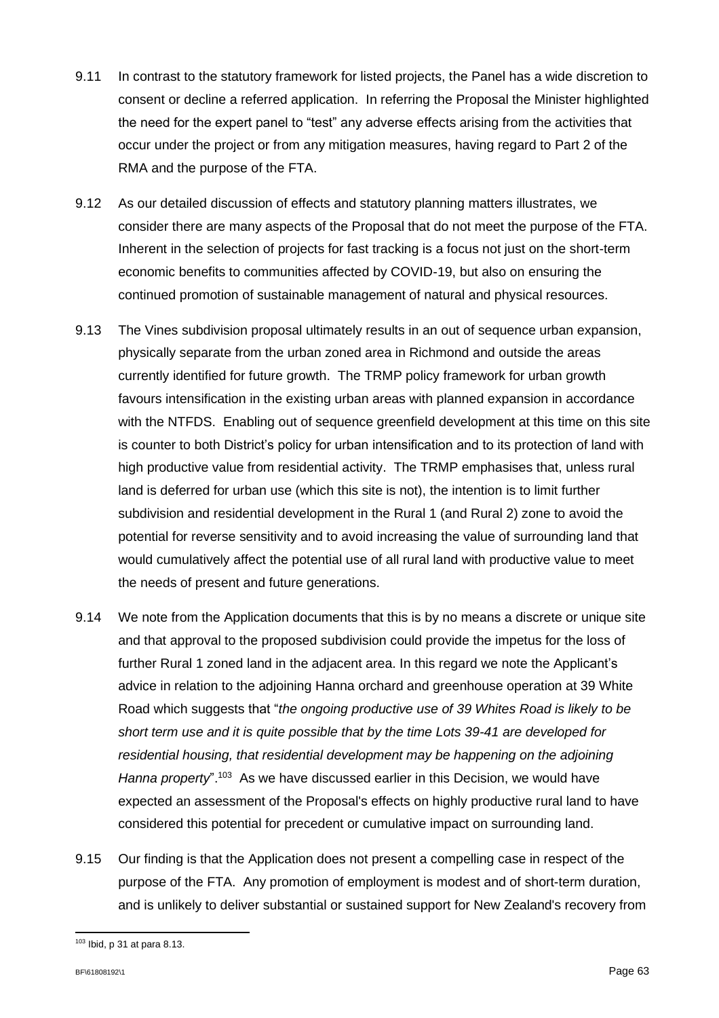- 9.11 In contrast to the statutory framework for listed projects, the Panel has a wide discretion to consent or decline a referred application. In referring the Proposal the Minister highlighted the need for the expert panel to "test" any adverse effects arising from the activities that occur under the project or from any mitigation measures, having regard to Part 2 of the RMA and the purpose of the FTA.
- 9.12 As our detailed discussion of effects and statutory planning matters illustrates, we consider there are many aspects of the Proposal that do not meet the purpose of the FTA. Inherent in the selection of projects for fast tracking is a focus not just on the short-term economic benefits to communities affected by COVID-19, but also on ensuring the continued promotion of sustainable management of natural and physical resources.
- 9.13 The Vines subdivision proposal ultimately results in an out of sequence urban expansion, physically separate from the urban zoned area in Richmond and outside the areas currently identified for future growth. The TRMP policy framework for urban growth favours intensification in the existing urban areas with planned expansion in accordance with the NTFDS. Enabling out of sequence greenfield development at this time on this site is counter to both District's policy for urban intensification and to its protection of land with high productive value from residential activity. The TRMP emphasises that, unless rural land is deferred for urban use (which this site is not), the intention is to limit further subdivision and residential development in the Rural 1 (and Rural 2) zone to avoid the potential for reverse sensitivity and to avoid increasing the value of surrounding land that would cumulatively affect the potential use of all rural land with productive value to meet the needs of present and future generations.
- 9.14 We note from the Application documents that this is by no means a discrete or unique site and that approval to the proposed subdivision could provide the impetus for the loss of further Rural 1 zoned land in the adjacent area. In this regard we note the Applicant's advice in relation to the adjoining Hanna orchard and greenhouse operation at 39 White Road which suggests that "*the ongoing productive use of 39 Whites Road is likely to be short term use and it is quite possible that by the time Lots 39-41 are developed for residential housing, that residential development may be happening on the adjoining*  Hanna property".<sup>103</sup> As we have discussed earlier in this Decision, we would have expected an assessment of the Proposal's effects on highly productive rural land to have considered this potential for precedent or cumulative impact on surrounding land.
- 9.15 Our finding is that the Application does not present a compelling case in respect of the purpose of the FTA. Any promotion of employment is modest and of short-term duration, and is unlikely to deliver substantial or sustained support for New Zealand's recovery from

<sup>103</sup> Ibid, p 31 at para 8.13.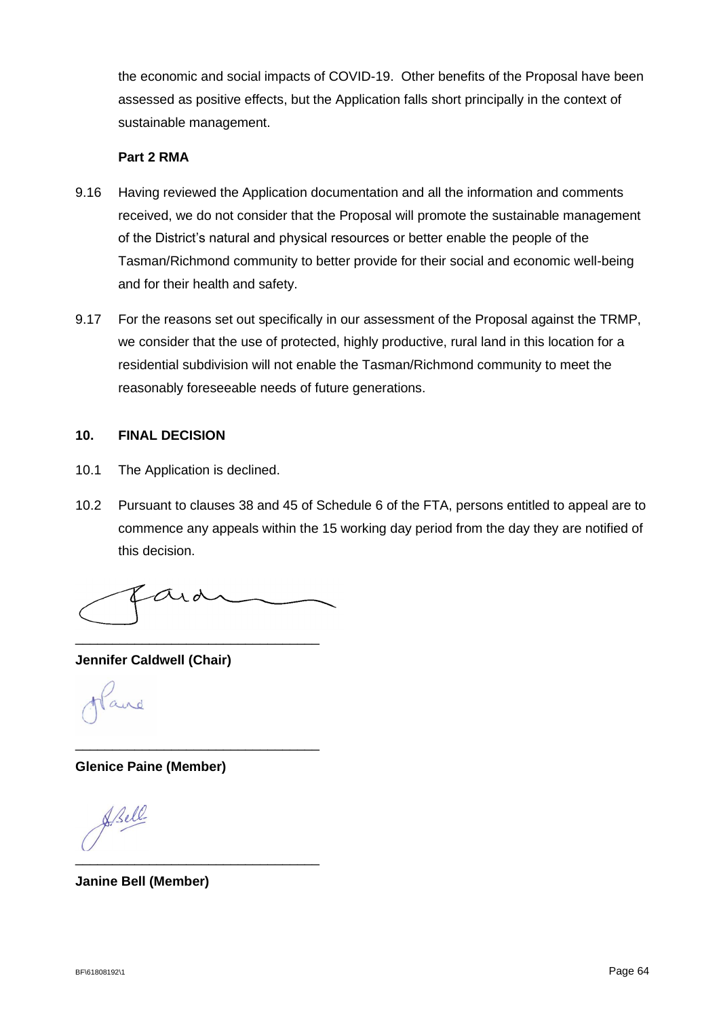the economic and social impacts of COVID-19. Other benefits of the Proposal have been assessed as positive effects, but the Application falls short principally in the context of sustainable management.

### **Part 2 RMA**

- 9.16 Having reviewed the Application documentation and all the information and comments received, we do not consider that the Proposal will promote the sustainable management of the District's natural and physical resources or better enable the people of the Tasman/Richmond community to better provide for their social and economic well-being and for their health and safety.
- 9.17 For the reasons set out specifically in our assessment of the Proposal against the TRMP, we consider that the use of protected, highly productive, rural land in this location for a residential subdivision will not enable the Tasman/Richmond community to meet the reasonably foreseeable needs of future generations.

### **10. FINAL DECISION**

- 10.1 The Application is declined.
- 10.2 Pursuant to clauses 38 and 45 of Schedule 6 of the FTA, persons entitled to appeal are to commence any appeals within the 15 working day period from the day they are notified of this decision.

 $\alpha$ 

\_\_\_\_\_\_\_\_\_\_\_\_\_\_\_\_\_\_\_\_\_\_\_\_\_\_\_\_\_\_\_\_\_

\_\_\_\_\_\_\_\_\_\_\_\_\_\_\_\_\_\_\_\_\_\_\_\_\_\_\_\_\_\_\_\_\_

**Jennifer Caldwell (Chair)**

**Glenice Paine (Member)**

Bell \_\_\_\_\_\_\_\_\_\_\_\_\_\_\_\_\_\_\_\_\_\_\_\_\_\_\_\_\_\_\_\_\_

**Janine Bell (Member)**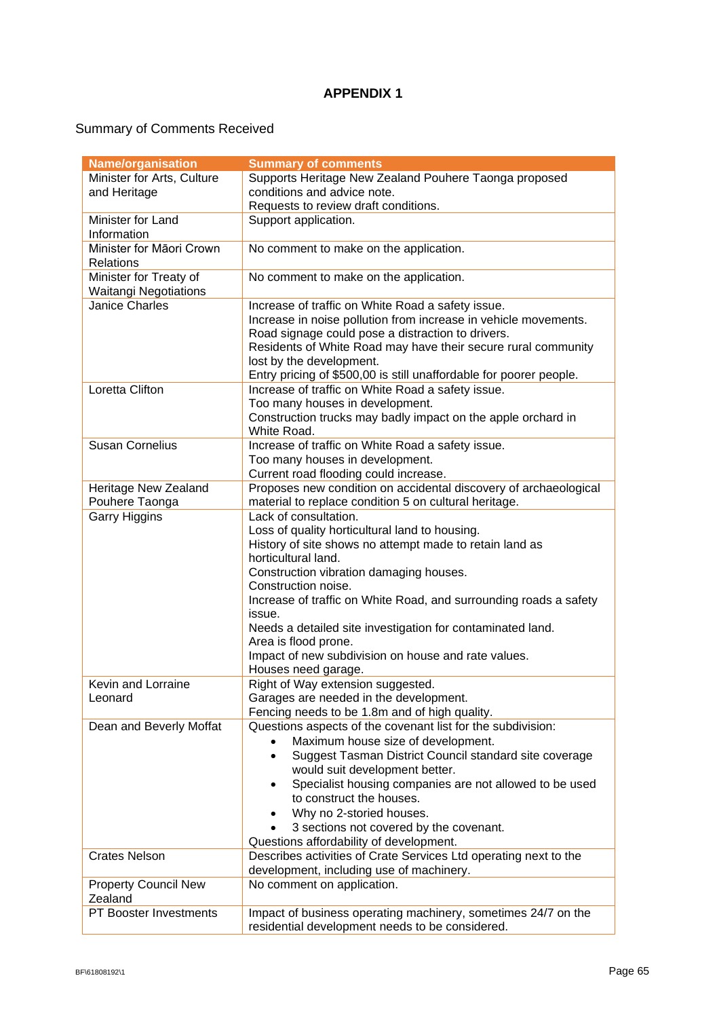### **APPENDIX 1**

# Summary of Comments Received

| <b>Name/organisation</b>     | <b>Summary of comments</b>                                          |
|------------------------------|---------------------------------------------------------------------|
| Minister for Arts, Culture   | Supports Heritage New Zealand Pouhere Taonga proposed               |
| and Heritage                 | conditions and advice note.                                         |
|                              | Requests to review draft conditions.                                |
| Minister for Land            | Support application.                                                |
| Information                  |                                                                     |
| Minister for Māori Crown     | No comment to make on the application.                              |
| <b>Relations</b>             |                                                                     |
| Minister for Treaty of       | No comment to make on the application.                              |
| <b>Waitangi Negotiations</b> |                                                                     |
| <b>Janice Charles</b>        | Increase of traffic on White Road a safety issue.                   |
|                              | Increase in noise pollution from increase in vehicle movements.     |
|                              | Road signage could pose a distraction to drivers.                   |
|                              | Residents of White Road may have their secure rural community       |
|                              | lost by the development.                                            |
|                              | Entry pricing of \$500,00 is still unaffordable for poorer people.  |
| <b>Loretta Clifton</b>       | Increase of traffic on White Road a safety issue.                   |
|                              | Too many houses in development.                                     |
|                              | Construction trucks may badly impact on the apple orchard in        |
|                              | White Road.                                                         |
| <b>Susan Cornelius</b>       | Increase of traffic on White Road a safety issue.                   |
|                              | Too many houses in development.                                     |
|                              | Current road flooding could increase.                               |
| Heritage New Zealand         | Proposes new condition on accidental discovery of archaeological    |
| Pouhere Taonga               | material to replace condition 5 on cultural heritage.               |
| <b>Garry Higgins</b>         | Lack of consultation.                                               |
|                              | Loss of quality horticultural land to housing.                      |
|                              | History of site shows no attempt made to retain land as             |
|                              | horticultural land.                                                 |
|                              | Construction vibration damaging houses.                             |
|                              | Construction noise.                                                 |
|                              | Increase of traffic on White Road, and surrounding roads a safety   |
|                              | issue.                                                              |
|                              | Needs a detailed site investigation for contaminated land.          |
|                              | Area is flood prone.                                                |
|                              | Impact of new subdivision on house and rate values.                 |
|                              | Houses need garage.                                                 |
| Kevin and Lorraine           | Right of Way extension suggested.                                   |
| Leonard                      | Garages are needed in the development.                              |
|                              | Fencing needs to be 1.8m and of high quality.                       |
| Dean and Beverly Moffat      | Questions aspects of the covenant list for the subdivision:         |
|                              | Maximum house size of development.                                  |
|                              | Suggest Tasman District Council standard site coverage<br>$\bullet$ |
|                              | would suit development better.                                      |
|                              | Specialist housing companies are not allowed to be used             |
|                              | to construct the houses.                                            |
|                              | Why no 2-storied houses.                                            |
|                              | 3 sections not covered by the covenant.                             |
|                              | Questions affordability of development.                             |
| <b>Crates Nelson</b>         | Describes activities of Crate Services Ltd operating next to the    |
|                              | development, including use of machinery.                            |
| <b>Property Council New</b>  | No comment on application.                                          |
| Zealand                      |                                                                     |
| PT Booster Investments       | Impact of business operating machinery, sometimes 24/7 on the       |
|                              | residential development needs to be considered.                     |